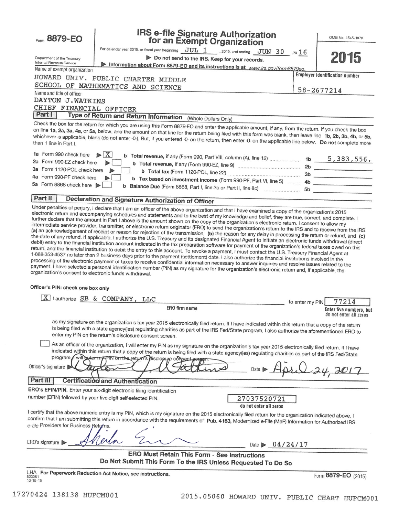| Form 8879-EO                                                          | <b>IRS e-file Signature Authorization<br/>for an Exempt Organization</b>                                                                                                                                                                                                                                                                                                                                                                                                                                                                                                                                                                                                                                                                                                                                                                                                                                                                                                                                                                                                                                                                                                                                                                                           |                 | OMB No. 1545-1878                                 |  |  |  |  |
|-----------------------------------------------------------------------|--------------------------------------------------------------------------------------------------------------------------------------------------------------------------------------------------------------------------------------------------------------------------------------------------------------------------------------------------------------------------------------------------------------------------------------------------------------------------------------------------------------------------------------------------------------------------------------------------------------------------------------------------------------------------------------------------------------------------------------------------------------------------------------------------------------------------------------------------------------------------------------------------------------------------------------------------------------------------------------------------------------------------------------------------------------------------------------------------------------------------------------------------------------------------------------------------------------------------------------------------------------------|-----------------|---------------------------------------------------|--|--|--|--|
|                                                                       | For calendar year 2015, or fiscal year beginning $JUL$ 1 .2015, and ending $JUN$ 30 .20 16                                                                                                                                                                                                                                                                                                                                                                                                                                                                                                                                                                                                                                                                                                                                                                                                                                                                                                                                                                                                                                                                                                                                                                         |                 |                                                   |  |  |  |  |
| Department of the Treasury                                            | Do not send to the IRS. Keep for your records.                                                                                                                                                                                                                                                                                                                                                                                                                                                                                                                                                                                                                                                                                                                                                                                                                                                                                                                                                                                                                                                                                                                                                                                                                     |                 | 2015                                              |  |  |  |  |
| Internal Revenue Service                                              | Information about Form 8879-EO and its instructions is at www.irs.gov/form8879eo.                                                                                                                                                                                                                                                                                                                                                                                                                                                                                                                                                                                                                                                                                                                                                                                                                                                                                                                                                                                                                                                                                                                                                                                  |                 |                                                   |  |  |  |  |
| Name of exempt organization                                           |                                                                                                                                                                                                                                                                                                                                                                                                                                                                                                                                                                                                                                                                                                                                                                                                                                                                                                                                                                                                                                                                                                                                                                                                                                                                    |                 | <b>Employer identification number</b>             |  |  |  |  |
|                                                                       | HOWARD UNIV. PUBLIC CHARTER MIDDLE                                                                                                                                                                                                                                                                                                                                                                                                                                                                                                                                                                                                                                                                                                                                                                                                                                                                                                                                                                                                                                                                                                                                                                                                                                 |                 |                                                   |  |  |  |  |
|                                                                       | SCHOOL OF MATHEMATICS AND SCIENCE                                                                                                                                                                                                                                                                                                                                                                                                                                                                                                                                                                                                                                                                                                                                                                                                                                                                                                                                                                                                                                                                                                                                                                                                                                  |                 | 58-2677214                                        |  |  |  |  |
| Name and title of officer                                             |                                                                                                                                                                                                                                                                                                                                                                                                                                                                                                                                                                                                                                                                                                                                                                                                                                                                                                                                                                                                                                                                                                                                                                                                                                                                    |                 |                                                   |  |  |  |  |
| DAYTON J.WATKINS                                                      |                                                                                                                                                                                                                                                                                                                                                                                                                                                                                                                                                                                                                                                                                                                                                                                                                                                                                                                                                                                                                                                                                                                                                                                                                                                                    |                 |                                                   |  |  |  |  |
| CHIEF FINANCIAL OFFICER                                               |                                                                                                                                                                                                                                                                                                                                                                                                                                                                                                                                                                                                                                                                                                                                                                                                                                                                                                                                                                                                                                                                                                                                                                                                                                                                    |                 |                                                   |  |  |  |  |
| Part I                                                                | Type of Return and Return Information (Whole Dollars Only)                                                                                                                                                                                                                                                                                                                                                                                                                                                                                                                                                                                                                                                                                                                                                                                                                                                                                                                                                                                                                                                                                                                                                                                                         |                 |                                                   |  |  |  |  |
|                                                                       | Check the box for the return for which you are using this Form 8879-EO and enter the applicable amount, if any, from the return. If you check the box<br>on line 1a, 2a, 3a, 4a, or 5a, below, and the amount on that line for the return being filed with this form was blank, then leave line 1b, 2b, 3b, 4b, or 5b,<br>whichever is applicable, blank (do not enter -0-). But, if you entered -0- on the return, then enter -0- on the applicable line below. Do not complete more                                                                                                                                                                                                                                                                                                                                                                                                                                                                                                                                                                                                                                                                                                                                                                              |                 |                                                   |  |  |  |  |
| 1a Form 990 check here                                                | $\blacktriangleright$ $ \mathbf{X} $                                                                                                                                                                                                                                                                                                                                                                                                                                                                                                                                                                                                                                                                                                                                                                                                                                                                                                                                                                                                                                                                                                                                                                                                                               |                 |                                                   |  |  |  |  |
| 2a Form 990-EZ check here                                             |                                                                                                                                                                                                                                                                                                                                                                                                                                                                                                                                                                                                                                                                                                                                                                                                                                                                                                                                                                                                                                                                                                                                                                                                                                                                    |                 |                                                   |  |  |  |  |
| 3a Form 1120-POL check here                                           |                                                                                                                                                                                                                                                                                                                                                                                                                                                                                                                                                                                                                                                                                                                                                                                                                                                                                                                                                                                                                                                                                                                                                                                                                                                                    |                 |                                                   |  |  |  |  |
| 4a Form 990-PF check here                                             | b Tax based on investment income (Form 990-PF, Part VI, line 5)  4b                                                                                                                                                                                                                                                                                                                                                                                                                                                                                                                                                                                                                                                                                                                                                                                                                                                                                                                                                                                                                                                                                                                                                                                                |                 |                                                   |  |  |  |  |
| 5a Form 8868 check here                                               |                                                                                                                                                                                                                                                                                                                                                                                                                                                                                                                                                                                                                                                                                                                                                                                                                                                                                                                                                                                                                                                                                                                                                                                                                                                                    |                 |                                                   |  |  |  |  |
|                                                                       |                                                                                                                                                                                                                                                                                                                                                                                                                                                                                                                                                                                                                                                                                                                                                                                                                                                                                                                                                                                                                                                                                                                                                                                                                                                                    |                 |                                                   |  |  |  |  |
| Part II                                                               | Declaration and Signature Authorization of Officer<br>Under penalties of perjury, I declare that I am an officer of the above organization and that I have examined a copy of the organization's 2015                                                                                                                                                                                                                                                                                                                                                                                                                                                                                                                                                                                                                                                                                                                                                                                                                                                                                                                                                                                                                                                              |                 |                                                   |  |  |  |  |
| organization's consent to electronic funds withdrawal.                | intermediate service provider, transmitter, or electronic return originator (ERO) to send the organization's return to the IRS and to receive from the IRS<br>(a) an acknowledgement of receipt or reason for rejection of the transmission, (b) the reason for any delay in processing the return or refund, and (c)<br>the date of any refund. If applicable, I authorize the U.S. Treasury and its designated Financial Agent to initiate an electronic funds withdrawal (direct<br>debit) entry to the financial institution account indicated in the tax preparation software for payment of the organization's federal taxes owed on this<br>return, and the financial institution to debit the entry to this account. To revoke a payment, I must contact the U.S. Treasury Financial Agent at<br>1-888-353-4537 no later than 2 business days prior to the payment (settlement) date. I also authorize the financial institutions involved in the<br>processing of the electronic payment of taxes to receive confidential information necessary to answer inquiries and resolve issues related to the<br>payment. I have selected a personal identification number (PIN) as my signature for the organization's electronic return and, if applicable, the |                 |                                                   |  |  |  |  |
| Officer's PIN: check one box only                                     |                                                                                                                                                                                                                                                                                                                                                                                                                                                                                                                                                                                                                                                                                                                                                                                                                                                                                                                                                                                                                                                                                                                                                                                                                                                                    |                 |                                                   |  |  |  |  |
|                                                                       | X lauthorize SB & COMPANY, LLC                                                                                                                                                                                                                                                                                                                                                                                                                                                                                                                                                                                                                                                                                                                                                                                                                                                                                                                                                                                                                                                                                                                                                                                                                                     | to enter my PIN | 77214                                             |  |  |  |  |
|                                                                       | <b>ERO</b> firm name                                                                                                                                                                                                                                                                                                                                                                                                                                                                                                                                                                                                                                                                                                                                                                                                                                                                                                                                                                                                                                                                                                                                                                                                                                               |                 | Enter five numbers, but<br>do not enter all zeros |  |  |  |  |
|                                                                       | as my signature on the organization's tax year 2015 electronically filed retum. If I have indicated within this return that a copy of the return<br>is being filed with a state agency(ies) regulating charities as part of the IRS Fed/State program, I also authorize the aforementioned ERO to<br>enter my PIN on the return's disclosure consent screen.                                                                                                                                                                                                                                                                                                                                                                                                                                                                                                                                                                                                                                                                                                                                                                                                                                                                                                       |                 |                                                   |  |  |  |  |
| Officer's signature<br>Part III                                       | As an officer of the organization, I will enter my PIN as my signature on the organization's tax year 2015 electronically filed return. If I have<br>indicated within this return that a copy of the return is being filed with a state agency(ies) regulating charities as part of the IRS Fed/State<br>program will acter my PIN on the return's disclosure consent corpor.                                                                                                                                                                                                                                                                                                                                                                                                                                                                                                                                                                                                                                                                                                                                                                                                                                                                                      |                 |                                                   |  |  |  |  |
|                                                                       | Certification and Authentication                                                                                                                                                                                                                                                                                                                                                                                                                                                                                                                                                                                                                                                                                                                                                                                                                                                                                                                                                                                                                                                                                                                                                                                                                                   |                 |                                                   |  |  |  |  |
| ERO's EFIN/PIN. Enter your six-digit electronic filing identification |                                                                                                                                                                                                                                                                                                                                                                                                                                                                                                                                                                                                                                                                                                                                                                                                                                                                                                                                                                                                                                                                                                                                                                                                                                                                    |                 |                                                   |  |  |  |  |
| number (EFIN) followed by your five-digit self-selected PIN.          | 27037520721<br>do not enter all zeros                                                                                                                                                                                                                                                                                                                                                                                                                                                                                                                                                                                                                                                                                                                                                                                                                                                                                                                                                                                                                                                                                                                                                                                                                              |                 |                                                   |  |  |  |  |
| e-file Providers for Business Returns.                                | I certify that the above numeric entry is my PIN, which is my signature on the 2015 electronically filed return for the organization indicated above. I<br>confirm that I am submitting this return in accordance with the requirements of Pub. 4163, Modernized e-File (MeF) Information for Authorized IRS                                                                                                                                                                                                                                                                                                                                                                                                                                                                                                                                                                                                                                                                                                                                                                                                                                                                                                                                                       |                 |                                                   |  |  |  |  |
| ERO's signature  <br>Date $\triangleright$ 04/24/17                   |                                                                                                                                                                                                                                                                                                                                                                                                                                                                                                                                                                                                                                                                                                                                                                                                                                                                                                                                                                                                                                                                                                                                                                                                                                                                    |                 |                                                   |  |  |  |  |
|                                                                       | <b>ERO Must Retain This Form - See Instructions</b><br>Do Not Submit This Form To the IRS Unless Requested To Do So                                                                                                                                                                                                                                                                                                                                                                                                                                                                                                                                                                                                                                                                                                                                                                                                                                                                                                                                                                                                                                                                                                                                                |                 |                                                   |  |  |  |  |
| 523051<br>$10-19-15$                                                  | LHA For Paperwork Reduction Act Notice, see instructions.                                                                                                                                                                                                                                                                                                                                                                                                                                                                                                                                                                                                                                                                                                                                                                                                                                                                                                                                                                                                                                                                                                                                                                                                          |                 | Form 8879-EO (2015)                               |  |  |  |  |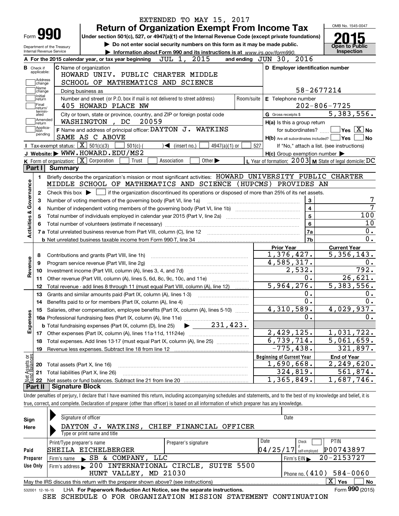|                                                        |                                                                                                                                                                            | EXTENDED TO MAY 15, 2017                 |            |                                                           | OMB No. 1545-0047                          |
|--------------------------------------------------------|----------------------------------------------------------------------------------------------------------------------------------------------------------------------------|------------------------------------------|------------|-----------------------------------------------------------|--------------------------------------------|
| <b>Form 990</b>                                        | <b>Return of Organization Exempt From Income Tax</b><br>Under section 501(c), 527, or 4947(a)(1) of the Internal Revenue Code (except private foundations)                 |                                          |            |                                                           |                                            |
|                                                        | Do not enter social security numbers on this form as it may be made public.                                                                                                |                                          |            |                                                           |                                            |
| Department of the Treasury<br>Internal Revenue Service | Information about Form 990 and its instructions is at www.irs.gov/form990.                                                                                                 |                                          |            |                                                           | <b>Open to Public</b><br>Inspection        |
|                                                        | A For the 2015 calendar year, or tax year beginning $JUL$ 1, $2015$                                                                                                        |                                          |            | and ending JUN 30, 2016                                   |                                            |
| <b>B</b> Check if                                      | <b>C</b> Name of organization                                                                                                                                              |                                          |            | D Employer identification number                          |                                            |
| applicable:                                            | HOWARD UNIV. PUBLIC CHARTER MIDDLE                                                                                                                                         |                                          |            |                                                           |                                            |
| Address<br>change                                      | SCHOOL OF MATHEMATICS AND SCIENCE                                                                                                                                          |                                          |            |                                                           |                                            |
| Name<br>change                                         | Doing business as                                                                                                                                                          |                                          |            |                                                           | 58-2677214                                 |
| Initial<br>return                                      | Number and street (or P.O. box if mail is not delivered to street address)                                                                                                 |                                          | Room/suite | E Telephone number                                        |                                            |
| Final<br>return/                                       | 405 HOWARD PLACE NW                                                                                                                                                        |                                          |            |                                                           | $202 - 806 - 7725$                         |
| termin-<br>ated                                        | City or town, state or province, country, and ZIP or foreign postal code                                                                                                   |                                          |            | G Gross receipts \$                                       | $\overline{5,383,556}$ .                   |
| Amended<br> return                                     | 20059<br>WASHINGTON, DC                                                                                                                                                    |                                          |            | H(a) Is this a group return                               |                                            |
| Applica-<br>tion                                       | F Name and address of principal officer: DAYTON J. WATKINS                                                                                                                 |                                          |            | for subordinates?                                         | $\sqrt{}$ Yes $\sqrt{X}$ No                |
| pending                                                | SAME AS C ABOVE                                                                                                                                                            |                                          |            | $H(b)$ Are all subordinates included? $\Box$              | <b>Yes</b><br><b>No</b>                    |
|                                                        | Tax-exempt status: $\boxed{\mathbf{X}}$ 501(c)(3)<br>$501(c)$ (                                                                                                            | $\sqrt{2}$ (insert no.)<br>4947(a)(1) or | 527        |                                                           | If "No," attach a list. (see instructions) |
|                                                        | J Website: WWW.HOWARD.EDU/MS2                                                                                                                                              |                                          |            | $H(c)$ Group exemption number $\blacktriangleright$       |                                            |
|                                                        | K Form of organization: X Corporation<br>Association<br>Trust                                                                                                              | Other $\blacktriangleright$              |            | L Year of formation: $2003$ M State of legal domicile: DC |                                            |
| Part I                                                 | <b>Summary</b>                                                                                                                                                             |                                          |            |                                                           |                                            |
| 1.                                                     | Briefly describe the organization's mission or most significant activities: HOWARD UNIVERSITY PUBLIC CHARTER                                                               |                                          |            |                                                           |                                            |
|                                                        | MIDDLE SCHOOL OF MATHEMATICS AND SCIENCE (HUPCMS)                                                                                                                          |                                          |            | PROVIDES AN                                               |                                            |
| Governance<br>2                                        | Check this box $\blacktriangleright$<br>if the organization discontinued its operations or disposed of more than 25% of its net assets.                                    |                                          |            |                                                           |                                            |
| 3                                                      | Number of voting members of the governing body (Part VI, line 1a)                                                                                                          |                                          |            | 3                                                         |                                            |
| 4                                                      |                                                                                                                                                                            |                                          |            | $\overline{4}$                                            |                                            |
| <b>Activities &amp;</b><br>5                           |                                                                                                                                                                            |                                          |            | 5                                                         | 100                                        |
| 6                                                      |                                                                                                                                                                            |                                          |            | 6                                                         | 10                                         |
|                                                        |                                                                                                                                                                            |                                          |            | 7a                                                        | 0.                                         |
|                                                        |                                                                                                                                                                            |                                          |            | 7b                                                        | $\overline{0}$ .                           |
|                                                        |                                                                                                                                                                            |                                          |            | <b>Prior Year</b>                                         | <b>Current Year</b>                        |
| 8                                                      | Contributions and grants (Part VIII, line 1h)                                                                                                                              |                                          |            | 1,376,427.                                                | 5,356,143.                                 |
| 9                                                      | Program service revenue (Part VIII, line 2g)                                                                                                                               |                                          |            | 4,585,317.                                                | 0.                                         |
| Revenue<br>10                                          |                                                                                                                                                                            |                                          |            | 2,532.                                                    | 792.                                       |
| 11                                                     | Other revenue (Part VIII, column (A), lines 5, 6d, 8c, 9c, 10c, and 11e)                                                                                                   |                                          |            | 0.                                                        | 26,621.                                    |
| 12                                                     | Total revenue - add lines 8 through 11 (must equal Part VIII, column (A), line 12)                                                                                         |                                          |            | 5,964,276.                                                | 5,383,556.                                 |
| 13                                                     | Grants and similar amounts paid (Part IX, column (A), lines 1-3)                                                                                                           |                                          |            | 0.                                                        | 0.                                         |
| 14                                                     | Benefits paid to or for members (Part IX, column (A), line 4)                                                                                                              |                                          |            | 0.                                                        | 0.                                         |
| 15                                                     | Salaries, other compensation, employee benefits (Part IX, column (A), lines 5-10)                                                                                          |                                          |            | $4,310,589$ .                                             | 4,029,937.                                 |
|                                                        |                                                                                                                                                                            |                                          |            | Ο.                                                        | 0.                                         |
| Expenses                                               |                                                                                                                                                                            |                                          |            |                                                           |                                            |
| 17                                                     |                                                                                                                                                                            |                                          |            | 2,429,125.                                                | 1,031,722.                                 |
| 18                                                     | Total expenses. Add lines 13-17 (must equal Part IX, column (A), line 25)                                                                                                  |                                          |            | 6,739,714.                                                | 5,061,659.                                 |
| 19                                                     |                                                                                                                                                                            |                                          |            | $-775, 438.$                                              | 321,897.                                   |
|                                                        |                                                                                                                                                                            |                                          |            | <b>Beginning of Current Year</b>                          | <b>End of Year</b>                         |
|                                                        | Total assets (Part X, line 16)                                                                                                                                             |                                          |            | 1,690,668.                                                | 2, 249, 620.                               |
| 20                                                     |                                                                                                                                                                            |                                          |            | 324,819.                                                  | 561,874.                                   |
| 21                                                     | Total liabilities (Part X, line 26)                                                                                                                                        |                                          |            |                                                           |                                            |
| 22                                                     |                                                                                                                                                                            |                                          |            | 1,365,849.                                                | 1,687,746.                                 |
| t Assets or<br>d Balances<br>Part II                   | <b>Signature Block</b>                                                                                                                                                     |                                          |            |                                                           |                                            |
|                                                        | Under penalties of perjury, I declare that I have examined this return, including accompanying schedules and statements, and to the best of my knowledge and belief, it is |                                          |            |                                                           |                                            |

| Sign                                                                                                | Signature of officer                                                                                         |                                  | Date                                     |  |  |  |  |  |
|-----------------------------------------------------------------------------------------------------|--------------------------------------------------------------------------------------------------------------|----------------------------------|------------------------------------------|--|--|--|--|--|
| Here                                                                                                | DAYTON<br>J.                                                                                                 | WATKINS, CHIEF FINANCIAL OFFICER |                                          |  |  |  |  |  |
|                                                                                                     | Type or print name and title                                                                                 |                                  |                                          |  |  |  |  |  |
|                                                                                                     | Print/Type preparer's name                                                                                   | Preparer's signature             | Date<br><b>PTIN</b><br>Check             |  |  |  |  |  |
| Paid                                                                                                | SHEILA EICHELBERGER                                                                                          |                                  | P00743897<br> 04/25/17 <br>self-emploved |  |  |  |  |  |
| Preparer                                                                                            | SB & COMPANY, LLC<br>Firm's name                                                                             |                                  | 20-2153727<br>Firm's $EIN$               |  |  |  |  |  |
| Use Only                                                                                            | 200 INTERNATIONAL CIRCLE,<br>Firm's address                                                                  | SUITE 5500                       |                                          |  |  |  |  |  |
|                                                                                                     | VALLEY,<br>HUNT                                                                                              | MD 21030                         | Phone no. $(410)$ 584-0060               |  |  |  |  |  |
| X<br>No<br>Yes<br>May the IRS discuss this return with the preparer shown above? (see instructions) |                                                                                                              |                                  |                                          |  |  |  |  |  |
|                                                                                                     | Form 990 (2015)<br>LHA For Paperwork Reduction Act Notice, see the separate instructions.<br>532001 12-16-15 |                                  |                                          |  |  |  |  |  |

SEE SCHEDULE O FOR ORGANIZATION MISSION STATEMENT CONTINUATION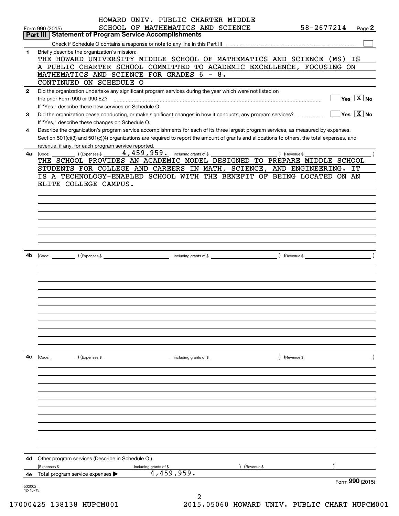|              | HOWARD UNIV. PUBLIC CHARTER MIDDLE                                                                                                           |            |                                        |
|--------------|----------------------------------------------------------------------------------------------------------------------------------------------|------------|----------------------------------------|
|              | SCHOOL OF MATHEMATICS AND SCIENCE<br>Form 990 (2015)                                                                                         | 58-2677214 | Page $2$                               |
|              | <b>Part III   Statement of Program Service Accomplishments</b>                                                                               |            |                                        |
|              |                                                                                                                                              |            |                                        |
| 1            | Briefly describe the organization's mission:<br>THE HOWARD UNIVERSITY MIDDLE SCHOOL OF MATHEMATICS AND SCIENCE (MS) IS                       |            |                                        |
|              | A PUBLIC CHARTER SCHOOL COMMITTED TO ACADEMIC EXCELLENCE, FOCUSING ON                                                                        |            |                                        |
|              | MATHEMATICS AND SCIENCE FOR GRADES 6 - 8.                                                                                                    |            |                                        |
|              | CONTINUED ON SCHEDULE O                                                                                                                      |            |                                        |
| $\mathbf{2}$ | Did the organization undertake any significant program services during the year which were not listed on                                     |            |                                        |
|              |                                                                                                                                              |            | $Yes \ \boxed{X}$ No                   |
|              | If "Yes," describe these new services on Schedule O.                                                                                         |            |                                        |
| 3            | Did the organization cease conducting, or make significant changes in how it conducts, any program services?                                 |            | $\sqrt{}$ Yes $\sqrt{}$ X $\sqrt{}$ No |
|              | If "Yes," describe these changes on Schedule O.                                                                                              |            |                                        |
| 4            | Describe the organization's program service accomplishments for each of its three largest program services, as measured by expenses.         |            |                                        |
|              | Section 501(c)(3) and 501(c)(4) organizations are required to report the amount of grants and allocations to others, the total expenses, and |            |                                        |
|              | revenue, if any, for each program service reported.                                                                                          |            |                                        |
| 4a           | 4, 459, 959. including grants of \$<br>(Expenses \$<br>) (Revenue \$<br>(Code:                                                               |            |                                        |
|              | THE SCHOOL PROVIDES AN ACADEMIC MODEL DESIGNED TO PREPARE MIDDLE SCHOOL                                                                      |            |                                        |
|              | STUDENTS FOR COLLEGE AND CAREERS IN MATH, SCIENCE, AND ENGINEERING.                                                                          |            | IT                                     |
|              | IS A TECHNOLOGY-ENABLED SCHOOL WITH THE BENEFIT OF BEING LOCATED ON AN                                                                       |            |                                        |
|              | ELITE COLLEGE CAMPUS.                                                                                                                        |            |                                        |
|              |                                                                                                                                              |            |                                        |
|              |                                                                                                                                              |            |                                        |
|              |                                                                                                                                              |            |                                        |
|              |                                                                                                                                              |            |                                        |
|              |                                                                                                                                              |            |                                        |
|              |                                                                                                                                              |            |                                        |
|              |                                                                                                                                              |            |                                        |
|              |                                                                                                                                              |            |                                        |
| 4b           |                                                                                                                                              |            |                                        |
|              |                                                                                                                                              |            |                                        |
|              |                                                                                                                                              |            |                                        |
|              |                                                                                                                                              |            |                                        |
|              |                                                                                                                                              |            |                                        |
|              |                                                                                                                                              |            |                                        |
|              |                                                                                                                                              |            |                                        |
|              |                                                                                                                                              |            |                                        |
|              |                                                                                                                                              |            |                                        |
|              |                                                                                                                                              |            |                                        |
|              |                                                                                                                                              |            |                                        |
|              |                                                                                                                                              |            |                                        |
| 4c           |                                                                                                                                              |            |                                        |
|              |                                                                                                                                              |            |                                        |
|              |                                                                                                                                              |            |                                        |
|              |                                                                                                                                              |            |                                        |
|              |                                                                                                                                              |            |                                        |
|              |                                                                                                                                              |            |                                        |
|              |                                                                                                                                              |            |                                        |
|              |                                                                                                                                              |            |                                        |
|              |                                                                                                                                              |            |                                        |
|              |                                                                                                                                              |            |                                        |
|              |                                                                                                                                              |            |                                        |
|              |                                                                                                                                              |            |                                        |
|              |                                                                                                                                              |            |                                        |
| 4d           | Other program services (Describe in Schedule O.)                                                                                             |            |                                        |
|              | ) (Revenue \$<br>(Expenses \$<br>including grants of \$                                                                                      |            |                                        |
| 4е           | 4,459,959.<br>Total program service expenses $\blacktriangleright$                                                                           |            |                                        |
| 532002       |                                                                                                                                              |            | Form 990 (2015)                        |
| 12-16-15     | 2                                                                                                                                            |            |                                        |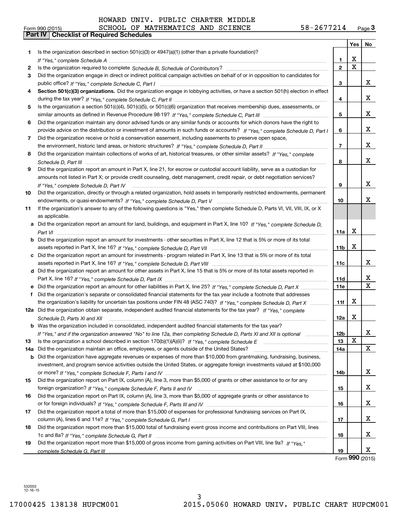|     |                                                                                                                                      |                 | Yes | No                      |
|-----|--------------------------------------------------------------------------------------------------------------------------------------|-----------------|-----|-------------------------|
| 1   | Is the organization described in section 501(c)(3) or 4947(a)(1) (other than a private foundation)?                                  |                 |     |                         |
|     |                                                                                                                                      | 1               | х   |                         |
| 2   |                                                                                                                                      | $\overline{2}$  | X   |                         |
| 3   | Did the organization engage in direct or indirect political campaign activities on behalf of or in opposition to candidates for      |                 |     |                         |
|     |                                                                                                                                      | 3               |     | X.                      |
| 4   | Section 501(c)(3) organizations. Did the organization engage in lobbying activities, or have a section 501(h) election in effect     |                 |     |                         |
|     |                                                                                                                                      | 4               |     | x                       |
| 5   | Is the organization a section 501(c)(4), 501(c)(5), or 501(c)(6) organization that receives membership dues, assessments, or         |                 |     |                         |
|     |                                                                                                                                      | 5               |     | x                       |
| 6   | Did the organization maintain any donor advised funds or any similar funds or accounts for which donors have the right to            |                 |     |                         |
|     | provide advice on the distribution or investment of amounts in such funds or accounts? If "Yes," complete Schedule D, Part I         | 6               |     | x                       |
| 7   | Did the organization receive or hold a conservation easement, including easements to preserve open space,                            |                 |     |                         |
|     |                                                                                                                                      | 7               |     | x                       |
| 8   | Did the organization maintain collections of works of art, historical treasures, or other similar assets? If "Yes," complete         |                 |     |                         |
|     |                                                                                                                                      | 8               |     | x                       |
| 9   | Did the organization report an amount in Part X, line 21, for escrow or custodial account liability, serve as a custodian for        |                 |     |                         |
|     | amounts not listed in Part X; or provide credit counseling, debt management, credit repair, or debt negotiation services?            |                 |     |                         |
|     | If "Yes," complete Schedule D, Part IV                                                                                               | 9               |     | x                       |
| 10  | Did the organization, directly or through a related organization, hold assets in temporarily restricted endowments, permanent        |                 |     |                         |
|     |                                                                                                                                      | 10              |     | х                       |
| 11  | If the organization's answer to any of the following questions is "Yes," then complete Schedule D, Parts VI, VII, VIII, IX, or X     |                 |     |                         |
|     | as applicable.                                                                                                                       |                 |     |                         |
|     | a Did the organization report an amount for land, buildings, and equipment in Part X, line 10? If "Yes," complete Schedule D,        |                 |     |                         |
|     |                                                                                                                                      | 11a             | X   |                         |
|     | <b>b</b> Did the organization report an amount for investments - other securities in Part X, line 12 that is 5% or more of its total |                 |     |                         |
|     |                                                                                                                                      | 11 <sub>b</sub> | x   |                         |
|     | c Did the organization report an amount for investments - program related in Part X, line 13 that is 5% or more of its total         |                 |     |                         |
|     |                                                                                                                                      | 11c             |     | X                       |
|     | d Did the organization report an amount for other assets in Part X, line 15 that is 5% or more of its total assets reported in       |                 |     |                         |
|     |                                                                                                                                      | <b>11d</b>      |     | x                       |
|     |                                                                                                                                      | <b>11e</b>      |     | $\overline{\mathbf{x}}$ |
|     | f Did the organization's separate or consolidated financial statements for the tax year include a footnote that addresses            |                 |     |                         |
|     | the organization's liability for uncertain tax positions under FIN 48 (ASC 740)? If "Yes," complete Schedule D, Part X               | 11f             | x   |                         |
|     | 12a Did the organization obtain separate, independent audited financial statements for the tax year? If "Yes," complete              |                 |     |                         |
|     | Schedule D, Parts XI and XII                                                                                                         | 12a             | x   |                         |
|     | <b>b</b> Was the organization included in consolidated, independent audited financial statements for the tax year?                   |                 |     |                         |
|     | If "Yes," and if the organization answered "No" to line 12a, then completing Schedule D, Parts XI and XII is optional                | 12b             |     | х                       |
| 13  |                                                                                                                                      | 13              | х   |                         |
| 14a | Did the organization maintain an office, employees, or agents outside of the United States?                                          | 14a             |     | X                       |
| b   | Did the organization have aggregate revenues or expenses of more than \$10,000 from grantmaking, fundraising, business,              |                 |     |                         |
|     | investment, and program service activities outside the United States, or aggregate foreign investments valued at \$100,000           |                 |     |                         |
|     |                                                                                                                                      | 14b             |     | x                       |
| 15  | Did the organization report on Part IX, column (A), line 3, more than \$5,000 of grants or other assistance to or for any            |                 |     |                         |
|     |                                                                                                                                      | 15              |     | x                       |
| 16  | Did the organization report on Part IX, column (A), line 3, more than \$5,000 of aggregate grants or other assistance to             |                 |     |                         |
|     |                                                                                                                                      | 16              |     | X                       |
| 17  | Did the organization report a total of more than \$15,000 of expenses for professional fundraising services on Part IX,              |                 |     |                         |
|     |                                                                                                                                      | 17              |     | x                       |
| 18  | Did the organization report more than \$15,000 total of fundraising event gross income and contributions on Part VIII, lines         |                 |     |                         |
|     |                                                                                                                                      | 18              |     | x                       |
| 19  | Did the organization report more than \$15,000 of gross income from gaming activities on Part VIII, line 9a? If "Yes."               |                 |     |                         |
|     |                                                                                                                                      | 19              | nnn | x                       |

Form (2015) **990**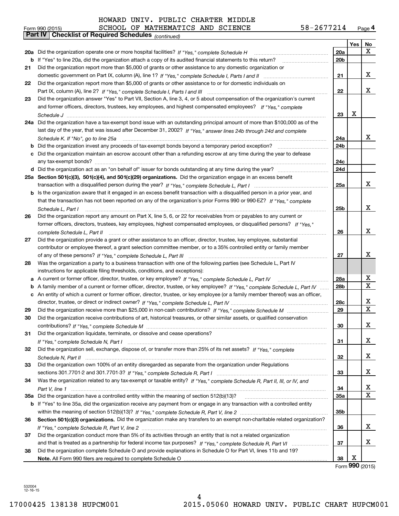| 58-2677214 | Page $4$ |
|------------|----------|
|------------|----------|

|    | 58-2677214<br>SCHOOL OF MATHEMATICS AND SCIENCE<br>Form 990 (2015)                                                                |                 |     | Page 4 |
|----|-----------------------------------------------------------------------------------------------------------------------------------|-----------------|-----|--------|
|    | <b>Checklist of Required Schedules</b> (continued)<br>Part IV                                                                     |                 |     |        |
|    |                                                                                                                                   |                 | Yes | No     |
|    | 20a Did the organization operate one or more hospital facilities? If "Yes," complete Schedule H                                   | 20a             |     | x      |
|    | <b>b</b> If "Yes" to line 20a, did the organization attach a copy of its audited financial statements to this return?             | 20 <sub>b</sub> |     |        |
| 21 | Did the organization report more than \$5,000 of grants or other assistance to any domestic organization or                       |                 |     |        |
|    |                                                                                                                                   | 21              |     | x      |
| 22 | Did the organization report more than \$5,000 of grants or other assistance to or for domestic individuals on                     |                 |     |        |
|    |                                                                                                                                   | 22              |     | x      |
| 23 | Did the organization answer "Yes" to Part VII, Section A, line 3, 4, or 5 about compensation of the organization's current        |                 |     |        |
|    | and former officers, directors, trustees, key employees, and highest compensated employees? If "Yes," complete                    |                 |     |        |
|    |                                                                                                                                   | 23              | x   |        |
|    | 24a Did the organization have a tax-exempt bond issue with an outstanding principal amount of more than \$100,000 as of the       |                 |     |        |
|    | last day of the year, that was issued after December 31, 2002? If "Yes," answer lines 24b through 24d and complete                |                 |     |        |
|    | Schedule K. If "No", go to line 25a                                                                                               | 24a             |     | x      |
|    |                                                                                                                                   | 24b             |     |        |
|    | c Did the organization maintain an escrow account other than a refunding escrow at any time during the year to defease            |                 |     |        |
|    |                                                                                                                                   | 24c             |     |        |
|    |                                                                                                                                   | 24d             |     |        |
|    | 25a Section 501(c)(3), 501(c)(4), and 501(c)(29) organizations. Did the organization engage in an excess benefit                  |                 |     |        |
|    |                                                                                                                                   | 25a             |     | x      |
|    | b Is the organization aware that it engaged in an excess benefit transaction with a disqualified person in a prior year, and      |                 |     |        |
|    | that the transaction has not been reported on any of the organization's prior Forms 990 or 990-EZ? If "Yes," complete             |                 |     |        |
|    | Schedule L, Part I                                                                                                                | 25 <sub>b</sub> |     | x      |
| 26 | Did the organization report any amount on Part X, line 5, 6, or 22 for receivables from or payables to any current or             |                 |     |        |
|    | former officers, directors, trustees, key employees, highest compensated employees, or disqualified persons? If "Yes."            |                 |     |        |
|    | complete Schedule L, Part II                                                                                                      | 26              |     | x      |
| 27 | Did the organization provide a grant or other assistance to an officer, director, trustee, key employee, substantial              |                 |     |        |
|    | contributor or employee thereof, a grant selection committee member, or to a 35% controlled entity or family member               |                 |     |        |
|    |                                                                                                                                   | 27              |     | x      |
| 28 | Was the organization a party to a business transaction with one of the following parties (see Schedule L, Part IV                 |                 |     |        |
|    | instructions for applicable filing thresholds, conditions, and exceptions):                                                       |                 |     |        |
|    | a A current or former officer, director, trustee, or key employee? If "Yes," complete Schedule L, Part IV                         | 28a             |     | х      |
|    | b A family member of a current or former officer, director, trustee, or key employee? If "Yes," complete Schedule L, Part IV      | 28 <sub>b</sub> |     | X      |
|    | c An entity of which a current or former officer, director, trustee, or key employee (or a family member thereof) was an officer, |                 |     |        |
|    |                                                                                                                                   | 28c             |     | x      |
| 29 |                                                                                                                                   | 29              |     | X      |
|    | Did the organization receive contributions of art, historical treasures, or other similar assets, or qualified conservation       |                 |     |        |
|    |                                                                                                                                   | 30              |     | x      |
| 31 | Did the organization liquidate, terminate, or dissolve and cease operations?                                                      |                 |     |        |
|    |                                                                                                                                   | 31              |     | x      |
| 32 | Did the organization sell, exchange, dispose of, or transfer more than 25% of its net assets? If "Yes," complete                  |                 |     |        |
|    |                                                                                                                                   | 32              |     | x      |
| 33 | Did the organization own 100% of an entity disregarded as separate from the organization under Regulations                        |                 |     |        |
|    |                                                                                                                                   | 33              |     | х      |
| 34 | Was the organization related to any tax-exempt or taxable entity? If "Yes," complete Schedule R, Part II, III, or IV, and         |                 |     |        |
|    |                                                                                                                                   | 34              |     | X      |
|    | 35a Did the organization have a controlled entity within the meaning of section 512(b)(13)?                                       | 35a             |     | X      |
|    | b If "Yes" to line 35a, did the organization receive any payment from or engage in any transaction with a controlled entity       |                 |     |        |
|    |                                                                                                                                   | 35b             |     |        |
|    | Section 501(c)(3) organizations. Did the organization make any transfers to an exempt non-charitable related organization?        |                 |     |        |
| 36 |                                                                                                                                   |                 |     | x      |
|    |                                                                                                                                   | 36              |     |        |
| 37 | Did the organization conduct more than 5% of its activities through an entity that is not a related organization                  |                 |     | х      |
|    |                                                                                                                                   | 37              |     |        |
| 38 | Did the organization complete Schedule O and provide explanations in Schedule O for Part VI, lines 11b and 19?                    |                 | х   |        |
|    |                                                                                                                                   | 38              |     |        |

Form (2015) **990**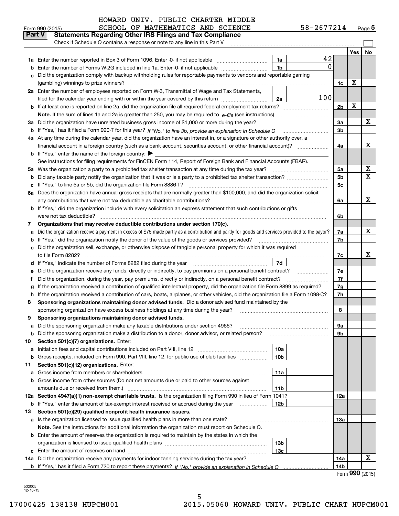|         | Check if Schedule O contains a response or note to any line in this Part V                                                                                                                                   |                |                             |    |
|---------|--------------------------------------------------------------------------------------------------------------------------------------------------------------------------------------------------------------|----------------|-----------------------------|----|
|         |                                                                                                                                                                                                              |                | Yes                         | No |
|         | 42<br><b>1a</b> Enter the number reported in Box 3 of Form 1096. Enter -0- if not applicable<br>1a                                                                                                           |                |                             |    |
| b       | 0<br>Enter the number of Forms W-2G included in line 1a. Enter -0- if not applicable<br>1b                                                                                                                   |                |                             |    |
| c       | Did the organization comply with backup withholding rules for reportable payments to vendors and reportable gaming                                                                                           |                |                             |    |
|         |                                                                                                                                                                                                              | 1c             | х                           |    |
|         | 2a Enter the number of employees reported on Form W-3, Transmittal of Wage and Tax Statements,                                                                                                               |                |                             |    |
|         | 100<br>filed for the calendar year ending with or within the year covered by this return<br>2a                                                                                                               |                |                             |    |
|         |                                                                                                                                                                                                              | 2 <sub>b</sub> | х                           |    |
|         | <b>Note.</b> If the sum of lines 1a and 2a is greater than 250, you may be required to $e$ - <i>file</i> (see instructions)                                                                                  |                |                             |    |
|         | 3a Did the organization have unrelated business gross income of \$1,000 or more during the year?                                                                                                             | За             |                             | x  |
|         | b If "Yes," has it filed a Form 990-T for this year? If "No," to line 3b, provide an explanation in Schedule O                                                                                               | 3b             |                             |    |
|         | 4a At any time during the calendar year, did the organization have an interest in, or a signature or other authority over, a                                                                                 |                |                             |    |
|         |                                                                                                                                                                                                              | 4a             |                             | х  |
|         | <b>b</b> If "Yes," enter the name of the foreign country: $\blacktriangleright$                                                                                                                              |                |                             |    |
|         | See instructions for filing requirements for FinCEN Form 114, Report of Foreign Bank and Financial Accounts (FBAR).                                                                                          |                |                             |    |
|         | 5a Was the organization a party to a prohibited tax shelter transaction at any time during the tax year?                                                                                                     | 5a             |                             | x  |
| b       |                                                                                                                                                                                                              | 5 <sub>b</sub> |                             | X  |
|         | c If "Yes," to line 5a or 5b, did the organization file Form 8886-T?                                                                                                                                         | 5c             |                             |    |
|         | 6a Does the organization have annual gross receipts that are normally greater than \$100,000, and did the organization solicit                                                                               |                |                             | x  |
|         | any contributions that were not tax deductible as charitable contributions?<br><b>b</b> If "Yes," did the organization include with every solicitation an express statement that such contributions or gifts | 6a             |                             |    |
|         | were not tax deductible?                                                                                                                                                                                     | 6b             |                             |    |
| 7.      | Organizations that may receive deductible contributions under section 170(c).                                                                                                                                |                |                             |    |
| а       | Did the organization receive a payment in excess of \$75 made partly as a contribution and partly for goods and services provided to the payor?                                                              | 7a             |                             | x  |
| b       | If "Yes," did the organization notify the donor of the value of the goods or services provided?                                                                                                              | 7b             |                             |    |
|         | c Did the organization sell, exchange, or otherwise dispose of tangible personal property for which it was required                                                                                          |                |                             |    |
|         | to file Form 8282?                                                                                                                                                                                           | 7с             |                             | х  |
|         | 7d<br>d If "Yes," indicate the number of Forms 8282 filed during the year                                                                                                                                    |                |                             |    |
| е       | Did the organization receive any funds, directly or indirectly, to pay premiums on a personal benefit contract?                                                                                              | 7e             |                             |    |
| f       | Did the organization, during the year, pay premiums, directly or indirectly, on a personal benefit contract?                                                                                                 | 7f             |                             |    |
| g       | If the organization received a contribution of qualified intellectual property, did the organization file Form 8899 as required?                                                                             | 7g             |                             |    |
| h.      | If the organization received a contribution of cars, boats, airplanes, or other vehicles, did the organization file a Form 1098-C?                                                                           | 7h             |                             |    |
| 8       | Sponsoring organizations maintaining donor advised funds. Did a donor advised fund maintained by the                                                                                                         |                |                             |    |
|         | sponsoring organization have excess business holdings at any time during the year?                                                                                                                           | 8              |                             |    |
| 9       | Sponsoring organizations maintaining donor advised funds.                                                                                                                                                    |                |                             |    |
| а       | Did the sponsoring organization make any taxable distributions under section 4966?                                                                                                                           | 9а             |                             |    |
|         | <b>b</b> Did the sponsoring organization make a distribution to a donor, donor advisor, or related person?                                                                                                   | 9b             |                             |    |
| 10      | Section 501(c)(7) organizations. Enter:                                                                                                                                                                      |                |                             |    |
| а       | 10a<br>Initiation fees and capital contributions included on Part VIII, line 12<br>Gross receipts, included on Form 990, Part VIII, line 12, for public use of club facilities<br>10 <sub>b</sub>            |                |                             |    |
| b<br>11 | Section 501(c)(12) organizations. Enter:                                                                                                                                                                     |                |                             |    |
| а       | 11a<br>Gross income from members or shareholders                                                                                                                                                             |                |                             |    |
|         | <b>b</b> Gross income from other sources (Do not net amounts due or paid to other sources against                                                                                                            |                |                             |    |
|         | 11b                                                                                                                                                                                                          |                |                             |    |
|         | 12a Section 4947(a)(1) non-exempt charitable trusts. Is the organization filing Form 990 in lieu of Form 1041?                                                                                               | 12a            |                             |    |
|         | <b>b</b> If "Yes," enter the amount of tax-exempt interest received or accrued during the year<br>12 <sub>b</sub>                                                                                            |                |                             |    |
| 13      | Section 501(c)(29) qualified nonprofit health insurance issuers.                                                                                                                                             |                |                             |    |
|         | a Is the organization licensed to issue qualified health plans in more than one state?                                                                                                                       | 13a            |                             |    |
|         | Note. See the instructions for additional information the organization must report on Schedule O.                                                                                                            |                |                             |    |
|         | <b>b</b> Enter the amount of reserves the organization is required to maintain by the states in which the                                                                                                    |                |                             |    |
|         | 13b                                                                                                                                                                                                          |                |                             |    |
|         | 13с                                                                                                                                                                                                          |                |                             |    |
|         | 14a Did the organization receive any payments for indoor tanning services during the tax year?                                                                                                               | 14a            |                             | x  |
|         |                                                                                                                                                                                                              | 14b            | $F_{\text{arm}}$ 990 (2015) |    |

5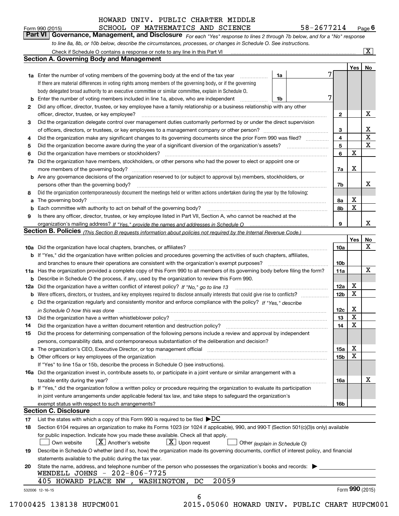SCHOOL OF MATHEMATICS AND SCIENCE 58-2677214

*For each "Yes" response to lines 2 through 7b below, and for a "No" response to line 8a, 8b, or 10b below, describe the circumstances, processes, or changes in Schedule O. See instructions.* Form 990 (2015) **CHOOL OF MATHEMATICS AND SCIENCE** 58 - 2677214 Page 6<br>**Part VI Governance, Management, and Disclosure** For each "Yes" response to lines 2 through 7b below, and for a "No" response

|    | <b>1a</b> Enter the number of voting members of the governing body at the end of the tax year                                                                                                                                  |                               |                 | Yes   No                |                         |
|----|--------------------------------------------------------------------------------------------------------------------------------------------------------------------------------------------------------------------------------|-------------------------------|-----------------|-------------------------|-------------------------|
|    | .                                                                                                                                                                                                                              | 1a                            |                 |                         |                         |
|    | If there are material differences in voting rights among members of the governing body, or if the governing                                                                                                                    |                               |                 |                         |                         |
|    | body delegated broad authority to an executive committee or similar committee, explain in Schedule O.                                                                                                                          |                               |                 |                         |                         |
|    | <b>b</b> Enter the number of voting members included in line 1a, above, who are independent <i>manumum</i>                                                                                                                     | 1b                            | 7               |                         |                         |
| 2  | Did any officer, director, trustee, or key employee have a family relationship or a business relationship with any other                                                                                                       |                               |                 |                         |                         |
|    | officer, director, trustee, or key employee?                                                                                                                                                                                   |                               | $\mathbf{2}$    |                         | Х                       |
| 3  | Did the organization delegate control over management duties customarily performed by or under the direct supervision                                                                                                          |                               |                 |                         |                         |
|    |                                                                                                                                                                                                                                |                               | 3               |                         | х                       |
| 4  | Did the organization make any significant changes to its governing documents since the prior Form 990 was filed?                                                                                                               |                               | 4               |                         | $\overline{\mathbf{x}}$ |
| 5  |                                                                                                                                                                                                                                |                               | 5               |                         | $\overline{\mathbf{x}}$ |
| 6  |                                                                                                                                                                                                                                |                               | 6               | $\mathbf X$             |                         |
| 7a | Did the organization have members, stockholders, or other persons who had the power to elect or appoint one or                                                                                                                 |                               |                 |                         |                         |
|    |                                                                                                                                                                                                                                |                               | 7a              | Х                       |                         |
|    | <b>b</b> Are any governance decisions of the organization reserved to (or subject to approval by) members, stockholders, or                                                                                                    |                               |                 |                         |                         |
|    | persons other than the governing body?                                                                                                                                                                                         |                               | 7b              |                         | х                       |
| 8  | Did the organization contemporaneously document the meetings held or written actions undertaken during the year by the following:                                                                                              |                               |                 |                         |                         |
| a  |                                                                                                                                                                                                                                |                               | 8a              | Х                       |                         |
|    |                                                                                                                                                                                                                                |                               | 8b              | $\mathbf x$             |                         |
| 9  | Is there any officer, director, trustee, or key employee listed in Part VII, Section A, who cannot be reached at the                                                                                                           |                               |                 |                         |                         |
|    |                                                                                                                                                                                                                                |                               | 9               |                         | x                       |
|    | Section B. Policies (This Section B requests information about policies not required by the Internal Revenue Code.)                                                                                                            |                               |                 |                         |                         |
|    |                                                                                                                                                                                                                                |                               |                 | Yes                     | No                      |
|    |                                                                                                                                                                                                                                |                               | 10a             |                         | $\mathbf X$             |
|    | <b>b</b> If "Yes," did the organization have written policies and procedures governing the activities of such chapters, affiliates,                                                                                            |                               |                 |                         |                         |
|    |                                                                                                                                                                                                                                |                               |                 |                         |                         |
|    |                                                                                                                                                                                                                                |                               | 10 <sub>b</sub> |                         | х                       |
|    | 11a Has the organization provided a complete copy of this Form 990 to all members of its governing body before filing the form?                                                                                                |                               | 11a             |                         |                         |
|    | <b>b</b> Describe in Schedule O the process, if any, used by the organization to review this Form 990.                                                                                                                         |                               |                 | х                       |                         |
|    |                                                                                                                                                                                                                                |                               | 12a             | $\mathbf X$             |                         |
| b  |                                                                                                                                                                                                                                |                               | 12 <sub>b</sub> |                         |                         |
|    | c Did the organization regularly and consistently monitor and enforce compliance with the policy? If "Yes." describe                                                                                                           |                               |                 |                         |                         |
|    | in Schedule O how this was done measured and the control of the control of the state of the control of the cont                                                                                                                |                               | 12c             | х<br>$\mathbf X$        |                         |
| 13 |                                                                                                                                                                                                                                |                               | 13              | $\overline{\mathbf{x}}$ |                         |
| 14 | Did the organization have a written document retention and destruction policy? manufactured and the organization have a written document retention and destruction policy?                                                     |                               | 14              |                         |                         |
| 15 | Did the process for determining compensation of the following persons include a review and approval by independent                                                                                                             |                               |                 |                         |                         |
|    | persons, comparability data, and contemporaneous substantiation of the deliberation and decision?                                                                                                                              |                               |                 |                         |                         |
|    | a The organization's CEO, Executive Director, or top management official manufactured content content of the organization's CEO, Executive Director, or top management official manufactured content of the state of the state |                               | 15a             | х                       |                         |
|    | <b>b</b> Other officers or key employees of the organization                                                                                                                                                                   |                               | 15b             | $\mathbf X$             |                         |
|    | If "Yes" to line 15a or 15b, describe the process in Schedule O (see instructions).                                                                                                                                            |                               |                 |                         |                         |
|    | 16a Did the organization invest in, contribute assets to, or participate in a joint venture or similar arrangement with a                                                                                                      |                               |                 |                         |                         |
|    | taxable entity during the year?                                                                                                                                                                                                |                               | 16a             |                         | х                       |
|    | b If "Yes," did the organization follow a written policy or procedure requiring the organization to evaluate its participation                                                                                                 |                               |                 |                         |                         |
|    | in joint venture arrangements under applicable federal tax law, and take steps to safeguard the organization's                                                                                                                 |                               |                 |                         |                         |
|    | exempt status with respect to such arrangements?                                                                                                                                                                               |                               | 16 <sub>b</sub> |                         |                         |
|    | <b>Section C. Disclosure</b>                                                                                                                                                                                                   |                               |                 |                         |                         |
| 17 | List the states with which a copy of this Form 990 is required to be filed $\blacktriangleright DC$                                                                                                                            |                               |                 |                         |                         |
| 18 | Section 6104 requires an organization to make its Forms 1023 (or 1024 if applicable), 990, and 990-T (Section 501(c)(3)s only) available                                                                                       |                               |                 |                         |                         |
|    | for public inspection. Indicate how you made these available. Check all that apply.                                                                                                                                            |                               |                 |                         |                         |
|    | $\boxed{\text{X}}$ Upon request<br>$\lfloor$ X $\rfloor$ Another's website<br>Own website                                                                                                                                      | Other (explain in Schedule O) |                 |                         |                         |
| 19 | Describe in Schedule O whether (and if so, how) the organization made its governing documents, conflict of interest policy, and financial                                                                                      |                               |                 |                         |                         |
|    | statements available to the public during the tax year.                                                                                                                                                                        |                               |                 |                         |                         |
| 20 | State the name, address, and telephone number of the person who possesses the organization's books and records:                                                                                                                |                               |                 |                         |                         |
|    | WENDELL JOHNS - 202-806-7725                                                                                                                                                                                                   |                               |                 |                         |                         |
|    | 20059<br>405 HOWARD PLACE NW<br>, WASHINGTON, DC                                                                                                                                                                               |                               |                 | Form 990 (2015)         |                         |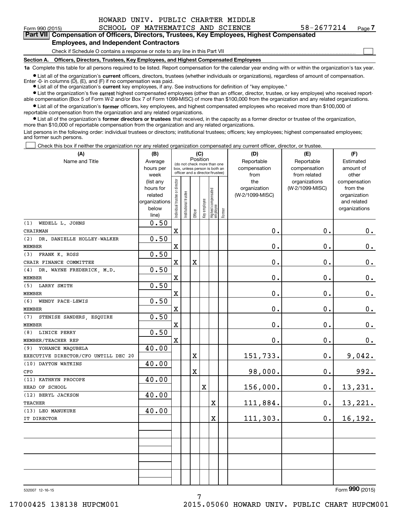$\mathcal{L}^{\text{max}}$ 

**7Part VII Compensation of Officers, Directors, Trustees, Key Employees, Highest Compensated**

## **Employees, and Independent Contractors**

**(A)**

Check if Schedule O contains a response or note to any line in this Part VII

**Section A. Officers, Directors, Trustees, Key Employees, and Highest Compensated Employees**

**1a**  Complete this table for all persons required to be listed. Report compensation for the calendar year ending with or within the organization's tax year.

**•** List all of the organization's current officers, directors, trustees (whether individuals or organizations), regardless of amount of compensation. Enter -0- in columns (D), (E), and (F) if no compensation was paid.

● List all of the organization's **current** key employees, if any. See instructions for definition of "key employee."

**•** List the organization's five current highest compensated employees (other than an officer, director, trustee, or key employee) who received reportable compensation (Box 5 of Form W-2 and/or Box 7 of Form 1099-MISC) of more than \$100,000 from the organization and any related organizations.

 $\bullet$  List all of the organization's **former** officers, key employees, and highest compensated employees who received more than \$100,000 of reportable compensation from the organization and any related organizations.

**•** List all of the organization's former directors or trustees that received, in the capacity as a former director or trustee of the organization, more than \$10,000 of reportable compensation from the organization and any related organizations.

List persons in the following order: individual trustees or directors; institutional trustees; officers; key employees; highest compensated employees; and former such persons.

Check this box if neither the organization nor any related organization compensated any current officer, director, or trustee.  $\mathcal{L}^{\text{max}}$ 

| (A)                                  | (B)                      |                                         |                                                                  | (C)     |              |                                  |        | (D)             | (E)             | (F)                         |
|--------------------------------------|--------------------------|-----------------------------------------|------------------------------------------------------------------|---------|--------------|----------------------------------|--------|-----------------|-----------------|-----------------------------|
| Name and Title                       | Average                  | Position<br>(do not check more than one |                                                                  |         |              |                                  |        | Reportable      | Reportable      | Estimated                   |
|                                      | hours per                |                                         | box, unless person is both an<br>officer and a director/trustee) |         |              |                                  |        | compensation    | compensation    | amount of                   |
|                                      | week                     |                                         |                                                                  |         |              |                                  |        | from            | from related    | other                       |
|                                      | (list any                |                                         |                                                                  |         |              |                                  |        | the             | organizations   | compensation                |
|                                      | hours for                |                                         |                                                                  |         |              |                                  |        | organization    | (W-2/1099-MISC) | from the                    |
|                                      | related<br>organizations |                                         |                                                                  |         |              |                                  |        | (W-2/1099-MISC) |                 | organization<br>and related |
|                                      | below                    |                                         |                                                                  |         |              |                                  |        |                 |                 | organizations               |
|                                      | line)                    | Individual trustee or director          | Institutional trustee                                            | Officer | Key employee | Highest compensated<br> employee | Former |                 |                 |                             |
| WEDELL L. JOHNS<br>(1)               | 0.50                     |                                         |                                                                  |         |              |                                  |        |                 |                 |                             |
| CHAIRMAN                             |                          | $\mathbf X$                             |                                                                  |         |              |                                  |        | 0.              | 0.              | 0.                          |
| (2)<br>DR. DANIELLE HOLLEY-WALKER    | 0.50                     |                                         |                                                                  |         |              |                                  |        |                 |                 |                             |
| <b>MEMBER</b>                        |                          | $\mathbf X$                             |                                                                  |         |              |                                  |        | 0.              | 0.              | 0.                          |
| FRANK K. ROSS<br>(3)                 | 0.50                     |                                         |                                                                  |         |              |                                  |        |                 |                 |                             |
| CHAIR FINANCE COMMITTEE              |                          | $\mathbf X$                             |                                                                  | X       |              |                                  |        | 0.              | 0.              | 0.                          |
| DR. WAYNE FREDERICK, M.D.<br>(4)     | 0.50                     |                                         |                                                                  |         |              |                                  |        |                 |                 |                             |
| <b>MEMBER</b>                        |                          | $\mathbf X$                             |                                                                  |         |              |                                  |        | 0.              | 0.              | $0_{.}$                     |
| (5) LARRY SMITH                      | 0.50                     |                                         |                                                                  |         |              |                                  |        |                 |                 |                             |
| <b>MEMBER</b>                        |                          | $\mathbf X$                             |                                                                  |         |              |                                  |        | 0.              | 0.              | $\mathbf 0$ .               |
| (6)<br>WENDY PACE-LEWIS              | 0.50                     |                                         |                                                                  |         |              |                                  |        |                 |                 |                             |
| <b>MEMBER</b>                        |                          | $\mathbf X$                             |                                                                  |         |              |                                  |        | 0.              | 0.              | 0.                          |
| (7)<br>STENISE SANDERS, ESQUIRE      | 0.50                     |                                         |                                                                  |         |              |                                  |        |                 |                 |                             |
| <b>MEMBER</b>                        |                          | $\mathbf X$                             |                                                                  |         |              |                                  |        | 0.              | 0.              | $\mathbf 0$ .               |
| LINICE PERRY<br>(8)                  | 0.50                     |                                         |                                                                  |         |              |                                  |        |                 |                 |                             |
| MEMBER/TEACHER REP                   |                          | $\mathbf x$                             |                                                                  |         |              |                                  |        | 0.              | 0.              | 0.                          |
| (9)<br>YOHANCE MAQUBELA              | 40.00                    |                                         |                                                                  |         |              |                                  |        |                 |                 |                             |
| EXECUTIVE DIRECTOR/CFO UNTILL DEC 20 |                          |                                         |                                                                  | X       |              |                                  |        | 151,733.        | 0.              | 9,042.                      |
| (10) DAYTON WATKINS                  | 40.00                    |                                         |                                                                  |         |              |                                  |        |                 |                 |                             |
| CFO                                  |                          |                                         |                                                                  | X       |              |                                  |        | 98,000.         | 0.              | 992.                        |
| (11) KATHRYN PROCOPE                 | 40.00                    |                                         |                                                                  |         |              |                                  |        |                 |                 |                             |
| HEAD OF SCHOOL                       |                          |                                         |                                                                  |         | $\mathbf X$  |                                  |        | 156,000.        | 0.              | 13,231.                     |
| (12) BERYL JACKSON                   | 40.00                    |                                         |                                                                  |         |              |                                  |        |                 |                 |                             |
| <b>TEACHER</b>                       |                          |                                         |                                                                  |         |              | X                                |        | 111,884.        | $\mathbf 0$ .   | 13,221.                     |
| (13) LEO MANUKURE                    | 40.00                    |                                         |                                                                  |         |              |                                  |        |                 |                 |                             |
| IT DIRECTOR                          |                          |                                         |                                                                  |         |              | X                                |        | 111,303.        | $0$ .           | 16,192.                     |
|                                      |                          |                                         |                                                                  |         |              |                                  |        |                 |                 |                             |
|                                      |                          |                                         |                                                                  |         |              |                                  |        |                 |                 |                             |
|                                      |                          |                                         |                                                                  |         |              |                                  |        |                 |                 |                             |
|                                      |                          |                                         |                                                                  |         |              |                                  |        |                 |                 |                             |
|                                      |                          |                                         |                                                                  |         |              |                                  |        |                 |                 |                             |
|                                      |                          |                                         |                                                                  |         |              |                                  |        |                 |                 |                             |
|                                      |                          |                                         |                                                                  |         |              |                                  |        |                 |                 |                             |

7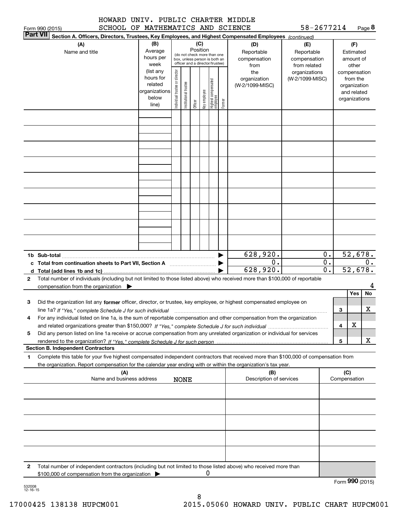|  | HOWARD UNIV. PUBLIC CHARTER MIDDLE |  |  |  |
|--|------------------------------------|--|--|--|
|  | SCHOOL OF MATHEMATICS AND SCIENCE  |  |  |  |

| 58-2677214 | Page 8 |
|------------|--------|
|------------|--------|

|              | SCHOOL OF MATHEMATICS AND SCIENCE<br>Form 990 (2015)                                                                                                 |               |                                |                                                              |         |              |                                  |        |                         | 58-2677214      |                  |                 |               | Page <b>ö</b> |
|--------------|------------------------------------------------------------------------------------------------------------------------------------------------------|---------------|--------------------------------|--------------------------------------------------------------|---------|--------------|----------------------------------|--------|-------------------------|-----------------|------------------|-----------------|---------------|---------------|
|              | <b>Part VII</b><br>Section A. Officers, Directors, Trustees, Key Employees, and Highest Compensated Employees (continued)                            |               |                                |                                                              |         |              |                                  |        |                         |                 |                  |                 |               |               |
|              | (A)                                                                                                                                                  | (B)           |                                |                                                              | (C)     |              |                                  |        | (D)                     | (E)             |                  |                 | (F)           |               |
|              | Name and title                                                                                                                                       | Average       |                                |                                                              |         | Position     |                                  |        | Reportable              | Reportable      |                  |                 | Estimated     |               |
|              |                                                                                                                                                      | hours per     |                                | (do not check more than one<br>box, unless person is both an |         |              |                                  |        | compensation            | compensation    |                  |                 | amount of     |               |
|              |                                                                                                                                                      | week          |                                | officer and a director/trustee)                              |         |              |                                  |        | from                    | from related    |                  |                 | other         |               |
|              |                                                                                                                                                      | (list any     |                                |                                                              |         |              |                                  |        | the                     | organizations   |                  |                 | compensation  |               |
|              |                                                                                                                                                      | hours for     |                                |                                                              |         |              |                                  |        | organization            | (W-2/1099-MISC) |                  |                 | from the      |               |
|              |                                                                                                                                                      | related       |                                |                                                              |         |              |                                  |        | (W-2/1099-MISC)         |                 |                  |                 | organization  |               |
|              |                                                                                                                                                      | organizations |                                |                                                              |         |              |                                  |        |                         |                 |                  |                 | and related   |               |
|              |                                                                                                                                                      | below         |                                |                                                              |         |              |                                  |        |                         |                 |                  |                 | organizations |               |
|              |                                                                                                                                                      | line)         | Individual trustee or director | Institutional trustee                                        | Officer | Key employee | Highest compensated<br> employee | Former |                         |                 |                  |                 |               |               |
|              |                                                                                                                                                      |               |                                |                                                              |         |              |                                  |        |                         |                 |                  |                 |               |               |
|              |                                                                                                                                                      |               |                                |                                                              |         |              |                                  |        |                         |                 |                  |                 |               |               |
|              |                                                                                                                                                      |               |                                |                                                              |         |              |                                  |        |                         |                 |                  |                 |               |               |
|              |                                                                                                                                                      |               |                                |                                                              |         |              |                                  |        |                         |                 |                  |                 |               |               |
|              |                                                                                                                                                      |               |                                |                                                              |         |              |                                  |        |                         |                 |                  |                 |               |               |
|              |                                                                                                                                                      |               |                                |                                                              |         |              |                                  |        |                         |                 |                  |                 |               |               |
|              |                                                                                                                                                      |               |                                |                                                              |         |              |                                  |        |                         |                 |                  |                 |               |               |
|              |                                                                                                                                                      |               |                                |                                                              |         |              |                                  |        |                         |                 |                  |                 |               |               |
|              |                                                                                                                                                      |               |                                |                                                              |         |              |                                  |        |                         |                 |                  |                 |               |               |
|              |                                                                                                                                                      |               |                                |                                                              |         |              |                                  |        |                         |                 |                  |                 |               |               |
|              |                                                                                                                                                      |               |                                |                                                              |         |              |                                  |        |                         |                 |                  |                 |               |               |
|              |                                                                                                                                                      |               |                                |                                                              |         |              |                                  |        |                         |                 |                  |                 |               |               |
|              |                                                                                                                                                      |               |                                |                                                              |         |              |                                  |        |                         |                 |                  |                 |               |               |
|              |                                                                                                                                                      |               |                                |                                                              |         |              |                                  |        |                         |                 |                  |                 |               |               |
|              |                                                                                                                                                      |               |                                |                                                              |         |              |                                  |        |                         |                 |                  |                 |               |               |
|              |                                                                                                                                                      |               |                                |                                                              |         |              |                                  |        |                         |                 |                  |                 |               |               |
|              |                                                                                                                                                      |               |                                |                                                              |         |              |                                  |        |                         |                 |                  |                 |               |               |
|              |                                                                                                                                                      |               |                                |                                                              |         |              |                                  |        |                         |                 |                  |                 |               |               |
|              |                                                                                                                                                      |               |                                |                                                              |         |              |                                  |        |                         |                 |                  |                 |               |               |
|              |                                                                                                                                                      |               |                                |                                                              |         |              |                                  |        |                         |                 |                  |                 |               |               |
|              |                                                                                                                                                      |               |                                |                                                              |         |              |                                  |        | 628,920.                |                 | 0.               |                 | 52,678.       |               |
| c            |                                                                                                                                                      |               |                                |                                                              |         |              |                                  |        | 0.                      |                 | $\overline{0}$ . |                 |               | 0.            |
|              |                                                                                                                                                      |               |                                |                                                              |         |              |                                  |        | 628,920.                |                 | $\overline{0}$ . |                 | 52,678.       |               |
| d            |                                                                                                                                                      |               |                                |                                                              |         |              |                                  |        |                         |                 |                  |                 |               |               |
| $\mathbf{2}$ | Total number of individuals (including but not limited to those listed above) who received more than \$100,000 of reportable                         |               |                                |                                                              |         |              |                                  |        |                         |                 |                  |                 |               |               |
|              | compensation from the organization                                                                                                                   |               |                                |                                                              |         |              |                                  |        |                         |                 |                  |                 |               | 4             |
|              |                                                                                                                                                      |               |                                |                                                              |         |              |                                  |        |                         |                 |                  |                 | Yes           | No            |
| 3            | Did the organization list any former officer, director, or trustee, key employee, or highest compensated employee on                                 |               |                                |                                                              |         |              |                                  |        |                         |                 |                  |                 |               |               |
|              | line 1a? If "Yes," complete Schedule J for such individual manufactured contained and the line 1a? If "Yes," complete Schedule J for such individual |               |                                |                                                              |         |              |                                  |        |                         |                 |                  | 3               |               | х             |
| 4            | For any individual listed on line 1a, is the sum of reportable compensation and other compensation from the organization                             |               |                                |                                                              |         |              |                                  |        |                         |                 |                  |                 |               |               |
|              |                                                                                                                                                      |               |                                |                                                              |         |              |                                  |        |                         |                 |                  | 4               | X             |               |
| 5            | Did any person listed on line 1a receive or accrue compensation from any unrelated organization or individual for services                           |               |                                |                                                              |         |              |                                  |        |                         |                 |                  |                 |               |               |
|              |                                                                                                                                                      |               |                                |                                                              |         |              |                                  |        |                         |                 |                  | 5               |               | х             |
|              | <b>Section B. Independent Contractors</b>                                                                                                            |               |                                |                                                              |         |              |                                  |        |                         |                 |                  |                 |               |               |
|              |                                                                                                                                                      |               |                                |                                                              |         |              |                                  |        |                         |                 |                  |                 |               |               |
| 1            | Complete this table for your five highest compensated independent contractors that received more than \$100,000 of compensation from                 |               |                                |                                                              |         |              |                                  |        |                         |                 |                  |                 |               |               |
|              | the organization. Report compensation for the calendar year ending with or within the organization's tax year.                                       |               |                                |                                                              |         |              |                                  |        |                         |                 |                  |                 |               |               |
|              | (A)                                                                                                                                                  |               |                                |                                                              |         |              |                                  |        | (B)                     |                 |                  | (C)             |               |               |
|              | Name and business address                                                                                                                            |               |                                | <b>NONE</b>                                                  |         |              |                                  |        | Description of services |                 |                  | Compensation    |               |               |
|              |                                                                                                                                                      |               |                                |                                                              |         |              |                                  |        |                         |                 |                  |                 |               |               |
|              |                                                                                                                                                      |               |                                |                                                              |         |              |                                  |        |                         |                 |                  |                 |               |               |
|              |                                                                                                                                                      |               |                                |                                                              |         |              |                                  |        |                         |                 |                  |                 |               |               |
|              |                                                                                                                                                      |               |                                |                                                              |         |              |                                  |        |                         |                 |                  |                 |               |               |
|              |                                                                                                                                                      |               |                                |                                                              |         |              |                                  |        |                         |                 |                  |                 |               |               |
|              |                                                                                                                                                      |               |                                |                                                              |         |              |                                  |        |                         |                 |                  |                 |               |               |
|              |                                                                                                                                                      |               |                                |                                                              |         |              |                                  |        |                         |                 |                  |                 |               |               |
|              |                                                                                                                                                      |               |                                |                                                              |         |              |                                  |        |                         |                 |                  |                 |               |               |
|              |                                                                                                                                                      |               |                                |                                                              |         |              |                                  |        |                         |                 |                  |                 |               |               |
|              |                                                                                                                                                      |               |                                |                                                              |         |              |                                  |        |                         |                 |                  |                 |               |               |
|              |                                                                                                                                                      |               |                                |                                                              |         |              |                                  |        |                         |                 |                  |                 |               |               |
| 2            | Total number of independent contractors (including but not limited to those listed above) who received more than                                     |               |                                |                                                              |         |              |                                  |        |                         |                 |                  |                 |               |               |
|              | \$100,000 of compensation from the organization                                                                                                      |               |                                |                                                              |         | o            |                                  |        |                         |                 |                  |                 |               |               |
|              |                                                                                                                                                      |               |                                |                                                              |         |              |                                  |        |                         |                 |                  | Form 990 (2015) |               |               |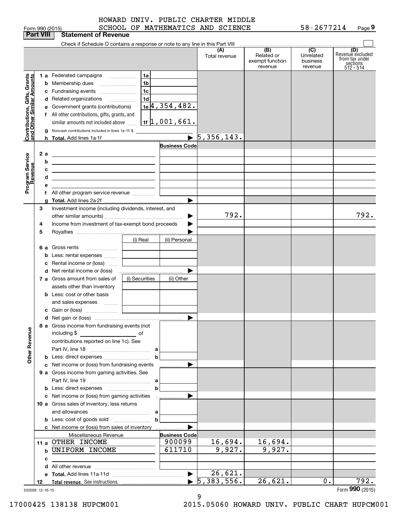|  | , QQN <i>(</i> 2015) |  |
|--|----------------------|--|

|                                                                                         | <b>Part VIII</b>             | <b>Statement of Revenue</b>                                                                                                                                                                                                                                                                                                                                                                                                                                                                                                                                                                                                                                                                                                          |                                                                          |                                     |                                                              |                                         |                                                                      |
|-----------------------------------------------------------------------------------------|------------------------------|--------------------------------------------------------------------------------------------------------------------------------------------------------------------------------------------------------------------------------------------------------------------------------------------------------------------------------------------------------------------------------------------------------------------------------------------------------------------------------------------------------------------------------------------------------------------------------------------------------------------------------------------------------------------------------------------------------------------------------------|--------------------------------------------------------------------------|-------------------------------------|--------------------------------------------------------------|-----------------------------------------|----------------------------------------------------------------------|
|                                                                                         |                              | Check if Schedule O contains a response or note to any line in this Part VIII                                                                                                                                                                                                                                                                                                                                                                                                                                                                                                                                                                                                                                                        |                                                                          |                                     |                                                              |                                         |                                                                      |
|                                                                                         |                              |                                                                                                                                                                                                                                                                                                                                                                                                                                                                                                                                                                                                                                                                                                                                      |                                                                          | (A)<br>Total revenue                | $\overline{(B)}$<br>Related or<br>exempt function<br>revenue | (C)<br>Unrelated<br>business<br>revenue | (D)<br>Revenuè excluded<br>from tax under<br>sections<br>$512 - 514$ |
| Contributions, Gifts, Grants<br>and Other Similar Amounts<br>Program Service<br>Revenue | b<br>2 a<br>b<br>c<br>d<br>е | 1a<br>1 a Federated campaigns<br>1 <sub>b</sub><br>Membership dues<br>1 <sub>c</sub><br>c Fundraising events<br>1 <sub>d</sub><br>d Related organizations<br>e Government grants (contributions)<br>f All other contributions, gifts, grants, and<br>similar amounts not included above<br>g Noncash contributions included in lines 1a-1f: \$<br><u> 1989 - Johann Stein, mars an deus Amerikaansk kommunister (</u><br><u> 1989 - Johann Barbara, martin amerikan basar dan berasal dalam basa dalam basar dalam basar dalam basar dala</u><br><u> 1989 - Johann Stein, marwolaethau a bhann an t-Amhair an t-Amhair an t-Amhair an t-Amhair an t-Amhair an t-A</u><br><u> 1989 - Andrea Stadt Britain, amerikansk politiker (</u> | $1e$ <sup>4</sup> , 354, 482.<br>11   1,001,661.<br><b>Business Code</b> | $\overline{5}$ , 356, 143.          |                                                              |                                         |                                                                      |
|                                                                                         | g                            |                                                                                                                                                                                                                                                                                                                                                                                                                                                                                                                                                                                                                                                                                                                                      |                                                                          |                                     |                                                              |                                         |                                                                      |
|                                                                                         | 3<br>4<br>5                  | Investment income (including dividends, interest, and<br>Income from investment of tax-exempt bond proceeds                                                                                                                                                                                                                                                                                                                                                                                                                                                                                                                                                                                                                          |                                                                          | 792.                                |                                                              |                                         | 792.                                                                 |
|                                                                                         | 6а<br>b<br>c                 | (i) Real<br>Gross rents<br>Less: rental expenses<br>Rental income or (loss)  [                                                                                                                                                                                                                                                                                                                                                                                                                                                                                                                                                                                                                                                       | (ii) Personal                                                            |                                     |                                                              |                                         |                                                                      |
|                                                                                         |                              | (i) Securities<br>7 a Gross amount from sales of<br>assets other than inventory<br><b>b</b> Less: cost or other basis<br>and sales expenses                                                                                                                                                                                                                                                                                                                                                                                                                                                                                                                                                                                          | (ii) Other                                                               |                                     |                                                              |                                         |                                                                      |
|                                                                                         |                              |                                                                                                                                                                                                                                                                                                                                                                                                                                                                                                                                                                                                                                                                                                                                      |                                                                          |                                     |                                                              |                                         |                                                                      |
| <b>Other Revenue</b>                                                                    |                              | 8 a Gross income from fundraising events (not<br>including \$<br><u>of</u> of<br>contributions reported on line 1c). See                                                                                                                                                                                                                                                                                                                                                                                                                                                                                                                                                                                                             | $\blacktriangleright$                                                    |                                     |                                                              |                                         |                                                                      |
|                                                                                         |                              | b<br>c Net income or (loss) from fundraising events<br>9 a Gross income from gaming activities. See                                                                                                                                                                                                                                                                                                                                                                                                                                                                                                                                                                                                                                  |                                                                          |                                     |                                                              |                                         |                                                                      |
|                                                                                         |                              | b<br>c Net income or (loss) from gaming activities<br>10 a Gross sales of inventory, less returns                                                                                                                                                                                                                                                                                                                                                                                                                                                                                                                                                                                                                                    |                                                                          |                                     |                                                              |                                         |                                                                      |
|                                                                                         |                              | $\mathbf b$<br>c Net income or (loss) from sales of inventory                                                                                                                                                                                                                                                                                                                                                                                                                                                                                                                                                                                                                                                                        |                                                                          |                                     |                                                              |                                         |                                                                      |
|                                                                                         | c                            | Miscellaneous Revenue<br>11 a OTHER INCOME<br><b>b UNIFORM INCOME</b><br>the control of the control of the control of the control of the control of                                                                                                                                                                                                                                                                                                                                                                                                                                                                                                                                                                                  | <b>Business Code</b><br>900099<br>611710                                 | 16,694.<br>9,927.                   | 16,694.<br>9,927.                                            |                                         |                                                                      |
|                                                                                         | 12                           |                                                                                                                                                                                                                                                                                                                                                                                                                                                                                                                                                                                                                                                                                                                                      |                                                                          | 26,621.<br>$\overline{5,383,556}$ . | 26,621.                                                      | $0$ .                                   | 792.                                                                 |
|                                                                                         | 532009 12-16-15              |                                                                                                                                                                                                                                                                                                                                                                                                                                                                                                                                                                                                                                                                                                                                      |                                                                          |                                     |                                                              |                                         | Form 990 (2015)                                                      |

9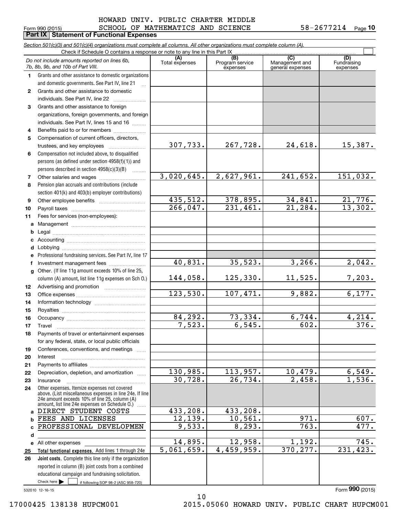## $_{\rm Form}$   $_{990}$  (2015) <code>SCHOOL OF MATHEMATICS</code> AND <code>SCIENCE</code>  $_{\rm 58-2677214}$  <code>Page</code> HOWARD UNIV. PUBLIC CHARTER MIDDLE

**Part IX | Statement of Functional Expenses** 

|    | Section 501(c)(3) and 501(c)(4) organizations must complete all columns. All other organizations must complete column (A).<br>Check if Schedule O contains a response or note to any line in this Part IX   |                |                             |                                    |                           |
|----|-------------------------------------------------------------------------------------------------------------------------------------------------------------------------------------------------------------|----------------|-----------------------------|------------------------------------|---------------------------|
|    |                                                                                                                                                                                                             |                | (B)                         | $\overline{C}$                     | (D)                       |
|    | Do not include amounts reported on lines 6b,<br>7b, 8b, 9b, and 10b of Part VIII.                                                                                                                           | Total expenses | Program service<br>expenses | Management and<br>general expenses | Fundraising<br>expenses   |
| 1. | Grants and other assistance to domestic organizations                                                                                                                                                       |                |                             |                                    |                           |
|    | and domestic governments. See Part IV, line 21                                                                                                                                                              |                |                             |                                    |                           |
| 2  | Grants and other assistance to domestic                                                                                                                                                                     |                |                             |                                    |                           |
|    | individuals. See Part IV, line 22                                                                                                                                                                           |                |                             |                                    |                           |
| 3  | Grants and other assistance to foreign                                                                                                                                                                      |                |                             |                                    |                           |
|    | organizations, foreign governments, and foreign                                                                                                                                                             |                |                             |                                    |                           |
|    | individuals. See Part IV, lines 15 and 16                                                                                                                                                                   |                |                             |                                    |                           |
| 4  | Benefits paid to or for members                                                                                                                                                                             |                |                             |                                    |                           |
| 5  | Compensation of current officers, directors,                                                                                                                                                                |                |                             |                                    |                           |
|    |                                                                                                                                                                                                             | 307,733.       | 267,728.                    | 24,618.                            | 15,387.                   |
| 6  | Compensation not included above, to disqualified                                                                                                                                                            |                |                             |                                    |                           |
|    | persons (as defined under section 4958(f)(1)) and                                                                                                                                                           |                |                             |                                    |                           |
|    | persons described in section 4958(c)(3)(B)                                                                                                                                                                  |                |                             |                                    |                           |
| 7  |                                                                                                                                                                                                             | 3,020,645.     | 2,627,961.                  | 241, 652.                          | 151,032.                  |
| 8  | Pension plan accruals and contributions (include                                                                                                                                                            |                |                             |                                    |                           |
|    | section 401(k) and 403(b) employer contributions)                                                                                                                                                           |                |                             |                                    |                           |
| 9  |                                                                                                                                                                                                             | 435,512.       | 378,895.                    | $\frac{34,841}{21,284}$            | $\frac{21,776.}{13,302.}$ |
| 10 |                                                                                                                                                                                                             | 266,047.       | 231,461.                    |                                    |                           |
| 11 | Fees for services (non-employees):                                                                                                                                                                          |                |                             |                                    |                           |
| a  |                                                                                                                                                                                                             |                |                             |                                    |                           |
| b  |                                                                                                                                                                                                             |                |                             |                                    |                           |
| c  |                                                                                                                                                                                                             |                |                             |                                    |                           |
| d  |                                                                                                                                                                                                             |                |                             |                                    |                           |
|    | Professional fundraising services. See Part IV, line 17                                                                                                                                                     |                |                             |                                    |                           |
| f  | Investment management fees                                                                                                                                                                                  | 40,831.        | 35,523.                     | 3,266.                             | 2,042.                    |
| g  | Other. (If line 11g amount exceeds 10% of line 25,                                                                                                                                                          |                |                             |                                    |                           |
|    | column (A) amount, list line 11g expenses on Sch O.)                                                                                                                                                        | 144,058.       | 125,330.                    | 11,525.                            | 7,203.                    |
| 12 |                                                                                                                                                                                                             |                |                             |                                    |                           |
| 13 |                                                                                                                                                                                                             | 123,530.       | 107, 471.                   | 9,882.                             | 6,177.                    |
| 14 |                                                                                                                                                                                                             |                |                             |                                    |                           |
| 15 |                                                                                                                                                                                                             |                |                             |                                    |                           |
| 16 |                                                                                                                                                                                                             | 84, 292.       | 73,334.                     | 6,744.                             | 4,214.                    |
| 17 |                                                                                                                                                                                                             | 7,523.         | 6, 545.                     | 602.                               | 376.                      |
| 18 | Payments of travel or entertainment expenses                                                                                                                                                                |                |                             |                                    |                           |
|    | for any federal, state, or local public officials                                                                                                                                                           |                |                             |                                    |                           |
| 19 | Conferences, conventions, and meetings                                                                                                                                                                      |                |                             |                                    |                           |
| 20 | Interest                                                                                                                                                                                                    |                |                             |                                    |                           |
| 21 |                                                                                                                                                                                                             |                |                             |                                    |                           |
| 22 | Depreciation, depletion, and amortization                                                                                                                                                                   | 130,985.       | 113,957.                    | 10,479.                            | 6,549.                    |
| 23 | Insurance                                                                                                                                                                                                   | 30,728.        | 26,734.                     | 2,458.                             | 1,536.                    |
| 24 | Other expenses. Itemize expenses not covered<br>above. (List miscellaneous expenses in line 24e. If line<br>24e amount exceeds 10% of line 25, column (A)<br>amount, list line 24e expenses on Schedule O.) |                |                             |                                    |                           |
| a  | DIRECT STUDENT COSTS                                                                                                                                                                                        | 433, 208.      | 433,208.                    |                                    |                           |
| b  | FEES AND LICENSES                                                                                                                                                                                           | 12, 139.       | 10,561.                     | 971.                               | 607.                      |
|    | PROFESSIONAL DEVELOPMEN                                                                                                                                                                                     | 9,533.         | 8, 293.                     | 763.                               | 477.                      |
| d  |                                                                                                                                                                                                             |                |                             |                                    |                           |
| е  | All other expenses                                                                                                                                                                                          | 14,895.        | 12,958.                     | 1,192.                             | 745.                      |
| 25 | Total functional expenses. Add lines 1 through 24e                                                                                                                                                          | 5,061,659.     | 4,459,959.                  | 370, 277.                          | 231, 423.                 |
| 26 | Joint costs. Complete this line only if the organization                                                                                                                                                    |                |                             |                                    |                           |
|    | reported in column (B) joint costs from a combined                                                                                                                                                          |                |                             |                                    |                           |
|    | educational campaign and fundraising solicitation.                                                                                                                                                          |                |                             |                                    |                           |
|    | Check here $\blacktriangleright$<br>if following SOP 98-2 (ASC 958-720)                                                                                                                                     |                |                             |                                    |                           |

532010 12-16-15

Form (2015) **990**

10 17000425 138138 HUPCM001 2015.05060 HOWARD UNIV. PUBLIC CHART HUPCM001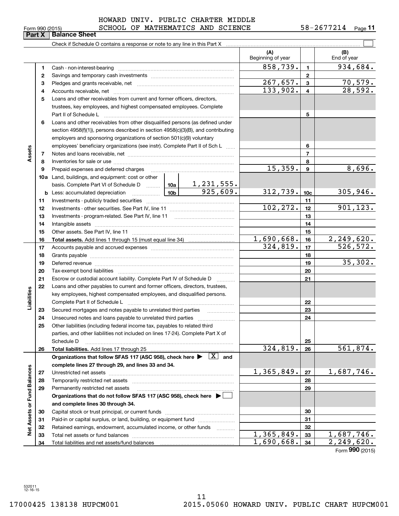| Form 990 (2015) |                               |  |
|-----------------|-------------------------------|--|
|                 | <b>Part X   Balance Sheet</b> |  |

### $_{\rm Form}$   $_{990}$  (2015) <code>SCHOOL OF MATHEMATICS</code> AND <code>SCIENCE</code>  $_{\rm 58-2677214}$  <code>Page</code> HOWARD UNIV. PUBLIC CHARTER MIDDLE

|                                                                                              |    |                                                                                                                                                                                                                                |          |                | (A)<br>Beginning of year |                 | (B)<br>End of year        |
|----------------------------------------------------------------------------------------------|----|--------------------------------------------------------------------------------------------------------------------------------------------------------------------------------------------------------------------------------|----------|----------------|--------------------------|-----------------|---------------------------|
|                                                                                              | 1. |                                                                                                                                                                                                                                |          |                | 858,739.                 | $\mathbf{1}$    | 934,684.                  |
|                                                                                              | 2  |                                                                                                                                                                                                                                |          |                |                          | 2               |                           |
| Assets<br>21<br>22<br>Liabilities<br>23<br>24<br>25<br><b>Fund Balances</b><br>Net Assets or | з  |                                                                                                                                                                                                                                |          |                | <u>267,657.</u>          | 3               | $\frac{70,579.}{28,592.}$ |
|                                                                                              | 4  |                                                                                                                                                                                                                                | 133,902. | $\overline{4}$ |                          |                 |                           |
|                                                                                              | 5  | Loans and other receivables from current and former officers, directors,                                                                                                                                                       |          |                |                          |                 |                           |
|                                                                                              |    | trustees, key employees, and highest compensated employees. Complete                                                                                                                                                           |          |                |                          |                 |                           |
|                                                                                              |    | Part II of Schedule L                                                                                                                                                                                                          |          |                |                          | 5               |                           |
|                                                                                              | 6  | Loans and other receivables from other disqualified persons (as defined under                                                                                                                                                  |          |                |                          |                 |                           |
|                                                                                              |    | section 4958(f)(1)), persons described in section 4958(c)(3)(B), and contributing                                                                                                                                              |          |                |                          |                 |                           |
|                                                                                              |    | employers and sponsoring organizations of section 501(c)(9) voluntary                                                                                                                                                          |          |                |                          |                 |                           |
|                                                                                              |    | employees' beneficiary organizations (see instr). Complete Part II of Sch L                                                                                                                                                    |          |                | 6                        |                 |                           |
|                                                                                              | 7  |                                                                                                                                                                                                                                |          | $\overline{7}$ |                          |                 |                           |
|                                                                                              | 8  |                                                                                                                                                                                                                                |          |                |                          | 8               |                           |
|                                                                                              | 9  |                                                                                                                                                                                                                                |          |                | 15, 359.                 | 9               | 8,696.                    |
|                                                                                              |    | <b>10a</b> Land, buildings, and equipment: cost or other                                                                                                                                                                       |          |                |                          |                 |                           |
|                                                                                              |    | basis. Complete Part VI of Schedule D $\begin{array}{ c c c c c }\n\hline\n1 & 231 & 555. \\ \hline\n\text{Less: accumulated depreciation} & \text{________} & \text{10b} & \text{925,609.} \\ \hline\n\end{array}$            |          |                |                          |                 |                           |
|                                                                                              |    | <b>b</b> Less: accumulated depreciation <b>contains the Lab</b>                                                                                                                                                                |          |                | 312,739.                 | 10 <sub>c</sub> | 305,946.                  |
|                                                                                              | 11 |                                                                                                                                                                                                                                |          |                |                          | 11              |                           |
|                                                                                              | 12 |                                                                                                                                                                                                                                |          |                | 102,272.                 | 12              | 901, 123.                 |
|                                                                                              | 13 |                                                                                                                                                                                                                                |          | 13             |                          |                 |                           |
|                                                                                              | 14 |                                                                                                                                                                                                                                |          | 14             |                          |                 |                           |
|                                                                                              | 15 |                                                                                                                                                                                                                                |          | 15             |                          |                 |                           |
|                                                                                              | 16 |                                                                                                                                                                                                                                |          |                | 1,690,668.               | 16              | 2, 249, 620.              |
|                                                                                              | 17 |                                                                                                                                                                                                                                |          |                | 324,819.                 | 17              | 526,572.                  |
|                                                                                              | 18 |                                                                                                                                                                                                                                |          | 18             |                          |                 |                           |
|                                                                                              | 19 | Deferred revenue manual contracts and contracts are all the contracts and contracts are contracted and contracts are contracted and contract are contracted and contract are contracted and contract are contracted and contra |          | 19             | 35,302.                  |                 |                           |
|                                                                                              | 20 |                                                                                                                                                                                                                                |          | 20             |                          |                 |                           |
|                                                                                              |    | Escrow or custodial account liability. Complete Part IV of Schedule D                                                                                                                                                          |          |                | 21                       |                 |                           |
|                                                                                              |    | Loans and other payables to current and former officers, directors, trustees,                                                                                                                                                  |          |                |                          |                 |                           |
|                                                                                              |    | key employees, highest compensated employees, and disqualified persons.                                                                                                                                                        |          |                |                          |                 |                           |
|                                                                                              |    |                                                                                                                                                                                                                                |          |                |                          | 22              |                           |
|                                                                                              |    | Secured mortgages and notes payable to unrelated third parties <i>manufactured</i> mortgages and notes payable to unrelated third parties                                                                                      |          |                |                          | 23<br>24        |                           |
|                                                                                              |    | Other liabilities (including federal income tax, payables to related third                                                                                                                                                     |          |                |                          |                 |                           |
|                                                                                              |    | parties, and other liabilities not included on lines 17-24). Complete Part X of                                                                                                                                                |          |                |                          |                 |                           |
|                                                                                              |    | Schedule D                                                                                                                                                                                                                     |          |                |                          | 25              |                           |
|                                                                                              | 26 | Total liabilities. Add lines 17 through 25                                                                                                                                                                                     |          |                | 324,819.                 | 26              | 561,874.                  |
|                                                                                              |    | Organizations that follow SFAS 117 (ASC 958), check here $\blacktriangleright \begin{array}{ c } \hline X & \text{and} \end{array}$                                                                                            |          |                |                          |                 |                           |
|                                                                                              |    | complete lines 27 through 29, and lines 33 and 34.                                                                                                                                                                             |          |                |                          |                 |                           |
|                                                                                              | 27 |                                                                                                                                                                                                                                |          |                | 1,365,849.               | 27              | 1,687,746.                |
|                                                                                              | 28 |                                                                                                                                                                                                                                |          |                |                          | 28              |                           |
|                                                                                              | 29 | Permanently restricted net assets                                                                                                                                                                                              |          |                |                          | 29              |                           |
|                                                                                              |    | Organizations that do not follow SFAS 117 (ASC 958), check here ▶ □                                                                                                                                                            |          |                |                          |                 |                           |
|                                                                                              |    | and complete lines 30 through 34.                                                                                                                                                                                              |          |                |                          |                 |                           |
|                                                                                              | 30 |                                                                                                                                                                                                                                |          |                |                          | 30              |                           |
|                                                                                              | 31 | Paid-in or capital surplus, or land, building, or equipment fund                                                                                                                                                               |          |                |                          | 31              |                           |
|                                                                                              | 32 | Retained earnings, endowment, accumulated income, or other funds                                                                                                                                                               |          |                |                          | 32              |                           |
|                                                                                              | 33 |                                                                                                                                                                                                                                |          |                | 1,365,849.               | 33              | 1,687,746.                |
|                                                                                              | 34 |                                                                                                                                                                                                                                |          |                | 1,690,668.               | 34              | $\overline{2,249}$ , 620. |

Form (2015) **990**

532011 12-16-15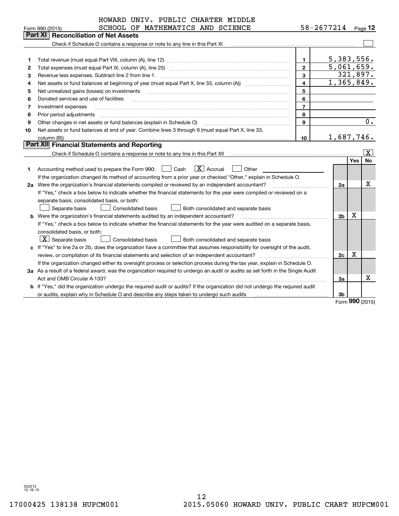| $58 - 2677214$ Page 12<br>SCHOOL OF MATHEMATICS AND SCIENCE<br>Form 990 (2015)<br>Part XI<br><b>Reconciliation of Net Assets</b><br>Check if Schedule O contains a response or note to any line in this Part XI<br>5,383,556.<br>Total revenue (must equal Part VIII, column (A), line 12)<br>1<br>1<br>5,061,659.<br>$\mathbf{2}$<br>Total expenses (must equal Part IX, column (A), line 25)<br>2<br>321,897.<br>3<br>Revenue less expenses. Subtract line 2 from line 1<br>З<br>1,365,849.<br>4<br>4<br>5<br>5<br>Net unrealized gains (losses) on investments<br>6<br>Donated services and use of facilities<br>6<br>$\overline{7}$<br>7<br>Investment expenses<br>8<br>Prior period adjustments<br>8<br>0.<br>Other changes in net assets or fund balances (explain in Schedule O)<br>9<br>9<br>Net assets or fund balances at end of year. Combine lines 3 through 9 (must equal Part X, line 33,<br>10<br>1,687,746.<br>10<br>column (B))<br>Part XII Financial Statements and Reporting<br>$\mathbf{X}$<br><b>No</b><br>Yes<br>$\boxed{\textbf{X}}$ Accrual<br>$\Box$ Cash<br>Other<br>Accounting method used to prepare the Form 990:<br>1<br>If the organization changed its method of accounting from a prior year or checked "Other," explain in Schedule O.<br>x<br>2a Were the organization's financial statements compiled or reviewed by an independent accountant?<br>2a<br>If "Yes," check a box below to indicate whether the financial statements for the year were compiled or reviewed on a<br>separate basis, consolidated basis, or both:<br>Separate basis<br><b>Consolidated basis</b><br>Both consolidated and separate basis<br>х<br><b>b</b> Were the organization's financial statements audited by an independent accountant?<br>2 <sub>b</sub><br>If "Yes," check a box below to indicate whether the financial statements for the year were audited on a separate basis,<br>consolidated basis, or both:<br>$\lfloor x \rfloor$ Separate basis<br><b>Consolidated basis</b><br>Both consolidated and separate basis<br>c If "Yes" to line 2a or 2b, does the organization have a committee that assumes responsibility for oversight of the audit,<br>x<br>review, or compilation of its financial statements and selection of an independent accountant?<br>2c<br>If the organization changed either its oversight process or selection process during the tax year, explain in Schedule O.<br>3a As a result of a federal award, was the organization required to undergo an audit or audits as set forth in the Single Audit<br>х<br>За<br>b If "Yes," did the organization undergo the required audit or audits? If the organization did not undergo the required audit<br>3b<br>$000 \text{ mas}$ | HOWARD UNIV. PUBLIC CHARTER MIDDLE |  |  |
|-----------------------------------------------------------------------------------------------------------------------------------------------------------------------------------------------------------------------------------------------------------------------------------------------------------------------------------------------------------------------------------------------------------------------------------------------------------------------------------------------------------------------------------------------------------------------------------------------------------------------------------------------------------------------------------------------------------------------------------------------------------------------------------------------------------------------------------------------------------------------------------------------------------------------------------------------------------------------------------------------------------------------------------------------------------------------------------------------------------------------------------------------------------------------------------------------------------------------------------------------------------------------------------------------------------------------------------------------------------------------------------------------------------------------------------------------------------------------------------------------------------------------------------------------------------------------------------------------------------------------------------------------------------------------------------------------------------------------------------------------------------------------------------------------------------------------------------------------------------------------------------------------------------------------------------------------------------------------------------------------------------------------------------------------------------------------------------------------------------------------------------------------------------------------------------------------------------------------------------------------------------------------------------------------------------------------------------------------------------------------------------------------------------------------------------------------------------------------------------------------------------------------------------------------------------------------------------------------------------------------------------------------------------------------------------------------------------------------------------------|------------------------------------|--|--|
|                                                                                                                                                                                                                                                                                                                                                                                                                                                                                                                                                                                                                                                                                                                                                                                                                                                                                                                                                                                                                                                                                                                                                                                                                                                                                                                                                                                                                                                                                                                                                                                                                                                                                                                                                                                                                                                                                                                                                                                                                                                                                                                                                                                                                                                                                                                                                                                                                                                                                                                                                                                                                                                                                                                                         |                                    |  |  |
|                                                                                                                                                                                                                                                                                                                                                                                                                                                                                                                                                                                                                                                                                                                                                                                                                                                                                                                                                                                                                                                                                                                                                                                                                                                                                                                                                                                                                                                                                                                                                                                                                                                                                                                                                                                                                                                                                                                                                                                                                                                                                                                                                                                                                                                                                                                                                                                                                                                                                                                                                                                                                                                                                                                                         |                                    |  |  |
|                                                                                                                                                                                                                                                                                                                                                                                                                                                                                                                                                                                                                                                                                                                                                                                                                                                                                                                                                                                                                                                                                                                                                                                                                                                                                                                                                                                                                                                                                                                                                                                                                                                                                                                                                                                                                                                                                                                                                                                                                                                                                                                                                                                                                                                                                                                                                                                                                                                                                                                                                                                                                                                                                                                                         |                                    |  |  |
|                                                                                                                                                                                                                                                                                                                                                                                                                                                                                                                                                                                                                                                                                                                                                                                                                                                                                                                                                                                                                                                                                                                                                                                                                                                                                                                                                                                                                                                                                                                                                                                                                                                                                                                                                                                                                                                                                                                                                                                                                                                                                                                                                                                                                                                                                                                                                                                                                                                                                                                                                                                                                                                                                                                                         |                                    |  |  |
|                                                                                                                                                                                                                                                                                                                                                                                                                                                                                                                                                                                                                                                                                                                                                                                                                                                                                                                                                                                                                                                                                                                                                                                                                                                                                                                                                                                                                                                                                                                                                                                                                                                                                                                                                                                                                                                                                                                                                                                                                                                                                                                                                                                                                                                                                                                                                                                                                                                                                                                                                                                                                                                                                                                                         |                                    |  |  |
|                                                                                                                                                                                                                                                                                                                                                                                                                                                                                                                                                                                                                                                                                                                                                                                                                                                                                                                                                                                                                                                                                                                                                                                                                                                                                                                                                                                                                                                                                                                                                                                                                                                                                                                                                                                                                                                                                                                                                                                                                                                                                                                                                                                                                                                                                                                                                                                                                                                                                                                                                                                                                                                                                                                                         |                                    |  |  |
|                                                                                                                                                                                                                                                                                                                                                                                                                                                                                                                                                                                                                                                                                                                                                                                                                                                                                                                                                                                                                                                                                                                                                                                                                                                                                                                                                                                                                                                                                                                                                                                                                                                                                                                                                                                                                                                                                                                                                                                                                                                                                                                                                                                                                                                                                                                                                                                                                                                                                                                                                                                                                                                                                                                                         |                                    |  |  |
|                                                                                                                                                                                                                                                                                                                                                                                                                                                                                                                                                                                                                                                                                                                                                                                                                                                                                                                                                                                                                                                                                                                                                                                                                                                                                                                                                                                                                                                                                                                                                                                                                                                                                                                                                                                                                                                                                                                                                                                                                                                                                                                                                                                                                                                                                                                                                                                                                                                                                                                                                                                                                                                                                                                                         |                                    |  |  |
|                                                                                                                                                                                                                                                                                                                                                                                                                                                                                                                                                                                                                                                                                                                                                                                                                                                                                                                                                                                                                                                                                                                                                                                                                                                                                                                                                                                                                                                                                                                                                                                                                                                                                                                                                                                                                                                                                                                                                                                                                                                                                                                                                                                                                                                                                                                                                                                                                                                                                                                                                                                                                                                                                                                                         |                                    |  |  |
|                                                                                                                                                                                                                                                                                                                                                                                                                                                                                                                                                                                                                                                                                                                                                                                                                                                                                                                                                                                                                                                                                                                                                                                                                                                                                                                                                                                                                                                                                                                                                                                                                                                                                                                                                                                                                                                                                                                                                                                                                                                                                                                                                                                                                                                                                                                                                                                                                                                                                                                                                                                                                                                                                                                                         |                                    |  |  |
|                                                                                                                                                                                                                                                                                                                                                                                                                                                                                                                                                                                                                                                                                                                                                                                                                                                                                                                                                                                                                                                                                                                                                                                                                                                                                                                                                                                                                                                                                                                                                                                                                                                                                                                                                                                                                                                                                                                                                                                                                                                                                                                                                                                                                                                                                                                                                                                                                                                                                                                                                                                                                                                                                                                                         |                                    |  |  |
|                                                                                                                                                                                                                                                                                                                                                                                                                                                                                                                                                                                                                                                                                                                                                                                                                                                                                                                                                                                                                                                                                                                                                                                                                                                                                                                                                                                                                                                                                                                                                                                                                                                                                                                                                                                                                                                                                                                                                                                                                                                                                                                                                                                                                                                                                                                                                                                                                                                                                                                                                                                                                                                                                                                                         |                                    |  |  |
|                                                                                                                                                                                                                                                                                                                                                                                                                                                                                                                                                                                                                                                                                                                                                                                                                                                                                                                                                                                                                                                                                                                                                                                                                                                                                                                                                                                                                                                                                                                                                                                                                                                                                                                                                                                                                                                                                                                                                                                                                                                                                                                                                                                                                                                                                                                                                                                                                                                                                                                                                                                                                                                                                                                                         |                                    |  |  |
|                                                                                                                                                                                                                                                                                                                                                                                                                                                                                                                                                                                                                                                                                                                                                                                                                                                                                                                                                                                                                                                                                                                                                                                                                                                                                                                                                                                                                                                                                                                                                                                                                                                                                                                                                                                                                                                                                                                                                                                                                                                                                                                                                                                                                                                                                                                                                                                                                                                                                                                                                                                                                                                                                                                                         |                                    |  |  |
|                                                                                                                                                                                                                                                                                                                                                                                                                                                                                                                                                                                                                                                                                                                                                                                                                                                                                                                                                                                                                                                                                                                                                                                                                                                                                                                                                                                                                                                                                                                                                                                                                                                                                                                                                                                                                                                                                                                                                                                                                                                                                                                                                                                                                                                                                                                                                                                                                                                                                                                                                                                                                                                                                                                                         |                                    |  |  |
|                                                                                                                                                                                                                                                                                                                                                                                                                                                                                                                                                                                                                                                                                                                                                                                                                                                                                                                                                                                                                                                                                                                                                                                                                                                                                                                                                                                                                                                                                                                                                                                                                                                                                                                                                                                                                                                                                                                                                                                                                                                                                                                                                                                                                                                                                                                                                                                                                                                                                                                                                                                                                                                                                                                                         |                                    |  |  |
|                                                                                                                                                                                                                                                                                                                                                                                                                                                                                                                                                                                                                                                                                                                                                                                                                                                                                                                                                                                                                                                                                                                                                                                                                                                                                                                                                                                                                                                                                                                                                                                                                                                                                                                                                                                                                                                                                                                                                                                                                                                                                                                                                                                                                                                                                                                                                                                                                                                                                                                                                                                                                                                                                                                                         |                                    |  |  |
|                                                                                                                                                                                                                                                                                                                                                                                                                                                                                                                                                                                                                                                                                                                                                                                                                                                                                                                                                                                                                                                                                                                                                                                                                                                                                                                                                                                                                                                                                                                                                                                                                                                                                                                                                                                                                                                                                                                                                                                                                                                                                                                                                                                                                                                                                                                                                                                                                                                                                                                                                                                                                                                                                                                                         |                                    |  |  |
|                                                                                                                                                                                                                                                                                                                                                                                                                                                                                                                                                                                                                                                                                                                                                                                                                                                                                                                                                                                                                                                                                                                                                                                                                                                                                                                                                                                                                                                                                                                                                                                                                                                                                                                                                                                                                                                                                                                                                                                                                                                                                                                                                                                                                                                                                                                                                                                                                                                                                                                                                                                                                                                                                                                                         |                                    |  |  |
|                                                                                                                                                                                                                                                                                                                                                                                                                                                                                                                                                                                                                                                                                                                                                                                                                                                                                                                                                                                                                                                                                                                                                                                                                                                                                                                                                                                                                                                                                                                                                                                                                                                                                                                                                                                                                                                                                                                                                                                                                                                                                                                                                                                                                                                                                                                                                                                                                                                                                                                                                                                                                                                                                                                                         |                                    |  |  |
|                                                                                                                                                                                                                                                                                                                                                                                                                                                                                                                                                                                                                                                                                                                                                                                                                                                                                                                                                                                                                                                                                                                                                                                                                                                                                                                                                                                                                                                                                                                                                                                                                                                                                                                                                                                                                                                                                                                                                                                                                                                                                                                                                                                                                                                                                                                                                                                                                                                                                                                                                                                                                                                                                                                                         |                                    |  |  |
|                                                                                                                                                                                                                                                                                                                                                                                                                                                                                                                                                                                                                                                                                                                                                                                                                                                                                                                                                                                                                                                                                                                                                                                                                                                                                                                                                                                                                                                                                                                                                                                                                                                                                                                                                                                                                                                                                                                                                                                                                                                                                                                                                                                                                                                                                                                                                                                                                                                                                                                                                                                                                                                                                                                                         |                                    |  |  |
|                                                                                                                                                                                                                                                                                                                                                                                                                                                                                                                                                                                                                                                                                                                                                                                                                                                                                                                                                                                                                                                                                                                                                                                                                                                                                                                                                                                                                                                                                                                                                                                                                                                                                                                                                                                                                                                                                                                                                                                                                                                                                                                                                                                                                                                                                                                                                                                                                                                                                                                                                                                                                                                                                                                                         |                                    |  |  |
|                                                                                                                                                                                                                                                                                                                                                                                                                                                                                                                                                                                                                                                                                                                                                                                                                                                                                                                                                                                                                                                                                                                                                                                                                                                                                                                                                                                                                                                                                                                                                                                                                                                                                                                                                                                                                                                                                                                                                                                                                                                                                                                                                                                                                                                                                                                                                                                                                                                                                                                                                                                                                                                                                                                                         |                                    |  |  |
|                                                                                                                                                                                                                                                                                                                                                                                                                                                                                                                                                                                                                                                                                                                                                                                                                                                                                                                                                                                                                                                                                                                                                                                                                                                                                                                                                                                                                                                                                                                                                                                                                                                                                                                                                                                                                                                                                                                                                                                                                                                                                                                                                                                                                                                                                                                                                                                                                                                                                                                                                                                                                                                                                                                                         |                                    |  |  |
|                                                                                                                                                                                                                                                                                                                                                                                                                                                                                                                                                                                                                                                                                                                                                                                                                                                                                                                                                                                                                                                                                                                                                                                                                                                                                                                                                                                                                                                                                                                                                                                                                                                                                                                                                                                                                                                                                                                                                                                                                                                                                                                                                                                                                                                                                                                                                                                                                                                                                                                                                                                                                                                                                                                                         |                                    |  |  |
|                                                                                                                                                                                                                                                                                                                                                                                                                                                                                                                                                                                                                                                                                                                                                                                                                                                                                                                                                                                                                                                                                                                                                                                                                                                                                                                                                                                                                                                                                                                                                                                                                                                                                                                                                                                                                                                                                                                                                                                                                                                                                                                                                                                                                                                                                                                                                                                                                                                                                                                                                                                                                                                                                                                                         |                                    |  |  |
|                                                                                                                                                                                                                                                                                                                                                                                                                                                                                                                                                                                                                                                                                                                                                                                                                                                                                                                                                                                                                                                                                                                                                                                                                                                                                                                                                                                                                                                                                                                                                                                                                                                                                                                                                                                                                                                                                                                                                                                                                                                                                                                                                                                                                                                                                                                                                                                                                                                                                                                                                                                                                                                                                                                                         |                                    |  |  |
|                                                                                                                                                                                                                                                                                                                                                                                                                                                                                                                                                                                                                                                                                                                                                                                                                                                                                                                                                                                                                                                                                                                                                                                                                                                                                                                                                                                                                                                                                                                                                                                                                                                                                                                                                                                                                                                                                                                                                                                                                                                                                                                                                                                                                                                                                                                                                                                                                                                                                                                                                                                                                                                                                                                                         |                                    |  |  |
|                                                                                                                                                                                                                                                                                                                                                                                                                                                                                                                                                                                                                                                                                                                                                                                                                                                                                                                                                                                                                                                                                                                                                                                                                                                                                                                                                                                                                                                                                                                                                                                                                                                                                                                                                                                                                                                                                                                                                                                                                                                                                                                                                                                                                                                                                                                                                                                                                                                                                                                                                                                                                                                                                                                                         |                                    |  |  |
|                                                                                                                                                                                                                                                                                                                                                                                                                                                                                                                                                                                                                                                                                                                                                                                                                                                                                                                                                                                                                                                                                                                                                                                                                                                                                                                                                                                                                                                                                                                                                                                                                                                                                                                                                                                                                                                                                                                                                                                                                                                                                                                                                                                                                                                                                                                                                                                                                                                                                                                                                                                                                                                                                                                                         |                                    |  |  |
|                                                                                                                                                                                                                                                                                                                                                                                                                                                                                                                                                                                                                                                                                                                                                                                                                                                                                                                                                                                                                                                                                                                                                                                                                                                                                                                                                                                                                                                                                                                                                                                                                                                                                                                                                                                                                                                                                                                                                                                                                                                                                                                                                                                                                                                                                                                                                                                                                                                                                                                                                                                                                                                                                                                                         |                                    |  |  |
|                                                                                                                                                                                                                                                                                                                                                                                                                                                                                                                                                                                                                                                                                                                                                                                                                                                                                                                                                                                                                                                                                                                                                                                                                                                                                                                                                                                                                                                                                                                                                                                                                                                                                                                                                                                                                                                                                                                                                                                                                                                                                                                                                                                                                                                                                                                                                                                                                                                                                                                                                                                                                                                                                                                                         |                                    |  |  |
|                                                                                                                                                                                                                                                                                                                                                                                                                                                                                                                                                                                                                                                                                                                                                                                                                                                                                                                                                                                                                                                                                                                                                                                                                                                                                                                                                                                                                                                                                                                                                                                                                                                                                                                                                                                                                                                                                                                                                                                                                                                                                                                                                                                                                                                                                                                                                                                                                                                                                                                                                                                                                                                                                                                                         |                                    |  |  |
|                                                                                                                                                                                                                                                                                                                                                                                                                                                                                                                                                                                                                                                                                                                                                                                                                                                                                                                                                                                                                                                                                                                                                                                                                                                                                                                                                                                                                                                                                                                                                                                                                                                                                                                                                                                                                                                                                                                                                                                                                                                                                                                                                                                                                                                                                                                                                                                                                                                                                                                                                                                                                                                                                                                                         |                                    |  |  |

Form (2015) **990**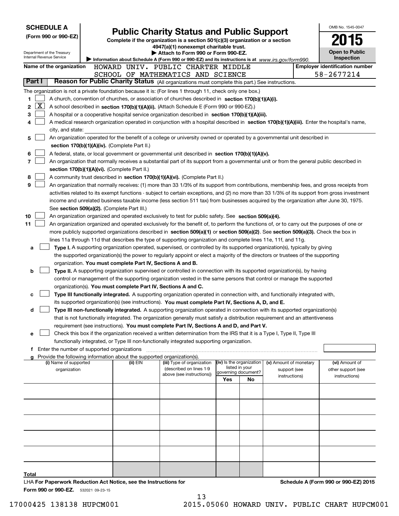| <b>SCHEDULE A</b><br>(Form 990 or 990-EZ)<br>Department of the Treasury<br>Internal Revenue Service |                                                                                                | <b>Public Charity Status and Public Support</b><br>Complete if the organization is a section 501(c)(3) organization or a section<br>4947(a)(1) nonexempt charitable trust.<br>Attach to Form 990 or Form 990-EZ.<br>Information about Schedule A (Form 990 or 990-EZ) and its instructions is at www.irs.gov/form990. |                                                                                                                                                                                                                                                                                                                                                                                                                                                                                                                                                                                 |                                                        |                      |                                                         |  |                                                       |
|-----------------------------------------------------------------------------------------------------|------------------------------------------------------------------------------------------------|-----------------------------------------------------------------------------------------------------------------------------------------------------------------------------------------------------------------------------------------------------------------------------------------------------------------------|---------------------------------------------------------------------------------------------------------------------------------------------------------------------------------------------------------------------------------------------------------------------------------------------------------------------------------------------------------------------------------------------------------------------------------------------------------------------------------------------------------------------------------------------------------------------------------|--------------------------------------------------------|----------------------|---------------------------------------------------------|--|-------------------------------------------------------|
| Name of the organization                                                                            |                                                                                                |                                                                                                                                                                                                                                                                                                                       | HOWARD UNIV. PUBLIC CHARTER MIDDLE                                                                                                                                                                                                                                                                                                                                                                                                                                                                                                                                              |                                                        |                      |                                                         |  | <b>Employer identification number</b>                 |
| Part I                                                                                              |                                                                                                |                                                                                                                                                                                                                                                                                                                       | SCHOOL OF MATHEMATICS AND SCIENCE<br>Reason for Public Charity Status (All organizations must complete this part.) See instructions.                                                                                                                                                                                                                                                                                                                                                                                                                                            |                                                        |                      |                                                         |  | 58-2677214                                            |
|                                                                                                     |                                                                                                |                                                                                                                                                                                                                                                                                                                       | The organization is not a private foundation because it is: (For lines 1 through 11, check only one box.)                                                                                                                                                                                                                                                                                                                                                                                                                                                                       |                                                        |                      |                                                         |  |                                                       |
| 1<br>$\overline{\text{X}}$<br>2<br>3<br>4<br>city, and state:<br>5                                  |                                                                                                |                                                                                                                                                                                                                                                                                                                       | A church, convention of churches, or association of churches described in section 170(b)(1)(A)(i).<br>A school described in section 170(b)(1)(A)(ii). (Attach Schedule E (Form 990 or 990-EZ).)<br>A hospital or a cooperative hospital service organization described in section 170(b)(1)(A)(iii).<br>A medical research organization operated in conjunction with a hospital described in section 170(b)(1)(A)(iii). Enter the hospital's name,<br>An organization operated for the benefit of a college or university owned or operated by a governmental unit described in |                                                        |                      |                                                         |  |                                                       |
| 6<br>7<br>8                                                                                         | section 170(b)(1)(A)(iv). (Complete Part II.)<br>section 170(b)(1)(A)(vi). (Complete Part II.) |                                                                                                                                                                                                                                                                                                                       | A federal, state, or local government or governmental unit described in section 170(b)(1)(A)(v).<br>An organization that normally receives a substantial part of its support from a governmental unit or from the general public described in<br>A community trust described in section 170(b)(1)(A)(vi). (Complete Part II.)                                                                                                                                                                                                                                                   |                                                        |                      |                                                         |  |                                                       |
| 9<br>10                                                                                             | See section 509(a)(2). (Complete Part III.)                                                    |                                                                                                                                                                                                                                                                                                                       | An organization that normally receives: (1) more than 33 1/3% of its support from contributions, membership fees, and gross receipts from<br>activities related to its exempt functions - subject to certain exceptions, and (2) no more than 33 1/3% of its support from gross investment<br>income and unrelated business taxable income (less section 511 tax) from businesses acquired by the organization after June 30, 1975.<br>An organization organized and operated exclusively to test for public safety. See section 509(a)(4).                                     |                                                        |                      |                                                         |  |                                                       |
| 11                                                                                                  |                                                                                                |                                                                                                                                                                                                                                                                                                                       | An organization organized and operated exclusively for the benefit of, to perform the functions of, or to carry out the purposes of one or<br>more publicly supported organizations described in section 509(a)(1) or section 509(a)(2). See section 509(a)(3). Check the box in<br>lines 11a through 11d that describes the type of supporting organization and complete lines 11e, 11f, and 11g.                                                                                                                                                                              |                                                        |                      |                                                         |  |                                                       |
| a                                                                                                   |                                                                                                | organization. You must complete Part IV, Sections A and B.                                                                                                                                                                                                                                                            | Type I. A supporting organization operated, supervised, or controlled by its supported organization(s), typically by giving<br>the supported organization(s) the power to regularly appoint or elect a majority of the directors or trustees of the supporting                                                                                                                                                                                                                                                                                                                  |                                                        |                      |                                                         |  |                                                       |
| b                                                                                                   |                                                                                                | organization(s). You must complete Part IV, Sections A and C.                                                                                                                                                                                                                                                         | Type II. A supporting organization supervised or controlled in connection with its supported organization(s), by having<br>control or management of the supporting organization vested in the same persons that control or manage the supported                                                                                                                                                                                                                                                                                                                                 |                                                        |                      |                                                         |  |                                                       |
| c                                                                                                   |                                                                                                |                                                                                                                                                                                                                                                                                                                       | <b>Type III functionally integrated.</b> A supporting organization operated in connection with, and functionally integrated with,<br>its supported organization(s) (see instructions). You must complete Part IV, Sections A, D, and E.                                                                                                                                                                                                                                                                                                                                         |                                                        |                      |                                                         |  |                                                       |
| d                                                                                                   |                                                                                                |                                                                                                                                                                                                                                                                                                                       | <b>Type III non-functionally integrated.</b> A supporting organization operated in connection with its supported organization(s)<br>that is not functionally integrated. The organization generally must satisfy a distribution requirement and an attentiveness<br>requirement (see instructions). You must complete Part IV, Sections A and D, and Part V.                                                                                                                                                                                                                    |                                                        |                      |                                                         |  |                                                       |
| е                                                                                                   |                                                                                                |                                                                                                                                                                                                                                                                                                                       | Check this box if the organization received a written determination from the IRS that it is a Type I, Type II, Type III<br>functionally integrated, or Type III non-functionally integrated supporting organization.                                                                                                                                                                                                                                                                                                                                                            |                                                        |                      |                                                         |  |                                                       |
| f                                                                                                   | Enter the number of supported organizations                                                    |                                                                                                                                                                                                                                                                                                                       |                                                                                                                                                                                                                                                                                                                                                                                                                                                                                                                                                                                 |                                                        |                      |                                                         |  |                                                       |
| (i) Name of supported<br>organization                                                               |                                                                                                | Provide the following information about the supported organization(s).<br>(ii) EIN                                                                                                                                                                                                                                    | (iii) Type of organization<br>(described on lines 1-9<br>above (see instructions))                                                                                                                                                                                                                                                                                                                                                                                                                                                                                              | (iv) Is the organization<br>governing document?<br>Yes | listed in your<br>No | (v) Amount of monetary<br>support (see<br>instructions) |  | (vi) Amount of<br>other support (see<br>instructions) |
|                                                                                                     |                                                                                                |                                                                                                                                                                                                                                                                                                                       |                                                                                                                                                                                                                                                                                                                                                                                                                                                                                                                                                                                 |                                                        |                      |                                                         |  |                                                       |
|                                                                                                     |                                                                                                |                                                                                                                                                                                                                                                                                                                       |                                                                                                                                                                                                                                                                                                                                                                                                                                                                                                                                                                                 |                                                        |                      |                                                         |  |                                                       |
|                                                                                                     |                                                                                                |                                                                                                                                                                                                                                                                                                                       |                                                                                                                                                                                                                                                                                                                                                                                                                                                                                                                                                                                 |                                                        |                      |                                                         |  |                                                       |
| Total                                                                                               |                                                                                                | LHA For Paperwork Reduction Act Notice, see the Instructions for                                                                                                                                                                                                                                                      |                                                                                                                                                                                                                                                                                                                                                                                                                                                                                                                                                                                 |                                                        |                      |                                                         |  | Schedule A (Form 990 or 990-EZ) 2015                  |

**Form 990 or 990-EZ.** 532021 09-23-15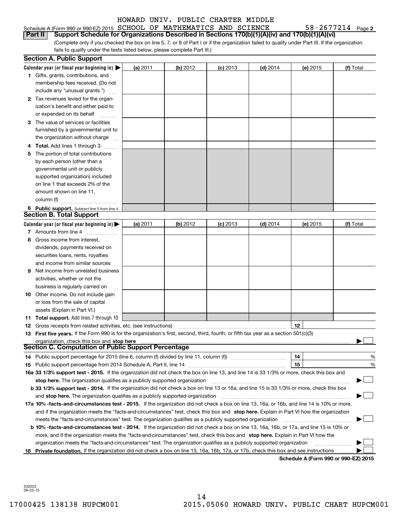#### Schedule A (Form 990 or 990-EZ) 2015 Page SCHOOL OF MATHEMATICS AND SCIENCE 58-2677214 **Part II Support Schedule for Organizations Described in Sections 170(b)(1)(A)(iv) and 170(b)(1)(A)(vi)**

(Complete only if you checked the box on line 5, 7, or 8 of Part I or if the organization failed to qualify under Part III. If the organization fails to qualify under the tests listed below, please complete Part III.)

|    | <b>Section A. Public Support</b>                                                                                                                                                                                       |          |          |            |            |          |           |
|----|------------------------------------------------------------------------------------------------------------------------------------------------------------------------------------------------------------------------|----------|----------|------------|------------|----------|-----------|
|    | Calendar year (or fiscal year beginning in) $\blacktriangleright$                                                                                                                                                      | (a) 2011 | (b) 2012 | $(c)$ 2013 | $(d)$ 2014 | (e) 2015 | (f) Total |
|    | <b>1</b> Gifts, grants, contributions, and                                                                                                                                                                             |          |          |            |            |          |           |
|    | membership fees received. (Do not                                                                                                                                                                                      |          |          |            |            |          |           |
|    | include any "unusual grants.")                                                                                                                                                                                         |          |          |            |            |          |           |
|    | 2 Tax revenues levied for the organ-                                                                                                                                                                                   |          |          |            |            |          |           |
|    | ization's benefit and either paid to                                                                                                                                                                                   |          |          |            |            |          |           |
|    | or expended on its behalf                                                                                                                                                                                              |          |          |            |            |          |           |
|    | 3 The value of services or facilities                                                                                                                                                                                  |          |          |            |            |          |           |
|    | furnished by a governmental unit to                                                                                                                                                                                    |          |          |            |            |          |           |
|    | the organization without charge                                                                                                                                                                                        |          |          |            |            |          |           |
|    | 4 Total. Add lines 1 through 3                                                                                                                                                                                         |          |          |            |            |          |           |
| 5. | The portion of total contributions                                                                                                                                                                                     |          |          |            |            |          |           |
|    | by each person (other than a                                                                                                                                                                                           |          |          |            |            |          |           |
|    | governmental unit or publicly                                                                                                                                                                                          |          |          |            |            |          |           |
|    | supported organization) included                                                                                                                                                                                       |          |          |            |            |          |           |
|    | on line 1 that exceeds 2% of the                                                                                                                                                                                       |          |          |            |            |          |           |
|    | amount shown on line 11,                                                                                                                                                                                               |          |          |            |            |          |           |
|    | column (f)                                                                                                                                                                                                             |          |          |            |            |          |           |
|    | 6 Public support. Subtract line 5 from line 4.                                                                                                                                                                         |          |          |            |            |          |           |
|    | <b>Section B. Total Support</b>                                                                                                                                                                                        |          |          |            |            |          |           |
|    | Calendar year (or fiscal year beginning in) $\blacktriangleright$                                                                                                                                                      | (a) 2011 | (b) 2012 | $(c)$ 2013 | $(d)$ 2014 | (e) 2015 | (f) Total |
|    | 7 Amounts from line 4                                                                                                                                                                                                  |          |          |            |            |          |           |
|    | 8 Gross income from interest,                                                                                                                                                                                          |          |          |            |            |          |           |
|    | dividends, payments received on                                                                                                                                                                                        |          |          |            |            |          |           |
|    | securities loans, rents, royalties                                                                                                                                                                                     |          |          |            |            |          |           |
|    |                                                                                                                                                                                                                        |          |          |            |            |          |           |
|    | and income from similar sources<br>Net income from unrelated business                                                                                                                                                  |          |          |            |            |          |           |
| 9  |                                                                                                                                                                                                                        |          |          |            |            |          |           |
|    | activities, whether or not the                                                                                                                                                                                         |          |          |            |            |          |           |
|    | business is regularly carried on                                                                                                                                                                                       |          |          |            |            |          |           |
|    | <b>10</b> Other income. Do not include gain                                                                                                                                                                            |          |          |            |            |          |           |
|    | or loss from the sale of capital                                                                                                                                                                                       |          |          |            |            |          |           |
|    | assets (Explain in Part VI.)                                                                                                                                                                                           |          |          |            |            |          |           |
|    | <b>11 Total support.</b> Add lines 7 through 10                                                                                                                                                                        |          |          |            |            |          |           |
|    | <b>12</b> Gross receipts from related activities, etc. (see instructions)                                                                                                                                              |          |          |            |            | 12       |           |
|    | 13 First five years. If the Form 990 is for the organization's first, second, third, fourth, or fifth tax year as a section 501(c)(3)                                                                                  |          |          |            |            |          |           |
|    | organization, check this box and stop here<br><b>Section C. Computation of Public Support Percentage</b>                                                                                                               |          |          |            |            |          |           |
|    | 14 Public support percentage for 2015 (line 6, column (f) divided by line 11, column (f) <i></i>                                                                                                                       |          |          |            |            | 14       | %         |
|    |                                                                                                                                                                                                                        |          |          |            |            | 15       |           |
|    | 16a 33 1/3% support test - 2015. If the organization did not check the box on line 13, and line 14 is 33 1/3% or more, check this box and                                                                              |          |          |            |            |          | %         |
|    |                                                                                                                                                                                                                        |          |          |            |            |          |           |
|    | stop here. The organization qualifies as a publicly supported organization<br>b 33 1/3% support test - 2014. If the organization did not check a box on line 13 or 16a, and line 15 is 33 1/3% or more, check this box |          |          |            |            |          |           |
|    |                                                                                                                                                                                                                        |          |          |            |            |          |           |
|    | and stop here. The organization qualifies as a publicly supported organization                                                                                                                                         |          |          |            |            |          |           |
|    | 17a 10% -facts-and-circumstances test - 2015. If the organization did not check a box on line 13, 16a, or 16b, and line 14 is 10% or more,                                                                             |          |          |            |            |          |           |
|    | and if the organization meets the "facts-and-circumstances" test, check this box and stop here. Explain in Part VI how the organization                                                                                |          |          |            |            |          |           |
|    |                                                                                                                                                                                                                        |          |          |            |            |          |           |
|    | b 10% -facts-and-circumstances test - 2014. If the organization did not check a box on line 13, 16a, 16b, or 17a, and line 15 is 10% or                                                                                |          |          |            |            |          |           |
|    | more, and if the organization meets the "facts-and-circumstances" test, check this box and stop here. Explain in Part VI how the                                                                                       |          |          |            |            |          |           |
|    | organization meets the "facts-and-circumstances" test. The organization qualifies as a publicly supported organization                                                                                                 |          |          |            |            |          |           |
| 18 | Private foundation. If the organization did not check a box on line 13, 16a, 16b, 17a, or 17b, check this box and see instructions                                                                                     |          |          |            |            |          |           |

**Schedule A (Form 990 or 990-EZ) 2015**

532022 09-23-15

58-2677214 Page 2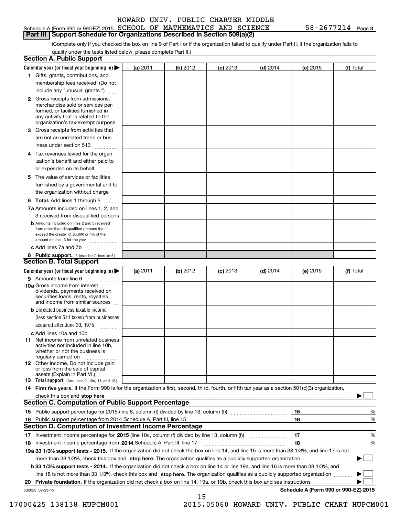#### Schedule A (Form 990 or 990-EZ) 2015 Page SCHOOL OF MATHEMATICS AND SCIENCE 58-2677214 **Part III Support Schedule for Organizations Described in Section 509(a)(2)**

**3**

(Complete only if you checked the box on line 9 of Part I or if the organization failed to qualify under Part II. If the organization fails to qualify under the tests listed below, please complete Part II.)

| <b>Section A. Public Support</b>                                                                                                                                                         |          |          |            |            |          |                                      |
|------------------------------------------------------------------------------------------------------------------------------------------------------------------------------------------|----------|----------|------------|------------|----------|--------------------------------------|
| Calendar year (or fiscal year beginning in) $\blacktriangleright$                                                                                                                        | (a) 2011 | (b) 2012 | $(c)$ 2013 | $(d)$ 2014 | (e) 2015 | (f) Total                            |
| 1 Gifts, grants, contributions, and                                                                                                                                                      |          |          |            |            |          |                                      |
| membership fees received. (Do not                                                                                                                                                        |          |          |            |            |          |                                      |
| include any "unusual grants.")                                                                                                                                                           |          |          |            |            |          |                                      |
| 2 Gross receipts from admissions,<br>merchandise sold or services per-<br>formed, or facilities furnished in<br>any activity that is related to the<br>organization's tax-exempt purpose |          |          |            |            |          |                                      |
| 3 Gross receipts from activities that<br>are not an unrelated trade or bus-                                                                                                              |          |          |            |            |          |                                      |
| iness under section 513                                                                                                                                                                  |          |          |            |            |          |                                      |
| 4 Tax revenues levied for the organ-<br>ization's benefit and either paid to<br>or expended on its behalf                                                                                |          |          |            |            |          |                                      |
| .<br>5 The value of services or facilities<br>furnished by a governmental unit to                                                                                                        |          |          |            |            |          |                                      |
| the organization without charge                                                                                                                                                          |          |          |            |            |          |                                      |
| <b>6 Total.</b> Add lines 1 through 5                                                                                                                                                    |          |          |            |            |          |                                      |
| 7a Amounts included on lines 1, 2, and<br>3 received from disqualified persons                                                                                                           |          |          |            |            |          |                                      |
| <b>b</b> Amounts included on lines 2 and 3 received<br>from other than disqualified persons that<br>exceed the greater of \$5,000 or 1% of the<br>amount on line 13 for the year         |          |          |            |            |          |                                      |
| c Add lines 7a and 7b                                                                                                                                                                    |          |          |            |            |          |                                      |
| 8 Public support. (Subtract line 7c from line 6.)<br><b>Section B. Total Support</b>                                                                                                     |          |          |            |            |          |                                      |
| Calendar year (or fiscal year beginning in)                                                                                                                                              | (a) 2011 | (b) 2012 | $(c)$ 2013 | $(d)$ 2014 | (e) 2015 | (f) Total                            |
| 9 Amounts from line 6                                                                                                                                                                    |          |          |            |            |          |                                      |
| <b>10a</b> Gross income from interest,<br>dividends, payments received on<br>securities loans, rents, royalties<br>and income from similar sources                                       |          |          |            |            |          |                                      |
| <b>b</b> Unrelated business taxable income<br>(less section 511 taxes) from businesses<br>acquired after June 30, 1975                                                                   |          |          |            |            |          |                                      |
| c Add lines 10a and 10b                                                                                                                                                                  |          |          |            |            |          |                                      |
| <b>11</b> Net income from unrelated business<br>activities not included in line 10b,<br>whether or not the business is<br>regularly carried on                                           |          |          |            |            |          |                                      |
| <b>12</b> Other income. Do not include gain<br>or loss from the sale of capital<br>assets (Explain in Part VI.)                                                                          |          |          |            |            |          |                                      |
| <b>13 Total support.</b> (Add lines 9, 10c, 11, and 12.)                                                                                                                                 |          |          |            |            |          |                                      |
| 14 First five years. If the Form 990 is for the organization's first, second, third, fourth, or fifth tax year as a section 501(c)(3) organization,                                      |          |          |            |            |          |                                      |
| check this box and stop here measurements and stop here are constructed and the measurement of the state of the<br><b>Section C. Computation of Public Support Percentage</b>            |          |          |            |            |          |                                      |
|                                                                                                                                                                                          |          |          |            |            | 15       | %                                    |
| 16 Public support percentage from 2014 Schedule A, Part III, line 15                                                                                                                     |          |          |            |            | 16       | %                                    |
| <b>Section D. Computation of Investment Income Percentage</b>                                                                                                                            |          |          |            |            |          |                                      |
| 17 Investment income percentage for 2015 (line 10c, column (f) divided by line 13, column (f))                                                                                           |          |          |            |            | 17       | %                                    |
| 18 Investment income percentage from 2014 Schedule A, Part III, line 17                                                                                                                  |          |          |            |            | 18       | %                                    |
| 19a 33 1/3% support tests - 2015. If the organization did not check the box on line 14, and line 15 is more than 33 1/3%, and line 17 is not                                             |          |          |            |            |          |                                      |
| more than 33 1/3%, check this box and stop here. The organization qualifies as a publicly supported organization                                                                         |          |          |            |            |          | ▶                                    |
| b 33 1/3% support tests - 2014. If the organization did not check a box on line 14 or line 19a, and line 16 is more than 33 1/3%, and                                                    |          |          |            |            |          |                                      |
| line 18 is not more than 33 1/3%, check this box and stop here. The organization qualifies as a publicly supported organization                                                          |          |          |            |            |          |                                      |
| 20 Private foundation. If the organization did not check a box on line 14, 19a, or 19b, check this box and see instructions                                                              |          |          |            |            |          |                                      |
| 532023 09-23-15                                                                                                                                                                          |          | 15       |            |            |          | Schedule A (Form 990 or 990-EZ) 2015 |

 <sup>17000425 138138</sup> HUPCM001 2015.05060 HOWARD UNIV. PUBLIC CHART HUPCM001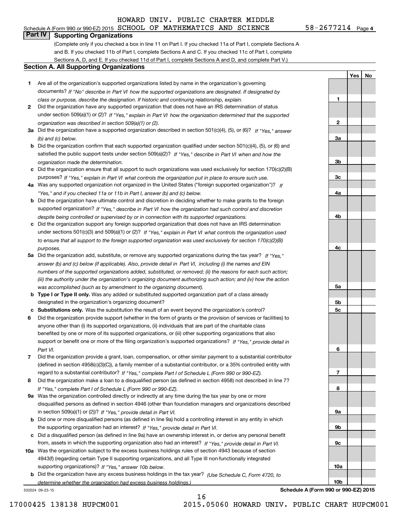# **Part IV Supporting Organizations**

(Complete only if you checked a box in line 11 on Part I. If you checked 11a of Part I, complete Sections A and B. If you checked 11b of Part I, complete Sections A and C. If you checked 11c of Part I, complete Sections A, D, and E. If you checked 11d of Part I, complete Sections A and D, and complete Part V.)

#### **Section A. All Supporting Organizations**

- **1** Are all of the organization's supported organizations listed by name in the organization's governing *If "No" describe in how the supported organizations are designated. If designated by* documents? *Part VI class or purpose, describe the designation. If historic and continuing relationship, explain.*
- **2** Did the organization have any supported organization that does not have an IRS determination of status under section 509(a)(1) or (2)? If "Yes," explain in Part VI how the organization determined that the supported *organization was described in section 509(a)(1) or (2).*
- **3a** Did the organization have a supported organization described in section 501(c)(4), (5), or (6)? If "Yes," answer *(b) and (c) below.*
- **b** Did the organization confirm that each supported organization qualified under section 501(c)(4), (5), or (6) and satisfied the public support tests under section 509(a)(2)? If "Yes," describe in Part VI when and how the *organization made the determination.*
- **c**Did the organization ensure that all support to such organizations was used exclusively for section 170(c)(2)(B) purposes? If "Yes," explain in Part VI what controls the organization put in place to ensure such use.
- **4a***If* Was any supported organization not organized in the United States ("foreign supported organization")? *"Yes," and if you checked 11a or 11b in Part I, answer (b) and (c) below.*
- **b** Did the organization have ultimate control and discretion in deciding whether to make grants to the foreign supported organization? If "Yes," describe in Part VI how the organization had such control and discretion *despite being controlled or supervised by or in connection with its supported organizations.*
- **c** Did the organization support any foreign supported organization that does not have an IRS determination under sections 501(c)(3) and 509(a)(1) or (2)? If "Yes," explain in Part VI what controls the organization used *to ensure that all support to the foreign supported organization was used exclusively for section 170(c)(2)(B) purposes.*
- **5a** Did the organization add, substitute, or remove any supported organizations during the tax year? If "Yes," answer (b) and (c) below (if applicable). Also, provide detail in Part VI, including (i) the names and EIN *numbers of the supported organizations added, substituted, or removed; (ii) the reasons for each such action; (iii) the authority under the organization's organizing document authorizing such action; and (iv) how the action was accomplished (such as by amendment to the organizing document).*
- **b** Type I or Type II only. Was any added or substituted supported organization part of a class already designated in the organization's organizing document?
- **cSubstitutions only.**  Was the substitution the result of an event beyond the organization's control?
- **6** Did the organization provide support (whether in the form of grants or the provision of services or facilities) to *If "Yes," provide detail in* support or benefit one or more of the filing organization's supported organizations? anyone other than (i) its supported organizations, (ii) individuals that are part of the charitable class benefited by one or more of its supported organizations, or (iii) other supporting organizations that also *Part VI.*
- **7**Did the organization provide a grant, loan, compensation, or other similar payment to a substantial contributor *If "Yes," complete Part I of Schedule L (Form 990 or 990-EZ).* regard to a substantial contributor? (defined in section 4958(c)(3)(C)), a family member of a substantial contributor, or a 35% controlled entity with
- **8** Did the organization make a loan to a disqualified person (as defined in section 4958) not described in line 7? *If "Yes," complete Part I of Schedule L (Form 990 or 990-EZ).*
- **9a** Was the organization controlled directly or indirectly at any time during the tax year by one or more in section 509(a)(1) or (2))? If "Yes," *provide detail in Part VI.* disqualified persons as defined in section 4946 (other than foundation managers and organizations described
- **b** Did one or more disqualified persons (as defined in line 9a) hold a controlling interest in any entity in which the supporting organization had an interest? If "Yes," provide detail in Part VI.
- **c**Did a disqualified person (as defined in line 9a) have an ownership interest in, or derive any personal benefit from, assets in which the supporting organization also had an interest? If "Yes," provide detail in Part VI.
- **10a** Was the organization subject to the excess business holdings rules of section 4943 because of section supporting organizations)? If "Yes," answer 10b below. 4943(f) (regarding certain Type II supporting organizations, and all Type III non-functionally integrated
- **b** Did the organization have any excess business holdings in the tax year? (Use Schedule C, Form 4720, to *determine whether the organization had excess business holdings.)*

532024 09-23-15

**4c5a 5b5c6789a 9b9c10a10b**

**Schedule A (Form 990 or 990-EZ) 2015**

**1**

**2**

**3a**

**3b**

**3c**

**4a**

**4b**

**YesNo**

17000425 138138 HUPCM001 2015.05060 HOWARD UNIV. PUBLIC CHART HUPCM001

16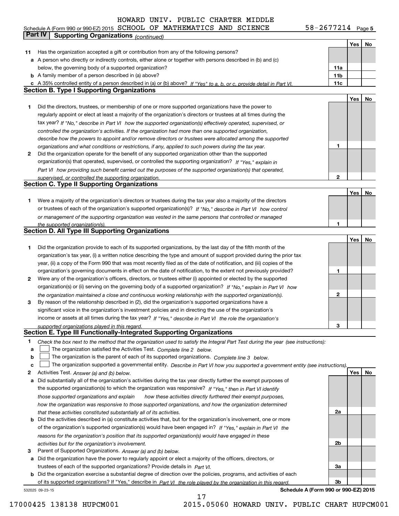**5** Schedule A (Form 990 or 990-EZ) 2015 Page SCHOOL OF MATHEMATICS AND SCIENCE 58-2677214

|        | Part IV<br><b>Supporting Organizations (continued)</b>                                                                                                                                                                  |                 |     |    |
|--------|-------------------------------------------------------------------------------------------------------------------------------------------------------------------------------------------------------------------------|-----------------|-----|----|
|        |                                                                                                                                                                                                                         |                 | Yes | No |
| 11     | Has the organization accepted a gift or contribution from any of the following persons?                                                                                                                                 |                 |     |    |
|        | a A person who directly or indirectly controls, either alone or together with persons described in (b) and (c)                                                                                                          |                 |     |    |
|        | below, the governing body of a supported organization?                                                                                                                                                                  | 11a             |     |    |
|        | <b>b</b> A family member of a person described in (a) above?                                                                                                                                                            | 11 <sub>b</sub> |     |    |
|        | c A 35% controlled entity of a person described in (a) or (b) above? If "Yes" to a, b, or c, provide detail in Part VI.                                                                                                 | 11c             |     |    |
|        | <b>Section B. Type I Supporting Organizations</b>                                                                                                                                                                       |                 |     |    |
|        |                                                                                                                                                                                                                         |                 | Yes | No |
| 1      | Did the directors, trustees, or membership of one or more supported organizations have the power to                                                                                                                     |                 |     |    |
|        | regularly appoint or elect at least a majority of the organization's directors or trustees at all times during the                                                                                                      |                 |     |    |
|        | tax year? If "No," describe in Part VI how the supported organization(s) effectively operated, supervised, or                                                                                                           |                 |     |    |
|        | controlled the organization's activities. If the organization had more than one supported organization,                                                                                                                 |                 |     |    |
|        | describe how the powers to appoint and/or remove directors or trustees were allocated among the supported                                                                                                               |                 |     |    |
|        | organizations and what conditions or restrictions, if any, applied to such powers during the tax year.                                                                                                                  | 1               |     |    |
| 2      | Did the organization operate for the benefit of any supported organization other than the supported                                                                                                                     |                 |     |    |
|        | organization(s) that operated, supervised, or controlled the supporting organization? If "Yes," explain in                                                                                                              |                 |     |    |
|        | Part VI how providing such benefit carried out the purposes of the supported organization(s) that operated,                                                                                                             |                 |     |    |
|        | supervised, or controlled the supporting organization.                                                                                                                                                                  | 2               |     |    |
|        | <b>Section C. Type II Supporting Organizations</b>                                                                                                                                                                      |                 |     |    |
|        |                                                                                                                                                                                                                         |                 | Yes | No |
| 1      | Were a majority of the organization's directors or trustees during the tax year also a majority of the directors                                                                                                        |                 |     |    |
|        | or trustees of each of the organization's supported organization(s)? If "No," describe in Part VI how control<br>or management of the supporting organization was vested in the same persons that controlled or managed |                 |     |    |
|        | the supported organization(s).                                                                                                                                                                                          | 1               |     |    |
|        | <b>Section D. All Type III Supporting Organizations</b>                                                                                                                                                                 |                 |     |    |
|        |                                                                                                                                                                                                                         |                 | Yes | No |
| 1      | Did the organization provide to each of its supported organizations, by the last day of the fifth month of the                                                                                                          |                 |     |    |
|        | organization's tax year, (i) a written notice describing the type and amount of support provided during the prior tax                                                                                                   |                 |     |    |
|        | year, (ii) a copy of the Form 990 that was most recently filed as of the date of notification, and (iii) copies of the                                                                                                  |                 |     |    |
|        | organization's governing documents in effect on the date of notification, to the extent not previously provided?                                                                                                        | 1               |     |    |
| 2      | Were any of the organization's officers, directors, or trustees either (i) appointed or elected by the supported                                                                                                        |                 |     |    |
|        | organization(s) or (ii) serving on the governing body of a supported organization? If "No," explain in Part VI how                                                                                                      |                 |     |    |
|        | the organization maintained a close and continuous working relationship with the supported organization(s).                                                                                                             | 2               |     |    |
| 3      | By reason of the relationship described in (2), did the organization's supported organizations have a                                                                                                                   |                 |     |    |
|        | significant voice in the organization's investment policies and in directing the use of the organization's                                                                                                              |                 |     |    |
|        | income or assets at all times during the tax year? If "Yes," describe in Part VI the role the organization's                                                                                                            |                 |     |    |
|        | supported organizations played in this regard.<br>Section E. Type III Functionally-Integrated Supporting Organizations                                                                                                  | 3               |     |    |
|        |                                                                                                                                                                                                                         |                 |     |    |
| 1<br>а | Check the box next to the method that the organization used to satisfy the Integral Part Test during the year (see instructions):<br>The organization satisfied the Activities Test. Complete line 2 below.             |                 |     |    |
| b      | The organization is the parent of each of its supported organizations. Complete line 3 below.                                                                                                                           |                 |     |    |
| с      | The organization supported a governmental entity. Describe in Part VI how you supported a government entity (see instructions).                                                                                         |                 |     |    |
| 2      | Activities Test. Answer (a) and (b) below.                                                                                                                                                                              |                 | Yes | No |
| а      | Did substantially all of the organization's activities during the tax year directly further the exempt purposes of                                                                                                      |                 |     |    |
|        | the supported organization(s) to which the organization was responsive? If "Yes," then in Part VI identify                                                                                                              |                 |     |    |
|        | those supported organizations and explain<br>how these activities directly furthered their exempt purposes,                                                                                                             |                 |     |    |
|        | how the organization was responsive to those supported organizations, and how the organization determined                                                                                                               |                 |     |    |
|        | that these activities constituted substantially all of its activities.                                                                                                                                                  | 2a              |     |    |
|        | <b>b</b> Did the activities described in (a) constitute activities that, but for the organization's involvement, one or more                                                                                            |                 |     |    |
|        | of the organization's supported organization(s) would have been engaged in? If "Yes," explain in Part VI the                                                                                                            |                 |     |    |
|        | reasons for the organization's position that its supported organization(s) would have engaged in these                                                                                                                  |                 |     |    |
|        | activities but for the organization's involvement.                                                                                                                                                                      | 2b              |     |    |
| з      | Parent of Supported Organizations. Answer (a) and (b) below.                                                                                                                                                            |                 |     |    |
|        | a Did the organization have the power to regularly appoint or elect a majority of the officers, directors, or                                                                                                           |                 |     |    |
|        | trustees of each of the supported organizations? Provide details in Part VI.                                                                                                                                            | За              |     |    |
|        | <b>b</b> Did the organization exercise a substantial degree of direction over the policies, programs, and activities of each                                                                                            |                 |     |    |
|        | of its supported organizations? If "Yes," describe in Part VI the role played by the organization in this regard.                                                                                                       | 3b              |     |    |

17

532025 09-23-15

**Schedule A (Form 990 or 990-EZ) 2015**

17000425 138138 HUPCM001 2015.05060 HOWARD UNIV. PUBLIC CHART HUPCM001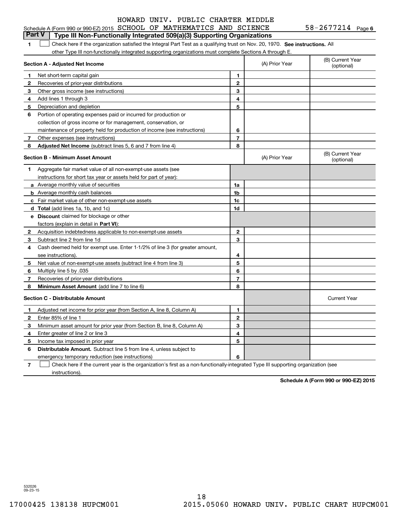|  | Schedule A (Form 990 or 990-EZ) 2015 $SCHOOL$ OF MATHEMATICS AND SCIENCE |  |  |  |  |  | 58-2677214 | Page 6 |  |
|--|--------------------------------------------------------------------------|--|--|--|--|--|------------|--------|--|
|--|--------------------------------------------------------------------------|--|--|--|--|--|------------|--------|--|

|  |  | <b>Part V</b>   Type III Non-Functionally Integrated 509(a)(3) Supporting Organizations                                       |  |
|--|--|-------------------------------------------------------------------------------------------------------------------------------|--|
|  |  | Check here if the organization satisfied the Integral Part Test as a qualifying trust on Nov. 20, 1970. See instructions. All |  |

other Type III non-functionally integrated supporting organizations must complete Sections A through E.

|              | Section A - Adjusted Net Income                                                                                                   | (A) Prior Year | (B) Current Year<br>(optional) |                                |
|--------------|-----------------------------------------------------------------------------------------------------------------------------------|----------------|--------------------------------|--------------------------------|
| 1            | Net short-term capital gain                                                                                                       | 1              |                                |                                |
| 2            | Recoveries of prior-year distributions                                                                                            | $\mathbf{2}$   |                                |                                |
| з            | Other gross income (see instructions)                                                                                             | 3              |                                |                                |
| 4            | Add lines 1 through 3                                                                                                             | 4              |                                |                                |
| 5            | Depreciation and depletion                                                                                                        | 5              |                                |                                |
| 6            | Portion of operating expenses paid or incurred for production or                                                                  |                |                                |                                |
|              | collection of gross income or for management, conservation, or                                                                    |                |                                |                                |
|              | maintenance of property held for production of income (see instructions)                                                          | 6              |                                |                                |
| 7            | Other expenses (see instructions)                                                                                                 | 7              |                                |                                |
| 8            | <b>Adjusted Net Income</b> (subtract lines 5, 6 and 7 from line 4)                                                                | 8              |                                |                                |
|              | Section B - Minimum Asset Amount                                                                                                  |                | (A) Prior Year                 | (B) Current Year<br>(optional) |
| 1            | Aggregate fair market value of all non-exempt-use assets (see                                                                     |                |                                |                                |
|              | instructions for short tax year or assets held for part of year):                                                                 |                |                                |                                |
|              | <b>a</b> Average monthly value of securities                                                                                      | 1a             |                                |                                |
|              | <b>b</b> Average monthly cash balances                                                                                            | 1b             |                                |                                |
|              | c Fair market value of other non-exempt-use assets                                                                                | 1c             |                                |                                |
|              | d Total (add lines 1a, 1b, and 1c)                                                                                                | 1d             |                                |                                |
|              | <b>e</b> Discount claimed for blockage or other                                                                                   |                |                                |                                |
|              | factors (explain in detail in <b>Part VI</b> ):                                                                                   |                |                                |                                |
| 2            | Acquisition indebtedness applicable to non-exempt-use assets                                                                      | $\mathbf{2}$   |                                |                                |
| 3            | Subtract line 2 from line 1d                                                                                                      | 3              |                                |                                |
| 4            | Cash deemed held for exempt use. Enter 1-1/2% of line 3 (for greater amount,                                                      |                |                                |                                |
|              | see instructions).                                                                                                                | 4              |                                |                                |
| 5            | Net value of non-exempt-use assets (subtract line 4 from line 3)                                                                  | 5              |                                |                                |
| 6            | Multiply line 5 by .035                                                                                                           | 6              |                                |                                |
| 7            | Recoveries of prior-year distributions                                                                                            | 7              |                                |                                |
| 8            | <b>Minimum Asset Amount</b> (add line 7 to line 6)                                                                                | 8              |                                |                                |
|              | Section C - Distributable Amount                                                                                                  |                |                                | <b>Current Year</b>            |
| 1            | Adjusted net income for prior year (from Section A, line 8, Column A)                                                             | 1              |                                |                                |
| $\mathbf{2}$ | Enter 85% of line 1                                                                                                               | $\mathbf{2}$   |                                |                                |
| 3            | Minimum asset amount for prior year (from Section B, line 8, Column A)                                                            | 3              |                                |                                |
| 4            | Enter greater of line 2 or line 3                                                                                                 | 4              |                                |                                |
| 5            | Income tax imposed in prior year                                                                                                  | 5              |                                |                                |
| 6            | <b>Distributable Amount.</b> Subtract line 5 from line 4, unless subject to                                                       |                |                                |                                |
|              | emergency temporary reduction (see instructions)                                                                                  | 6              |                                |                                |
| 7            | Check here if the current year is the organization's first as a non-functionally-integrated Type III supporting organization (see |                |                                |                                |

instructions).

**Schedule A (Form 990 or 990-EZ) 2015**

532026 09-23-15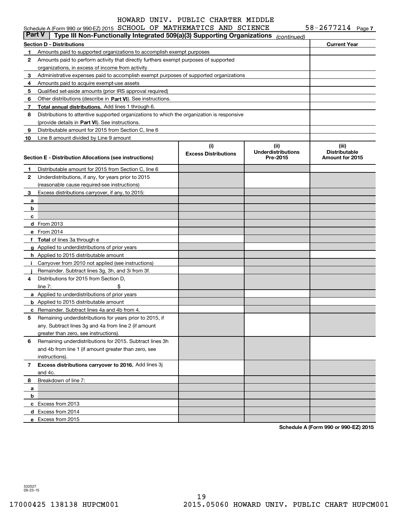|              | Schedule A (Form 990 or 990-EZ) 2015 SCHOOL OF MATHEMATICS AND SCIENCE                     |                                    |                                   | $58 - 2677214$ Page 7         |
|--------------|--------------------------------------------------------------------------------------------|------------------------------------|-----------------------------------|-------------------------------|
| Part V       | Type III Non-Functionally Integrated 509(a)(3) Supporting Organizations                    |                                    | (continued)                       |                               |
|              | Section D - Distributions                                                                  | <b>Current Year</b>                |                                   |                               |
| 1.           | Amounts paid to supported organizations to accomplish exempt purposes                      |                                    |                                   |                               |
| 2            | Amounts paid to perform activity that directly furthers exempt purposes of supported       |                                    |                                   |                               |
|              | organizations, in excess of income from activity                                           |                                    |                                   |                               |
| 3            | Administrative expenses paid to accomplish exempt purposes of supported organizations      |                                    |                                   |                               |
| 4            | Amounts paid to acquire exempt-use assets                                                  |                                    |                                   |                               |
| 5            | Qualified set-aside amounts (prior IRS approval required)                                  |                                    |                                   |                               |
| 6            | Other distributions (describe in Part VI). See instructions.                               |                                    |                                   |                               |
| 7            | Total annual distributions. Add lines 1 through 6.                                         |                                    |                                   |                               |
| 8            | Distributions to attentive supported organizations to which the organization is responsive |                                    |                                   |                               |
|              | (provide details in Part VI). See instructions.                                            |                                    |                                   |                               |
| 9            | Distributable amount for 2015 from Section C, line 6                                       |                                    |                                   |                               |
| 10           | Line 8 amount divided by Line 9 amount                                                     |                                    |                                   |                               |
|              |                                                                                            | (i)<br><b>Excess Distributions</b> | (ii)<br><b>Underdistributions</b> | (iii)<br><b>Distributable</b> |
|              | Section E - Distribution Allocations (see instructions)                                    |                                    | Pre-2015                          | Amount for 2015               |
| 1            | Distributable amount for 2015 from Section C, line 6                                       |                                    |                                   |                               |
| 2            | Underdistributions, if any, for years prior to 2015                                        |                                    |                                   |                               |
|              | (reasonable cause required-see instructions)                                               |                                    |                                   |                               |
| 3            | Excess distributions carryover, if any, to 2015:                                           |                                    |                                   |                               |
| a            |                                                                                            |                                    |                                   |                               |
| b            |                                                                                            |                                    |                                   |                               |
| c            |                                                                                            |                                    |                                   |                               |
|              | d From 2013                                                                                |                                    |                                   |                               |
|              | e From 2014                                                                                |                                    |                                   |                               |
|              | f Total of lines 3a through e                                                              |                                    |                                   |                               |
|              | g Applied to underdistributions of prior years                                             |                                    |                                   |                               |
|              | <b>h</b> Applied to 2015 distributable amount                                              |                                    |                                   |                               |
|              | i Carryover from 2010 not applied (see instructions)                                       |                                    |                                   |                               |
|              | Remainder. Subtract lines 3g, 3h, and 3i from 3f.                                          |                                    |                                   |                               |
| 4            | Distributions for 2015 from Section D.                                                     |                                    |                                   |                               |
|              | \$<br>line $7:$                                                                            |                                    |                                   |                               |
|              | <b>a</b> Applied to underdistributions of prior years                                      |                                    |                                   |                               |
|              | <b>b</b> Applied to 2015 distributable amount                                              |                                    |                                   |                               |
|              | <b>c</b> Remainder. Subtract lines 4a and 4b from 4.                                       |                                    |                                   |                               |
|              | Remaining underdistributions for years prior to 2015, if                                   |                                    |                                   |                               |
|              | any. Subtract lines 3g and 4a from line 2 (if amount                                       |                                    |                                   |                               |
|              | greater than zero, see instructions).                                                      |                                    |                                   |                               |
| 6            | Remaining underdistributions for 2015. Subtract lines 3h                                   |                                    |                                   |                               |
|              | and 4b from line 1 (if amount greater than zero, see                                       |                                    |                                   |                               |
|              | instructions).                                                                             |                                    |                                   |                               |
| $\mathbf{7}$ | Excess distributions carryover to 2016. Add lines 3j                                       |                                    |                                   |                               |
|              | and 4c.                                                                                    |                                    |                                   |                               |
| 8            | Breakdown of line 7:                                                                       |                                    |                                   |                               |
| a            |                                                                                            |                                    |                                   |                               |
| b            |                                                                                            |                                    |                                   |                               |
|              | c Excess from 2013                                                                         |                                    |                                   |                               |
|              | d Excess from 2014                                                                         |                                    |                                   |                               |
|              | e Excess from 2015                                                                         |                                    |                                   |                               |

**Schedule A (Form 990 or 990-EZ) 2015**

532027 09-23-15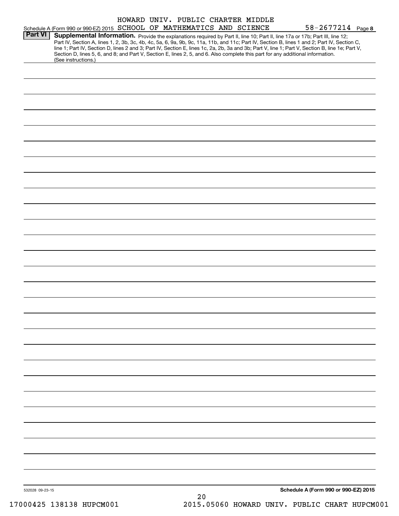|                 | HOWARD UNIV. PUBLIC CHARTER MIDDLE                                                                                                                                                                                                                                                 |                                      |
|-----------------|------------------------------------------------------------------------------------------------------------------------------------------------------------------------------------------------------------------------------------------------------------------------------------|--------------------------------------|
| <b>Part VI</b>  | Schedule A (Form 990 or 990-EZ) 2015 SCHOOL OF MATHEMATICS AND SCIENCE                                                                                                                                                                                                             | $58 - 2677214$ Page 8                |
|                 | Supplemental Information. Provide the explanations required by Part II, line 10; Part II, line 17a or 17b; Part III, line 12;<br>Part IV, Section A, lines 1, 2, 3b, 3c, 4b, 4c, 5a, 6, 9a, 9b, 9c, 11a, 11b, and 11c; Part IV, Section B, lines 1 and 2; Part IV, Section C,      |                                      |
|                 | line 1; Part IV, Section D, lines 2 and 3; Part IV, Section E, lines 1c, 2a, 2b, 3a and 3b; Part V, line 1; Part V, Section B, line 1e; Part V,<br>Section D, lines 5, 6, and 8; and Part V, Section E, lines 2, 5, and 6. Also complete this part for any additional information. |                                      |
|                 | (See instructions.)                                                                                                                                                                                                                                                                |                                      |
|                 |                                                                                                                                                                                                                                                                                    |                                      |
|                 |                                                                                                                                                                                                                                                                                    |                                      |
|                 |                                                                                                                                                                                                                                                                                    |                                      |
|                 |                                                                                                                                                                                                                                                                                    |                                      |
|                 |                                                                                                                                                                                                                                                                                    |                                      |
|                 |                                                                                                                                                                                                                                                                                    |                                      |
|                 |                                                                                                                                                                                                                                                                                    |                                      |
|                 |                                                                                                                                                                                                                                                                                    |                                      |
|                 |                                                                                                                                                                                                                                                                                    |                                      |
|                 |                                                                                                                                                                                                                                                                                    |                                      |
|                 |                                                                                                                                                                                                                                                                                    |                                      |
|                 |                                                                                                                                                                                                                                                                                    |                                      |
|                 |                                                                                                                                                                                                                                                                                    |                                      |
|                 |                                                                                                                                                                                                                                                                                    |                                      |
|                 |                                                                                                                                                                                                                                                                                    |                                      |
|                 |                                                                                                                                                                                                                                                                                    |                                      |
|                 |                                                                                                                                                                                                                                                                                    |                                      |
|                 |                                                                                                                                                                                                                                                                                    |                                      |
|                 |                                                                                                                                                                                                                                                                                    |                                      |
|                 |                                                                                                                                                                                                                                                                                    |                                      |
|                 |                                                                                                                                                                                                                                                                                    |                                      |
|                 |                                                                                                                                                                                                                                                                                    |                                      |
|                 |                                                                                                                                                                                                                                                                                    |                                      |
|                 |                                                                                                                                                                                                                                                                                    |                                      |
|                 |                                                                                                                                                                                                                                                                                    |                                      |
|                 |                                                                                                                                                                                                                                                                                    |                                      |
|                 |                                                                                                                                                                                                                                                                                    |                                      |
|                 |                                                                                                                                                                                                                                                                                    |                                      |
|                 |                                                                                                                                                                                                                                                                                    |                                      |
|                 |                                                                                                                                                                                                                                                                                    |                                      |
|                 |                                                                                                                                                                                                                                                                                    |                                      |
|                 |                                                                                                                                                                                                                                                                                    |                                      |
|                 |                                                                                                                                                                                                                                                                                    |                                      |
|                 |                                                                                                                                                                                                                                                                                    |                                      |
|                 |                                                                                                                                                                                                                                                                                    |                                      |
|                 |                                                                                                                                                                                                                                                                                    |                                      |
|                 |                                                                                                                                                                                                                                                                                    |                                      |
|                 |                                                                                                                                                                                                                                                                                    |                                      |
| 532028 09-23-15 | 20                                                                                                                                                                                                                                                                                 | Schedule A (Form 990 or 990-EZ) 2015 |
|                 |                                                                                                                                                                                                                                                                                    |                                      |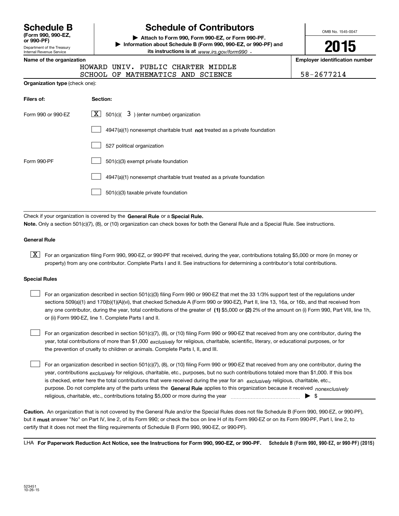| <b>Schedule B</b>  |
|--------------------|
| (Form 990, 990-EZ, |

Department of the Treasury Internal Revenue Service **or 990-PF)**

# **Schedule of Contributors**

**| Attach to Form 990, Form 990-EZ, or Form 990-PF. | Information about Schedule B (Form 990, 990-EZ, or 990-PF) and its instructions is at** www.irs.gov/form990  $\cdot$ 

OMB No. 1545-0047

**2015**

**Name of the organization Employer identification number**

|  | HOWARD UNIV. PUBLIC CHARTER MIDDLE |  |            |
|--|------------------------------------|--|------------|
|  | SCHOOL OF MATHEMATICS AND SCIENCE  |  | 58-2677214 |

| <b>Organization type (check one):</b> |  |  |  |
|---------------------------------------|--|--|--|
|---------------------------------------|--|--|--|

| Filers of:         | Section:                                                                  |
|--------------------|---------------------------------------------------------------------------|
| Form 990 or 990-EZ | $\lfloor x \rfloor$ 501(c)( 3) (enter number) organization                |
|                    | 4947(a)(1) nonexempt charitable trust not treated as a private foundation |
|                    | 527 political organization                                                |
| Form 990-PF        | 501(c)(3) exempt private foundation                                       |
|                    | 4947(a)(1) nonexempt charitable trust treated as a private foundation     |
|                    | 501(c)(3) taxable private foundation                                      |

Check if your organization is covered by the **General Rule** or a **Special Rule. Note.**  Only a section 501(c)(7), (8), or (10) organization can check boxes for both the General Rule and a Special Rule. See instructions.

### **General Rule**

 $\boxed{\textbf{X}}$  For an organization filing Form 990, 990-EZ, or 990-PF that received, during the year, contributions totaling \$5,000 or more (in money or property) from any one contributor. Complete Parts I and II. See instructions for determining a contributor's total contributions.

#### **Special Rules**

 $\mathcal{L}^{\text{max}}$ 

any one contributor, during the year, total contributions of the greater of  $\,$  (1) \$5,000 or (2) 2% of the amount on (i) Form 990, Part VIII, line 1h, For an organization described in section 501(c)(3) filing Form 990 or 990-EZ that met the 33 1/3% support test of the regulations under sections 509(a)(1) and 170(b)(1)(A)(vi), that checked Schedule A (Form 990 or 990-EZ), Part II, line 13, 16a, or 16b, and that received from or (ii) Form 990-EZ, line 1. Complete Parts I and II.  $\mathcal{L}^{\text{max}}$ 

year, total contributions of more than \$1,000 *exclusively* for religious, charitable, scientific, literary, or educational purposes, or for For an organization described in section 501(c)(7), (8), or (10) filing Form 990 or 990-EZ that received from any one contributor, during the the prevention of cruelty to children or animals. Complete Parts I, II, and III.  $\mathcal{L}^{\text{max}}$ 

purpose. Do not complete any of the parts unless the **General Rule** applies to this organization because it received *nonexclusively* year, contributions <sub>exclusively</sub> for religious, charitable, etc., purposes, but no such contributions totaled more than \$1,000. If this box is checked, enter here the total contributions that were received during the year for an  $\;$ exclusively religious, charitable, etc., For an organization described in section 501(c)(7), (8), or (10) filing Form 990 or 990-EZ that received from any one contributor, during the religious, charitable, etc., contributions totaling \$5,000 or more during the year  $\ldots$  $\ldots$  $\ldots$  $\ldots$  $\ldots$  $\ldots$  $\ldots$ 

**Caution.**An organization that is not covered by the General Rule and/or the Special Rules does not file Schedule B (Form 990, 990-EZ, or 990-PF),  **must** but it answer "No" on Part IV, line 2, of its Form 990; or check the box on line H of its Form 990-EZ or on its Form 990-PF, Part I, line 2, to certify that it does not meet the filing requirements of Schedule B (Form 990, 990-EZ, or 990-PF).

**Schedule B (Form 990, 990-EZ, or 990-PF) (2015) For Paperwork Reduction Act Notice, see the Instructions for Form 990, 990-EZ, or 990-PF.** LHA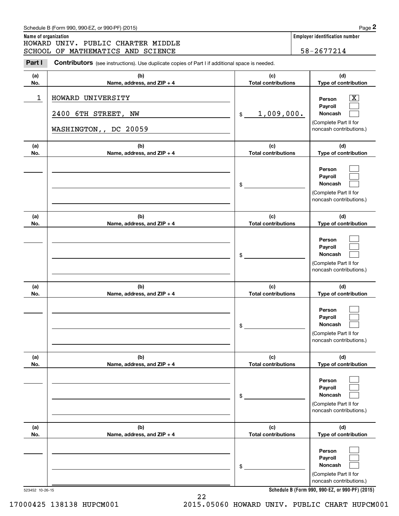|                      | Schedule B (Form 990, 990-EZ, or 990-PF) (2015)                                                       |                                   | Page 2                                                                                                                              |
|----------------------|-------------------------------------------------------------------------------------------------------|-----------------------------------|-------------------------------------------------------------------------------------------------------------------------------------|
| Name of organization | HOWARD UNIV. PUBLIC CHARTER MIDDLE                                                                    |                                   | Employer identification number                                                                                                      |
|                      | SCHOOL OF MATHEMATICS AND SCIENCE                                                                     |                                   | 58-2677214                                                                                                                          |
| Part I               | <b>Contributors</b> (see instructions). Use duplicate copies of Part I if additional space is needed. |                                   |                                                                                                                                     |
| (a)                  | (b)                                                                                                   | (c)                               | (d)                                                                                                                                 |
| No.                  | Name, address, and ZIP + 4                                                                            | <b>Total contributions</b>        | Type of contribution                                                                                                                |
| 1                    | HOWARD UNIVERSITY                                                                                     |                                   | х<br>Person<br>Payroll                                                                                                              |
|                      | 2400 6TH STREET, NW<br>WASHINGTON,, DC 20059                                                          | 1,009,000.<br>$\mathfrak{S}$      | Noncash<br>(Complete Part II for<br>noncash contributions.)                                                                         |
|                      |                                                                                                       |                                   |                                                                                                                                     |
| (a)<br>No.           | (b)<br>Name, address, and ZIP + 4                                                                     | (c)<br><b>Total contributions</b> | (d)<br>Type of contribution                                                                                                         |
|                      |                                                                                                       | \$                                | Person<br>Payroll<br>Noncash<br>(Complete Part II for<br>noncash contributions.)                                                    |
| (a)<br>No.           | (b)<br>Name, address, and $ZIP + 4$                                                                   | (c)<br><b>Total contributions</b> | (d)<br>Type of contribution                                                                                                         |
|                      |                                                                                                       | \$                                | Person<br>Payroll<br>Noncash<br>(Complete Part II for<br>noncash contributions.)                                                    |
| (a)<br>No.           | (b)<br>Name, address, and $ZIP + 4$                                                                   | (c)<br><b>Total contributions</b> | (d)<br>Type of contribution                                                                                                         |
|                      |                                                                                                       | \$                                | Person<br>Payroll<br><b>Noncash</b><br>(Complete Part II for<br>noncash contributions.)                                             |
| (a)<br>No.           | (b)<br>Name, address, and ZIP + 4                                                                     | (c)<br><b>Total contributions</b> | (d)<br>Type of contribution                                                                                                         |
|                      |                                                                                                       | \$                                | Person<br>Payroll<br>Noncash<br>(Complete Part II for<br>noncash contributions.)                                                    |
| (a)<br>No.           | (b)<br>Name, address, and ZIP + 4                                                                     | (c)<br><b>Total contributions</b> | (d)<br>Type of contribution                                                                                                         |
|                      |                                                                                                       | \$                                | Person<br>Payroll<br>Noncash<br>(Complete Part II for<br>noncash contributions.)<br>Cabadule B (Ferm 000, 000 E7, et 000 BE) (901E) |

523452 10-26-15

22 17000425 138138 HUPCM001 2015.05060 HOWARD UNIV. PUBLIC CHART HUPCM001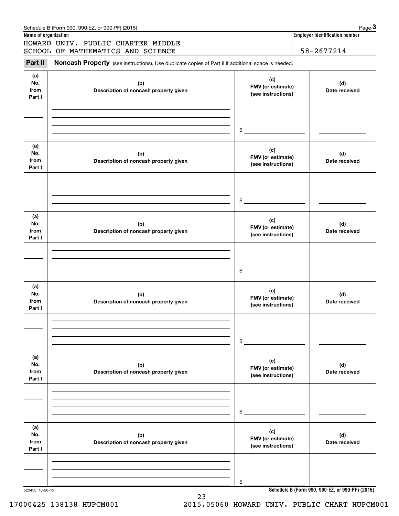|                              | Schedule B (Form 990, 990-EZ, or 990-PF) (2015)                                                     |                                                | Page $3$                                        |
|------------------------------|-----------------------------------------------------------------------------------------------------|------------------------------------------------|-------------------------------------------------|
| Name of organization         |                                                                                                     |                                                | Employer identification number                  |
|                              | HOWARD UNIV. PUBLIC CHARTER MIDDLE<br>SCHOOL OF MATHEMATICS AND SCIENCE                             |                                                | 58-2677214                                      |
| Part II                      | Noncash Property (see instructions). Use duplicate copies of Part II if additional space is needed. |                                                |                                                 |
| (a)<br>No.<br>from<br>Part I | (b)<br>Description of noncash property given                                                        | (c)<br>FMV (or estimate)<br>(see instructions) | (d)<br>Date received                            |
|                              |                                                                                                     | \$                                             |                                                 |
| (a)<br>No.<br>from<br>Part I | (b)<br>Description of noncash property given                                                        | (c)<br>FMV (or estimate)<br>(see instructions) | (d)<br>Date received                            |
|                              |                                                                                                     | \$                                             |                                                 |
| (a)<br>No.<br>from<br>Part I | (b)<br>Description of noncash property given                                                        | (c)<br>FMV (or estimate)<br>(see instructions) | (d)<br>Date received                            |
|                              |                                                                                                     | \$                                             |                                                 |
| (a)<br>No.<br>from<br>Part I | (b)<br>Description of noncash property given                                                        | (c)<br>FMV (or estimate)<br>(see instructions) | (d)<br>Date received                            |
|                              |                                                                                                     | \$                                             |                                                 |
| (a)<br>No.<br>from<br>Part I | (b)<br>Description of noncash property given                                                        | (c)<br>FMV (or estimate)<br>(see instructions) | (d)<br>Date received                            |
|                              |                                                                                                     | \$                                             |                                                 |
| (a)<br>No.<br>from<br>Part I | (b)<br>Description of noncash property given                                                        | (c)<br>FMV (or estimate)<br>(see instructions) | (d)<br>Date received                            |
|                              |                                                                                                     | \$                                             |                                                 |
| 523453 10-26-15              |                                                                                                     |                                                | Schedule B (Form 990, 990-EZ, or 990-PF) (2015) |

23 17000425 138138 HUPCM001 2015.05060 HOWARD UNIV. PUBLIC CHART HUPCM001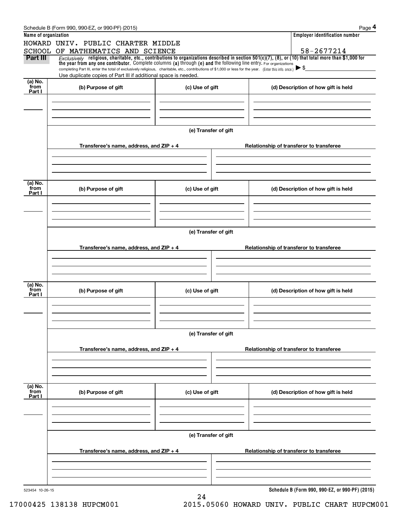|                      | Schedule B (Form 990, 990-EZ, or 990-PF) (2015)                                                                                                                                                                                                                                 |                      |                                          | Page 4                                          |  |  |  |  |
|----------------------|---------------------------------------------------------------------------------------------------------------------------------------------------------------------------------------------------------------------------------------------------------------------------------|----------------------|------------------------------------------|-------------------------------------------------|--|--|--|--|
| Name of organization |                                                                                                                                                                                                                                                                                 |                      |                                          | <b>Employer identification number</b>           |  |  |  |  |
|                      | HOWARD UNIV. PUBLIC CHARTER MIDDLE                                                                                                                                                                                                                                              |                      |                                          |                                                 |  |  |  |  |
|                      | SCHOOL OF MATHEMATICS AND SCIENCE                                                                                                                                                                                                                                               |                      |                                          | 58-2677214                                      |  |  |  |  |
| Part III             | Exclusively religious, charitable, etc., contributions to organizations described in section $501(c)(7)$ , (8), or (10) that total more than \$1,000 for<br>the year from any one contributor. Complete columns (a) through (e) and the following line entry. For organizations |                      |                                          |                                                 |  |  |  |  |
|                      | completing Part III, enter the total of exclusively religious, charitable, etc., contributions of \$1,000 or less for the year. (Enter this info. once.) $\triangleright$ \$                                                                                                    |                      |                                          |                                                 |  |  |  |  |
|                      | Use duplicate copies of Part III if additional space is needed.                                                                                                                                                                                                                 |                      |                                          |                                                 |  |  |  |  |
| (a) No.<br>from      | (b) Purpose of gift                                                                                                                                                                                                                                                             | (c) Use of gift      |                                          | (d) Description of how gift is held             |  |  |  |  |
| Part I               |                                                                                                                                                                                                                                                                                 |                      |                                          |                                                 |  |  |  |  |
|                      |                                                                                                                                                                                                                                                                                 |                      |                                          |                                                 |  |  |  |  |
|                      |                                                                                                                                                                                                                                                                                 |                      |                                          |                                                 |  |  |  |  |
|                      |                                                                                                                                                                                                                                                                                 |                      |                                          |                                                 |  |  |  |  |
|                      |                                                                                                                                                                                                                                                                                 | (e) Transfer of gift |                                          |                                                 |  |  |  |  |
|                      |                                                                                                                                                                                                                                                                                 |                      |                                          |                                                 |  |  |  |  |
|                      | Transferee's name, address, and $ZIP + 4$                                                                                                                                                                                                                                       |                      |                                          | Relationship of transferor to transferee        |  |  |  |  |
|                      |                                                                                                                                                                                                                                                                                 |                      |                                          |                                                 |  |  |  |  |
|                      |                                                                                                                                                                                                                                                                                 |                      |                                          |                                                 |  |  |  |  |
|                      |                                                                                                                                                                                                                                                                                 |                      |                                          |                                                 |  |  |  |  |
| (a) No.              |                                                                                                                                                                                                                                                                                 |                      |                                          |                                                 |  |  |  |  |
| from                 | (b) Purpose of gift                                                                                                                                                                                                                                                             | (c) Use of gift      |                                          | (d) Description of how gift is held             |  |  |  |  |
| Part I               |                                                                                                                                                                                                                                                                                 |                      |                                          |                                                 |  |  |  |  |
|                      |                                                                                                                                                                                                                                                                                 |                      |                                          |                                                 |  |  |  |  |
|                      |                                                                                                                                                                                                                                                                                 |                      |                                          |                                                 |  |  |  |  |
|                      |                                                                                                                                                                                                                                                                                 |                      |                                          |                                                 |  |  |  |  |
|                      | (e) Transfer of gift                                                                                                                                                                                                                                                            |                      |                                          |                                                 |  |  |  |  |
|                      |                                                                                                                                                                                                                                                                                 |                      |                                          |                                                 |  |  |  |  |
|                      | Transferee's name, address, and $ZIP + 4$                                                                                                                                                                                                                                       |                      | Relationship of transferor to transferee |                                                 |  |  |  |  |
|                      |                                                                                                                                                                                                                                                                                 |                      |                                          |                                                 |  |  |  |  |
|                      |                                                                                                                                                                                                                                                                                 |                      |                                          |                                                 |  |  |  |  |
|                      |                                                                                                                                                                                                                                                                                 |                      |                                          |                                                 |  |  |  |  |
| (a) No.              |                                                                                                                                                                                                                                                                                 |                      |                                          |                                                 |  |  |  |  |
| from<br>Part I       | (b) Purpose of gift                                                                                                                                                                                                                                                             | (c) Use of gift      |                                          | (d) Description of how gift is held             |  |  |  |  |
|                      |                                                                                                                                                                                                                                                                                 |                      |                                          |                                                 |  |  |  |  |
|                      |                                                                                                                                                                                                                                                                                 |                      |                                          |                                                 |  |  |  |  |
|                      |                                                                                                                                                                                                                                                                                 |                      |                                          |                                                 |  |  |  |  |
|                      |                                                                                                                                                                                                                                                                                 |                      |                                          |                                                 |  |  |  |  |
|                      | (e) Transfer of gift                                                                                                                                                                                                                                                            |                      |                                          |                                                 |  |  |  |  |
|                      | Transferee's name, address, and $ZIP + 4$                                                                                                                                                                                                                                       |                      | Relationship of transferor to transferee |                                                 |  |  |  |  |
|                      |                                                                                                                                                                                                                                                                                 |                      |                                          |                                                 |  |  |  |  |
|                      |                                                                                                                                                                                                                                                                                 |                      |                                          |                                                 |  |  |  |  |
|                      |                                                                                                                                                                                                                                                                                 |                      |                                          |                                                 |  |  |  |  |
|                      |                                                                                                                                                                                                                                                                                 |                      |                                          |                                                 |  |  |  |  |
| (a) No.<br>from      | (b) Purpose of gift                                                                                                                                                                                                                                                             | (c) Use of gift      |                                          | (d) Description of how gift is held             |  |  |  |  |
| Part I               |                                                                                                                                                                                                                                                                                 |                      |                                          |                                                 |  |  |  |  |
|                      |                                                                                                                                                                                                                                                                                 |                      |                                          |                                                 |  |  |  |  |
|                      |                                                                                                                                                                                                                                                                                 |                      |                                          |                                                 |  |  |  |  |
|                      |                                                                                                                                                                                                                                                                                 |                      |                                          |                                                 |  |  |  |  |
|                      | (e) Transfer of gift                                                                                                                                                                                                                                                            |                      |                                          |                                                 |  |  |  |  |
|                      |                                                                                                                                                                                                                                                                                 |                      |                                          |                                                 |  |  |  |  |
|                      | Transferee's name, address, and $ZIP + 4$                                                                                                                                                                                                                                       |                      |                                          | Relationship of transferor to transferee        |  |  |  |  |
|                      |                                                                                                                                                                                                                                                                                 |                      |                                          |                                                 |  |  |  |  |
|                      |                                                                                                                                                                                                                                                                                 |                      |                                          |                                                 |  |  |  |  |
|                      |                                                                                                                                                                                                                                                                                 |                      |                                          |                                                 |  |  |  |  |
|                      |                                                                                                                                                                                                                                                                                 |                      |                                          |                                                 |  |  |  |  |
| 523454 10-26-15      |                                                                                                                                                                                                                                                                                 | 24                   |                                          | Schedule B (Form 990, 990-EZ, or 990-PF) (2015) |  |  |  |  |
|                      |                                                                                                                                                                                                                                                                                 |                      |                                          |                                                 |  |  |  |  |

17000425 138138 HUPCM001 2015.05060 HOWARD UNIV. PUBLIC CHART HUPCM001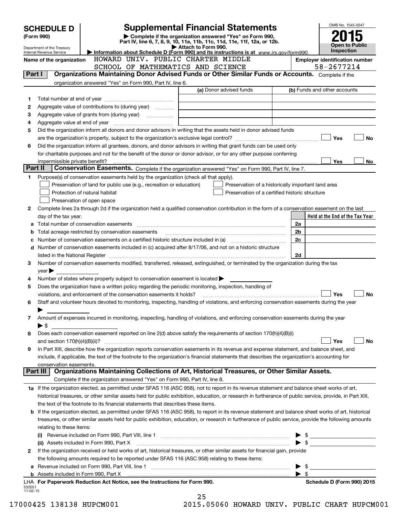|                    | <b>SCHEDULE D</b>                                                                                           |                                                                                                        | <b>Supplemental Financial Statements</b>                                                                                                                   |                          | OMB No. 1545-0047                          |  |  |  |  |
|--------------------|-------------------------------------------------------------------------------------------------------------|--------------------------------------------------------------------------------------------------------|------------------------------------------------------------------------------------------------------------------------------------------------------------|--------------------------|--------------------------------------------|--|--|--|--|
|                    | (Form 990)                                                                                                  |                                                                                                        | Complete if the organization answered "Yes" on Form 990,                                                                                                   |                          |                                            |  |  |  |  |
|                    | Department of the Treasury                                                                                  |                                                                                                        | Part IV, line 6, 7, 8, 9, 10, 11a, 11b, 11c, 11d, 11e, 11f, 12a, or 12b.<br>Attach to Form 990.                                                            |                          | <b>Open to Public</b><br><b>Inspection</b> |  |  |  |  |
|                    | Internal Revenue Service<br>Name of the organization                                                        | HOWARD UNIV. PUBLIC CHARTER MIDDLE                                                                     | Information about Schedule D (Form 990) and its instructions is at www.irs.gov/form990.                                                                    |                          | <b>Employer identification number</b>      |  |  |  |  |
|                    |                                                                                                             | SCHOOL OF MATHEMATICS AND SCIENCE                                                                      |                                                                                                                                                            |                          | 58-2677214                                 |  |  |  |  |
|                    | Organizations Maintaining Donor Advised Funds or Other Similar Funds or Accounts. Complete if the<br>Part I |                                                                                                        |                                                                                                                                                            |                          |                                            |  |  |  |  |
|                    |                                                                                                             | organization answered "Yes" on Form 990, Part IV, line 6.                                              |                                                                                                                                                            |                          |                                            |  |  |  |  |
|                    |                                                                                                             |                                                                                                        | (a) Donor advised funds                                                                                                                                    |                          | (b) Funds and other accounts               |  |  |  |  |
| 1                  |                                                                                                             |                                                                                                        |                                                                                                                                                            |                          |                                            |  |  |  |  |
| 2                  |                                                                                                             | Aggregate value of contributions to (during year)                                                      |                                                                                                                                                            |                          |                                            |  |  |  |  |
| З                  |                                                                                                             |                                                                                                        |                                                                                                                                                            |                          |                                            |  |  |  |  |
| 4                  |                                                                                                             |                                                                                                        |                                                                                                                                                            |                          |                                            |  |  |  |  |
| 5                  |                                                                                                             |                                                                                                        | Did the organization inform all donors and donor advisors in writing that the assets held in donor advised funds                                           |                          | Yes<br><b>No</b>                           |  |  |  |  |
| 6                  |                                                                                                             |                                                                                                        | Did the organization inform all grantees, donors, and donor advisors in writing that grant funds can be used only                                          |                          |                                            |  |  |  |  |
|                    |                                                                                                             |                                                                                                        | for charitable purposes and not for the benefit of the donor or donor advisor, or for any other purpose conferring                                         |                          |                                            |  |  |  |  |
|                    |                                                                                                             |                                                                                                        |                                                                                                                                                            |                          | Yes<br>No                                  |  |  |  |  |
| Part II            |                                                                                                             |                                                                                                        | Conservation Easements. Complete if the organization answered "Yes" on Form 990, Part IV, line 7.                                                          |                          |                                            |  |  |  |  |
| 1                  |                                                                                                             | Purpose(s) of conservation easements held by the organization (check all that apply).                  |                                                                                                                                                            |                          |                                            |  |  |  |  |
|                    |                                                                                                             | Preservation of land for public use (e.g., recreation or education)                                    | Preservation of a historically important land area                                                                                                         |                          |                                            |  |  |  |  |
|                    |                                                                                                             | Protection of natural habitat                                                                          | Preservation of a certified historic structure                                                                                                             |                          |                                            |  |  |  |  |
|                    |                                                                                                             | Preservation of open space                                                                             |                                                                                                                                                            |                          |                                            |  |  |  |  |
| 2                  |                                                                                                             |                                                                                                        | Complete lines 2a through 2d if the organization held a qualified conservation contribution in the form of a conservation easement on the last             |                          |                                            |  |  |  |  |
|                    | day of the tax year.                                                                                        |                                                                                                        |                                                                                                                                                            |                          | Held at the End of the Tax Year            |  |  |  |  |
|                    |                                                                                                             |                                                                                                        |                                                                                                                                                            | 2a                       |                                            |  |  |  |  |
| b                  |                                                                                                             |                                                                                                        |                                                                                                                                                            | 2b                       |                                            |  |  |  |  |
| с                  |                                                                                                             |                                                                                                        |                                                                                                                                                            | 2c                       |                                            |  |  |  |  |
| d                  |                                                                                                             |                                                                                                        | Number of conservation easements included in (c) acquired after 8/17/06, and not on a historic structure                                                   |                          |                                            |  |  |  |  |
|                    |                                                                                                             |                                                                                                        |                                                                                                                                                            | 2d                       |                                            |  |  |  |  |
| 3                  | $year \blacktriangleright$                                                                                  |                                                                                                        | Number of conservation easements modified, transferred, released, extinguished, or terminated by the organization during the tax                           |                          |                                            |  |  |  |  |
| 4                  |                                                                                                             | Number of states where property subject to conservation easement is located $\blacktriangleright$      |                                                                                                                                                            |                          |                                            |  |  |  |  |
| 5                  |                                                                                                             | Does the organization have a written policy regarding the periodic monitoring, inspection, handling of |                                                                                                                                                            |                          |                                            |  |  |  |  |
|                    |                                                                                                             | violations, and enforcement of the conservation easements it holds?                                    |                                                                                                                                                            |                          | Yes<br><b>No</b>                           |  |  |  |  |
| 6                  |                                                                                                             |                                                                                                        | Staff and volunteer hours devoted to monitoring, inspecting, handling of violations, and enforcing conservation easements during the year                  |                          |                                            |  |  |  |  |
|                    | ▶                                                                                                           |                                                                                                        |                                                                                                                                                            |                          |                                            |  |  |  |  |
| 7                  |                                                                                                             |                                                                                                        | Amount of expenses incurred in monitoring, inspecting, handling of violations, and enforcing conservation easements during the year                        |                          |                                            |  |  |  |  |
|                    | $\blacktriangleright$ \$                                                                                    |                                                                                                        |                                                                                                                                                            |                          |                                            |  |  |  |  |
| 8                  |                                                                                                             |                                                                                                        | Does each conservation easement reported on line 2(d) above satisfy the requirements of section 170(h)(4)(B)(i)                                            |                          |                                            |  |  |  |  |
|                    | and section $170(h)(4)(B)(ii)?$                                                                             |                                                                                                        |                                                                                                                                                            |                          | Yes<br>No                                  |  |  |  |  |
| 9                  |                                                                                                             |                                                                                                        | In Part XIII, describe how the organization reports conservation easements in its revenue and expense statement, and balance sheet, and                    |                          |                                            |  |  |  |  |
|                    |                                                                                                             |                                                                                                        | include, if applicable, the text of the footnote to the organization's financial statements that describes the organization's accounting for               |                          |                                            |  |  |  |  |
|                    | conservation easements.                                                                                     |                                                                                                        | Organizations Maintaining Collections of Art, Historical Treasures, or Other Similar Assets.                                                               |                          |                                            |  |  |  |  |
|                    | Part III                                                                                                    |                                                                                                        |                                                                                                                                                            |                          |                                            |  |  |  |  |
|                    |                                                                                                             | Complete if the organization answered "Yes" on Form 990, Part IV, line 8.                              |                                                                                                                                                            |                          |                                            |  |  |  |  |
|                    |                                                                                                             |                                                                                                        | 1a If the organization elected, as permitted under SFAS 116 (ASC 958), not to report in its revenue statement and balance sheet works of art,              |                          |                                            |  |  |  |  |
|                    |                                                                                                             | the text of the footnote to its financial statements that describes these items.                       | historical treasures, or other similar assets held for public exhibition, education, or research in furtherance of public service, provide, in Part XIII,  |                          |                                            |  |  |  |  |
|                    |                                                                                                             |                                                                                                        | <b>b</b> If the organization elected, as permitted under SFAS 116 (ASC 958), to report in its revenue statement and balance sheet works of art, historical |                          |                                            |  |  |  |  |
|                    |                                                                                                             |                                                                                                        | treasures, or other similar assets held for public exhibition, education, or research in furtherance of public service, provide the following amounts      |                          |                                            |  |  |  |  |
|                    | relating to these items:                                                                                    |                                                                                                        |                                                                                                                                                            |                          |                                            |  |  |  |  |
|                    |                                                                                                             |                                                                                                        |                                                                                                                                                            |                          | $\triangleright$ \$                        |  |  |  |  |
|                    |                                                                                                             | (ii) Assets included in Form 990, Part X                                                               |                                                                                                                                                            |                          | $\blacktriangleright$ \$                   |  |  |  |  |
| 2                  |                                                                                                             |                                                                                                        | If the organization received or held works of art, historical treasures, or other similar assets for financial gain, provide                               |                          |                                            |  |  |  |  |
|                    |                                                                                                             | the following amounts required to be reported under SFAS 116 (ASC 958) relating to these items:        |                                                                                                                                                            |                          |                                            |  |  |  |  |
|                    |                                                                                                             |                                                                                                        |                                                                                                                                                            | $\blacktriangleright$ \$ |                                            |  |  |  |  |
|                    |                                                                                                             |                                                                                                        |                                                                                                                                                            | $\blacktriangleright$ \$ |                                            |  |  |  |  |
|                    |                                                                                                             | LHA For Paperwork Reduction Act Notice, see the Instructions for Form 990.                             |                                                                                                                                                            |                          | Schedule D (Form 990) 2015                 |  |  |  |  |
| 532051<br>11-02-15 |                                                                                                             |                                                                                                        |                                                                                                                                                            |                          |                                            |  |  |  |  |
|                    |                                                                                                             |                                                                                                        | 25                                                                                                                                                         |                          |                                            |  |  |  |  |

|  |  | ١ |
|--|--|---|

17000425 138138 HUPCM001 2015.05060 HOWARD UNIV. PUBLIC CHART HUPCM001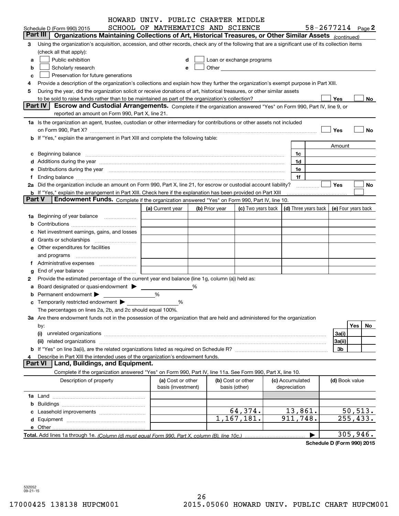|        |                                                                                                                                                                                                                                | HOWARD UNIV. PUBLIC CHARTER MIDDLE |   |                |                                                                                                                                                                                                                               |            |                 |                                                                             |                |    |
|--------|--------------------------------------------------------------------------------------------------------------------------------------------------------------------------------------------------------------------------------|------------------------------------|---|----------------|-------------------------------------------------------------------------------------------------------------------------------------------------------------------------------------------------------------------------------|------------|-----------------|-----------------------------------------------------------------------------|----------------|----|
|        | Schedule D (Form 990) 2015                                                                                                                                                                                                     | SCHOOL OF MATHEMATICS AND SCIENCE  |   |                |                                                                                                                                                                                                                               |            |                 | $58 - 2677214$ Page 2                                                       |                |    |
|        | Part III  <br>Organizations Maintaining Collections of Art, Historical Treasures, or Other Similar Assets (continued)                                                                                                          |                                    |   |                |                                                                                                                                                                                                                               |            |                 |                                                                             |                |    |
| з      | Using the organization's acquisition, accession, and other records, check any of the following that are a significant use of its collection items                                                                              |                                    |   |                |                                                                                                                                                                                                                               |            |                 |                                                                             |                |    |
|        | (check all that apply):                                                                                                                                                                                                        |                                    |   |                |                                                                                                                                                                                                                               |            |                 |                                                                             |                |    |
| a      | Public exhibition                                                                                                                                                                                                              |                                    |   |                | Loan or exchange programs                                                                                                                                                                                                     |            |                 |                                                                             |                |    |
| b      | Scholarly research                                                                                                                                                                                                             |                                    |   |                | Other and the contract of the contract of the contract of the contract of the contract of the contract of the contract of the contract of the contract of the contract of the contract of the contract of the contract of the |            |                 |                                                                             |                |    |
| с      | Preservation for future generations                                                                                                                                                                                            |                                    |   |                |                                                                                                                                                                                                                               |            |                 |                                                                             |                |    |
| 4      | Provide a description of the organization's collections and explain how they further the organization's exempt purpose in Part XIII.                                                                                           |                                    |   |                |                                                                                                                                                                                                                               |            |                 |                                                                             |                |    |
| 5      | During the year, did the organization solicit or receive donations of art, historical treasures, or other similar assets                                                                                                       |                                    |   |                |                                                                                                                                                                                                                               |            |                 |                                                                             |                |    |
|        | to be sold to raise funds rather than to be maintained as part of the organization's collection?                                                                                                                               |                                    |   |                |                                                                                                                                                                                                                               | . <u>.</u> |                 | Yes                                                                         |                | No |
|        | Escrow and Custodial Arrangements. Complete if the organization answered "Yes" on Form 990, Part IV, line 9, or<br><b>Part IV</b>                                                                                              |                                    |   |                |                                                                                                                                                                                                                               |            |                 |                                                                             |                |    |
|        | reported an amount on Form 990, Part X, line 21.                                                                                                                                                                               |                                    |   |                |                                                                                                                                                                                                                               |            |                 |                                                                             |                |    |
|        | 1a Is the organization an agent, trustee, custodian or other intermediary for contributions or other assets not included                                                                                                       |                                    |   |                |                                                                                                                                                                                                                               |            |                 |                                                                             |                |    |
|        | on Form 990, Part X? [11] matter contracts and contracts and contracts are contracted as a form 990, Part X?                                                                                                                   |                                    |   |                |                                                                                                                                                                                                                               |            |                 | Yes                                                                         |                | No |
|        | <b>b</b> If "Yes," explain the arrangement in Part XIII and complete the following table:                                                                                                                                      |                                    |   |                |                                                                                                                                                                                                                               |            |                 |                                                                             |                |    |
|        |                                                                                                                                                                                                                                |                                    |   |                |                                                                                                                                                                                                                               |            |                 | Amount                                                                      |                |    |
|        |                                                                                                                                                                                                                                |                                    |   |                |                                                                                                                                                                                                                               |            | 1c              |                                                                             |                |    |
|        | d Additions during the year measurements are all an according to the year.                                                                                                                                                     |                                    |   |                |                                                                                                                                                                                                                               |            | 1d              |                                                                             |                |    |
|        | e Distributions during the year manufactured and an intervention of the year manufactured by the state of the state of the state of the state of the state of the state of the state of the state of the state of the state of |                                    |   |                |                                                                                                                                                                                                                               |            | 1e              |                                                                             |                |    |
|        |                                                                                                                                                                                                                                |                                    |   |                |                                                                                                                                                                                                                               |            | 1f              |                                                                             |                |    |
|        | 2a Did the organization include an amount on Form 990, Part X, line 21, for escrow or custodial account liability?                                                                                                             |                                    |   |                |                                                                                                                                                                                                                               |            | .               | <b>Yes</b>                                                                  |                | No |
|        | <b>b</b> If "Yes," explain the arrangement in Part XIII. Check here if the explanation has been provided on Part XIII                                                                                                          |                                    |   |                |                                                                                                                                                                                                                               |            |                 |                                                                             |                |    |
| Part V | Endowment Funds. Complete if the organization answered "Yes" on Form 990, Part IV, line 10.                                                                                                                                    |                                    |   |                |                                                                                                                                                                                                                               |            |                 |                                                                             |                |    |
|        |                                                                                                                                                                                                                                | (a) Current year                   |   | (b) Prior year |                                                                                                                                                                                                                               |            |                 | (c) Two years back $\vert$ (d) Three years back $\vert$ (e) Four years back |                |    |
|        | 1a Beginning of year balance                                                                                                                                                                                                   |                                    |   |                |                                                                                                                                                                                                                               |            |                 |                                                                             |                |    |
|        |                                                                                                                                                                                                                                |                                    |   |                |                                                                                                                                                                                                                               |            |                 |                                                                             |                |    |
|        | Net investment earnings, gains, and losses                                                                                                                                                                                     |                                    |   |                |                                                                                                                                                                                                                               |            |                 |                                                                             |                |    |
|        | <b>d</b> Grants or scholarships <i>mummummum</i>                                                                                                                                                                               |                                    |   |                |                                                                                                                                                                                                                               |            |                 |                                                                             |                |    |
|        | e Other expenditures for facilities                                                                                                                                                                                            |                                    |   |                |                                                                                                                                                                                                                               |            |                 |                                                                             |                |    |
|        | and programs                                                                                                                                                                                                                   |                                    |   |                |                                                                                                                                                                                                                               |            |                 |                                                                             |                |    |
|        |                                                                                                                                                                                                                                |                                    |   |                |                                                                                                                                                                                                                               |            |                 |                                                                             |                |    |
| g      | End of year balance                                                                                                                                                                                                            |                                    |   |                |                                                                                                                                                                                                                               |            |                 |                                                                             |                |    |
| 2      | Provide the estimated percentage of the current year end balance (line 1g, column (a)) held as:                                                                                                                                |                                    |   |                |                                                                                                                                                                                                                               |            |                 |                                                                             |                |    |
|        | a Board designated or quasi-endowment >                                                                                                                                                                                        |                                    | % |                |                                                                                                                                                                                                                               |            |                 |                                                                             |                |    |
|        | Permanent endowment >                                                                                                                                                                                                          | %                                  |   |                |                                                                                                                                                                                                                               |            |                 |                                                                             |                |    |
|        | <b>c</b> Temporarily restricted endowment $\blacktriangleright$                                                                                                                                                                | %                                  |   |                |                                                                                                                                                                                                                               |            |                 |                                                                             |                |    |
|        | The percentages on lines 2a, 2b, and 2c should equal 100%.                                                                                                                                                                     |                                    |   |                |                                                                                                                                                                                                                               |            |                 |                                                                             |                |    |
|        | 3a Are there endowment funds not in the possession of the organization that are held and administered for the organization                                                                                                     |                                    |   |                |                                                                                                                                                                                                                               |            |                 |                                                                             |                |    |
|        | by:                                                                                                                                                                                                                            |                                    |   |                |                                                                                                                                                                                                                               |            |                 |                                                                             | Yes            | No |
|        | (i)                                                                                                                                                                                                                            |                                    |   |                |                                                                                                                                                                                                                               |            |                 | 3a(i)                                                                       |                |    |
|        |                                                                                                                                                                                                                                |                                    |   |                |                                                                                                                                                                                                                               |            |                 | 3a(ii)                                                                      |                |    |
|        |                                                                                                                                                                                                                                |                                    |   |                |                                                                                                                                                                                                                               |            |                 | 3b                                                                          |                |    |
|        | Describe in Part XIII the intended uses of the organization's endowment funds.                                                                                                                                                 |                                    |   |                |                                                                                                                                                                                                                               |            |                 |                                                                             |                |    |
|        | Land, Buildings, and Equipment.<br>Part VI                                                                                                                                                                                     |                                    |   |                |                                                                                                                                                                                                                               |            |                 |                                                                             |                |    |
|        | Complete if the organization answered "Yes" on Form 990, Part IV, line 11a. See Form 990, Part X, line 10.                                                                                                                     |                                    |   |                |                                                                                                                                                                                                                               |            |                 |                                                                             |                |    |
|        | Description of property                                                                                                                                                                                                        | (a) Cost or other                  |   |                | (b) Cost or other                                                                                                                                                                                                             |            | (c) Accumulated |                                                                             | (d) Book value |    |
|        |                                                                                                                                                                                                                                | basis (investment)                 |   |                | basis (other)                                                                                                                                                                                                                 |            | depreciation    |                                                                             |                |    |
|        |                                                                                                                                                                                                                                |                                    |   |                |                                                                                                                                                                                                                               |            |                 |                                                                             |                |    |
| b      |                                                                                                                                                                                                                                |                                    |   |                |                                                                                                                                                                                                                               |            |                 |                                                                             |                |    |
| c      |                                                                                                                                                                                                                                |                                    |   |                | 64,374.                                                                                                                                                                                                                       |            | 13,861.         |                                                                             | 50, 513.       |    |
|        |                                                                                                                                                                                                                                |                                    |   |                | 1,167,181.                                                                                                                                                                                                                    |            | 911,748.        |                                                                             | 255, 433.      |    |
|        |                                                                                                                                                                                                                                |                                    |   |                |                                                                                                                                                                                                                               |            |                 |                                                                             |                |    |
|        |                                                                                                                                                                                                                                |                                    |   |                |                                                                                                                                                                                                                               |            |                 |                                                                             | 305,946.       |    |

**Schedule D (Form 990) 2015**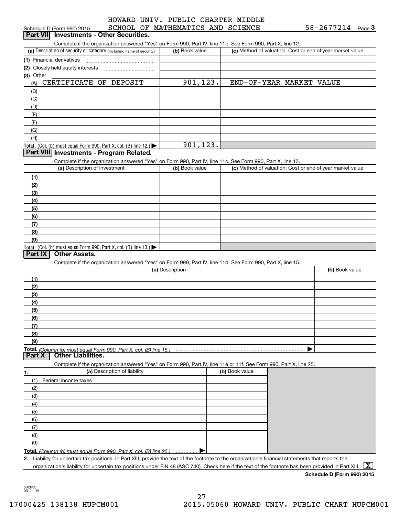### SCHOOL OF MATHEMATIC HOWARD UNIV. PUBLIC CHARTER MIDDLE

| Schedule D (Form 990) 2015                                                                                                                           | SCHOOL OF MATHEMATICS AND SCIENCE |                                                           | $58 - 2677214$ Page 3 |              |
|------------------------------------------------------------------------------------------------------------------------------------------------------|-----------------------------------|-----------------------------------------------------------|-----------------------|--------------|
| Part VII Investments - Other Securities.                                                                                                             |                                   |                                                           |                       |              |
| Complete if the organization answered "Yes" on Form 990, Part IV, line 11b. See Form 990, Part X, line 12.                                           |                                   |                                                           |                       |              |
| (a) Description of security or category (including name of security)                                                                                 | (b) Book value                    | (c) Method of valuation: Cost or end-of-year market value |                       |              |
| (1) Financial derivatives                                                                                                                            |                                   |                                                           |                       |              |
| (2) Closely-held equity interests                                                                                                                    |                                   |                                                           |                       |              |
| (3) Other<br>CERTIFICATE OF DEPOSIT                                                                                                                  | 901, 123.                         | END-OF-YEAR MARKET VALUE                                  |                       |              |
| (A)                                                                                                                                                  |                                   |                                                           |                       |              |
| (B)                                                                                                                                                  |                                   |                                                           |                       |              |
| (C)                                                                                                                                                  |                                   |                                                           |                       |              |
| (D)<br>(E)                                                                                                                                           |                                   |                                                           |                       |              |
| (F)                                                                                                                                                  |                                   |                                                           |                       |              |
| (G)                                                                                                                                                  |                                   |                                                           |                       |              |
| (H)                                                                                                                                                  |                                   |                                                           |                       |              |
| Total. (Col. (b) must equal Form 990, Part X, col. (B) line 12.)                                                                                     | 901,123.                          |                                                           |                       |              |
| Part VIII Investments - Program Related.                                                                                                             |                                   |                                                           |                       |              |
| Complete if the organization answered "Yes" on Form 990, Part IV, line 11c. See Form 990, Part X, line 13.                                           |                                   |                                                           |                       |              |
| (a) Description of investment                                                                                                                        | (b) Book value                    | (c) Method of valuation: Cost or end-of-year market value |                       |              |
| (1)                                                                                                                                                  |                                   |                                                           |                       |              |
| (2)                                                                                                                                                  |                                   |                                                           |                       |              |
| (3)                                                                                                                                                  |                                   |                                                           |                       |              |
| (4)                                                                                                                                                  |                                   |                                                           |                       |              |
| (5)                                                                                                                                                  |                                   |                                                           |                       |              |
| (6)                                                                                                                                                  |                                   |                                                           |                       |              |
| (7)                                                                                                                                                  |                                   |                                                           |                       |              |
| (8)                                                                                                                                                  |                                   |                                                           |                       |              |
| (9)                                                                                                                                                  |                                   |                                                           |                       |              |
| Total. (Col. (b) must equal Form 990, Part X, col. (B) line 13.)                                                                                     |                                   |                                                           |                       |              |
| <b>Other Assets.</b><br>Part IX                                                                                                                      |                                   |                                                           |                       |              |
| Complete if the organization answered "Yes" on Form 990, Part IV, line 11d. See Form 990, Part X, line 15.                                           |                                   |                                                           |                       |              |
|                                                                                                                                                      | (a) Description                   |                                                           | (b) Book value        |              |
| (1)                                                                                                                                                  |                                   |                                                           |                       |              |
| (2)                                                                                                                                                  |                                   |                                                           |                       |              |
| (3)                                                                                                                                                  |                                   |                                                           |                       |              |
| (4)                                                                                                                                                  |                                   |                                                           |                       |              |
| (5)                                                                                                                                                  |                                   |                                                           |                       |              |
| (6)                                                                                                                                                  |                                   |                                                           |                       |              |
| (7)<br>(8)                                                                                                                                           |                                   |                                                           |                       |              |
| (9)                                                                                                                                                  |                                   |                                                           |                       |              |
|                                                                                                                                                      |                                   |                                                           |                       |              |
| Part X<br><b>Other Liabilities.</b>                                                                                                                  |                                   |                                                           |                       |              |
| Complete if the organization answered "Yes" on Form 990, Part IV, line 11e or 11f. See Form 990, Part X, line 25.                                    |                                   |                                                           |                       |              |
| (a) Description of liability<br>1.                                                                                                                   |                                   | (b) Book value                                            |                       |              |
| (1)<br>Federal income taxes                                                                                                                          |                                   |                                                           |                       |              |
| (2)                                                                                                                                                  |                                   |                                                           |                       |              |
| (3)                                                                                                                                                  |                                   |                                                           |                       |              |
| (4)                                                                                                                                                  |                                   |                                                           |                       |              |
| (5)                                                                                                                                                  |                                   |                                                           |                       |              |
| (6)                                                                                                                                                  |                                   |                                                           |                       |              |
| (7)                                                                                                                                                  |                                   |                                                           |                       |              |
| (8)                                                                                                                                                  |                                   |                                                           |                       |              |
| (9)                                                                                                                                                  |                                   |                                                           |                       |              |
| Total. (Column (b) must equal Form 990. Part X, col. (B) line 25.)                                                                                   |                                   |                                                           |                       |              |
| 2. Liability for uncertain tax positions. In Part XIII, provide the text of the footnote to the organization's financial statements that reports the |                                   |                                                           |                       |              |
| organization's liability for uncertain tax positions under FIN 48 (ASC 740). Check here if the text of the footnote has been provided in Part XIII   |                                   |                                                           |                       | $\mathbf{X}$ |

**Schedule D (Form 990) 2015**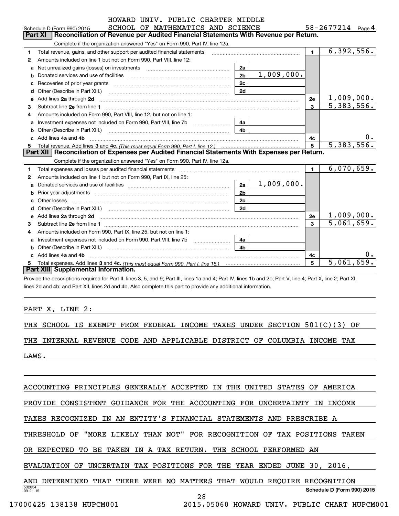|   | HOWARD UNIV. PUBLIC CHARTER MIDDLE                                                                                                                                                                                                  |                |            |                |                            |
|---|-------------------------------------------------------------------------------------------------------------------------------------------------------------------------------------------------------------------------------------|----------------|------------|----------------|----------------------------|
|   | SCHOOL OF MATHEMATICS AND SCIENCE<br>Schedule D (Form 990) 2015                                                                                                                                                                     |                |            |                | 58-2677214 Page 4          |
|   | Reconciliation of Revenue per Audited Financial Statements With Revenue per Return.<br>Part XI                                                                                                                                      |                |            |                |                            |
|   | Complete if the organization answered "Yes" on Form 990, Part IV, line 12a.                                                                                                                                                         |                |            |                |                            |
| 1 | Total revenue, gains, and other support per audited financial statements                                                                                                                                                            |                |            | $\blacksquare$ | $\overline{6}$ , 392, 556. |
| 2 | Amounts included on line 1 but not on Form 990, Part VIII, line 12:                                                                                                                                                                 |                |            |                |                            |
| a | Net unrealized gains (losses) on investments [11] [11] Net unrealized gains (losses) on investments                                                                                                                                 | 2a             |            |                |                            |
| b |                                                                                                                                                                                                                                     | 2 <sub>b</sub> | 1,009,000. |                |                            |
|   |                                                                                                                                                                                                                                     | 2c             |            |                |                            |
|   |                                                                                                                                                                                                                                     | 2d             |            |                |                            |
|   |                                                                                                                                                                                                                                     |                |            | 2e             | 1,009,000.                 |
| 3 |                                                                                                                                                                                                                                     |                |            | 3              | 5,383,556.                 |
| 4 | Amounts included on Form 990, Part VIII, line 12, but not on line 1:                                                                                                                                                                |                |            |                |                            |
| a | Investment expenses not included on Form 990, Part VIII, line 7b [1000000000000000000000000000000000                                                                                                                                | 4a             |            |                |                            |
| b | Other (Describe in Part XIII.) <b>Construction</b> and the construction of the construction of the construction of the construction of the construction of the construction of the construction of the construction of the construc | 4b             |            |                |                            |
|   | Add lines 4a and 4b                                                                                                                                                                                                                 |                |            | 4с             | υ.                         |
|   |                                                                                                                                                                                                                                     |                |            | 5              | 5,383,556.                 |
|   | Part XII   Reconciliation of Expenses per Audited Financial Statements With Expenses per Return.                                                                                                                                    |                |            |                |                            |
|   | Complete if the organization answered "Yes" on Form 990, Part IV, line 12a.                                                                                                                                                         |                |            |                |                            |
| 1 | Total expenses and losses per audited financial statements                                                                                                                                                                          |                |            | $\blacksquare$ | 6,070,659.                 |
| 2 | Amounts included on line 1 but not on Form 990, Part IX, line 25:                                                                                                                                                                   |                |            |                |                            |
| a |                                                                                                                                                                                                                                     | 2a             | 1,009,000. |                |                            |
| b |                                                                                                                                                                                                                                     | 2 <sub>b</sub> |            |                |                            |
|   |                                                                                                                                                                                                                                     | 2 <sub>c</sub> |            |                |                            |
|   |                                                                                                                                                                                                                                     | 2d             |            |                |                            |
|   |                                                                                                                                                                                                                                     |                |            | 2e             | 1,009,000.                 |
| 3 |                                                                                                                                                                                                                                     |                |            | $\mathbf{R}$   | 5,061,659.                 |
| 4 | Amounts included on Form 990, Part IX, line 25, but not on line 1:                                                                                                                                                                  |                |            |                |                            |
| a |                                                                                                                                                                                                                                     | 4a             |            |                |                            |
| b |                                                                                                                                                                                                                                     | 4 <sub>h</sub> |            |                |                            |
|   | c Add lines 4a and 4b                                                                                                                                                                                                               |                |            | 4c             |                            |
|   |                                                                                                                                                                                                                                     |                |            | 5              | 5,061,659.                 |
|   | Part XIII Supplemental Information.                                                                                                                                                                                                 |                |            |                |                            |

Provide the descriptions required for Part II, lines 3, 5, and 9; Part III, lines 1a and 4; Part IV, lines 1b and 2b; Part V, line 4; Part X, line 2; Part XI, lines 2d and 4b; and Part XII, lines 2d and 4b. Also complete this part to provide any additional information.

PART X, LINE 2:

THE SCHOOL IS EXEMPT FROM FEDERAL INCOME TAXES UNDER SECTION 501(C)(3) OF

THE INTERNAL REVENUE CODE AND APPLICABLE DISTRICT OF COLUMBIA INCOME TAX

LAWS.

ACCOUNTING PRINCIPLES GENERALLY ACCEPTED IN THE UNITED STATES OF AMERICA

PROVIDE CONSISTENT GUIDANCE FOR THE ACCOUNTING FOR UNCERTAINTY IN INCOME

TAXES RECOGNIZED IN AN ENTITY'S FINANCIAL STATEMENTS AND PRESCRIBE A

THRESHOLD OF "MORE LIKELY THAN NOT" FOR RECOGNITION OF TAX POSITIONS TAKEN

OR EXPECTED TO BE TAKEN IN A TAX RETURN. THE SCHOOL PERFORMED AN

EVALUATION OF UNCERTAIN TAX POSITIONS FOR THE YEAR ENDED JUNE 30, 2016,

532054 09-21-15**Schedule D (Form 990) 2015** AND DETERMINED THAT THERE WERE NO MATTERS THAT WOULD REQUIRE RECOGNITION

28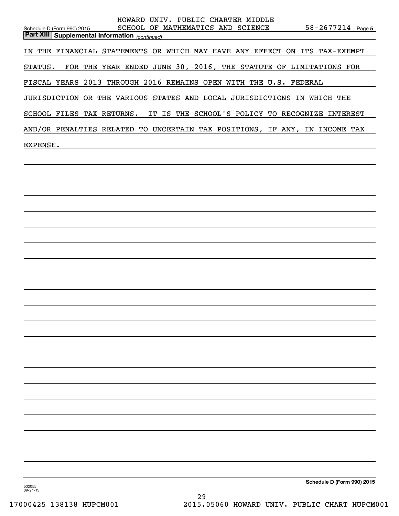| HOWARD UNIV. PUBLIC CHARTER MIDDLE<br>SCHOOL OF MATHEMATICS AND SCIENCE<br>$58 - 2677214$ Page 5<br>Schedule D (Form 990) 2015 |
|--------------------------------------------------------------------------------------------------------------------------------|
| <b>Part XIII Supplemental Information</b> (continued)                                                                          |
| IN THE FINANCIAL STATEMENTS OR WHICH MAY HAVE ANY EFFECT ON ITS TAX-EXEMPT                                                     |
| STATUS. FOR THE YEAR ENDED JUNE 30, 2016, THE STATUTE OF LIMITATIONS FOR                                                       |
| FISCAL YEARS 2013 THROUGH 2016 REMAINS OPEN WITH THE U.S. FEDERAL                                                              |
| JURISDICTION OR THE VARIOUS STATES AND LOCAL JURISDICTIONS IN WHICH THE                                                        |
| SCHOOL FILES TAX RETURNS. IT IS THE SCHOOL'S POLICY TO RECOGNIZE INTEREST                                                      |
| AND/OR PENALTIES RELATED TO UNCERTAIN TAX POSITIONS, IF ANY, IN INCOME TAX                                                     |
| EXPENSE.                                                                                                                       |
|                                                                                                                                |
|                                                                                                                                |
|                                                                                                                                |
|                                                                                                                                |
|                                                                                                                                |
|                                                                                                                                |
|                                                                                                                                |
|                                                                                                                                |
|                                                                                                                                |
|                                                                                                                                |
|                                                                                                                                |
|                                                                                                                                |
|                                                                                                                                |
|                                                                                                                                |
|                                                                                                                                |
|                                                                                                                                |
|                                                                                                                                |
|                                                                                                                                |
|                                                                                                                                |
|                                                                                                                                |
|                                                                                                                                |
| Schedule D (Form 990) 2015<br>532055<br>$09 - 21 - 15$                                                                         |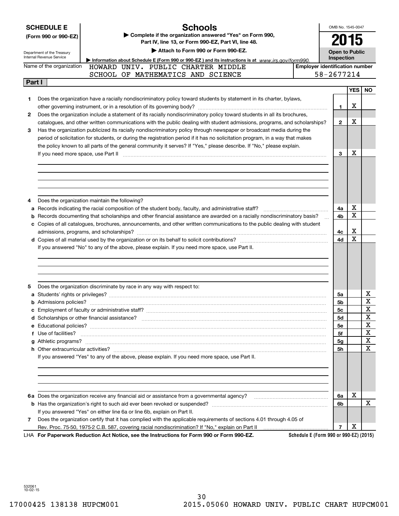|        | <b>SCHEDULE E</b><br>(Form 990 or 990-EZ)<br>Department of the Treasury<br>Internal Revenue Service | <b>Schools</b><br>Complete if the organization answered "Yes" on Form 990,<br>Part IV, line 13, or Form 990-EZ, Part VI, line 48.<br>Attach to Form 990 or Form 990-EZ. |                                        | OMB No. 1545-0047<br>2015<br><b>Open to Public</b> |            |             |
|--------|-----------------------------------------------------------------------------------------------------|-------------------------------------------------------------------------------------------------------------------------------------------------------------------------|----------------------------------------|----------------------------------------------------|------------|-------------|
|        |                                                                                                     | Information about Schedule E (Form 990 or 990-EZ) and its instructions is at $www.irs.gov/form990.$                                                                     |                                        | Inspection                                         |            |             |
|        | Name of the organization                                                                            | HOWARD UNIV. PUBLIC CHARTER MIDDLE                                                                                                                                      | <b>Employer identification number</b>  |                                                    |            |             |
|        |                                                                                                     | SCHOOL OF MATHEMATICS AND SCIENCE                                                                                                                                       |                                        | 58-2677214                                         |            |             |
| Part I |                                                                                                     |                                                                                                                                                                         |                                        |                                                    |            |             |
|        |                                                                                                     |                                                                                                                                                                         |                                        |                                                    | <b>YES</b> | <b>NO</b>   |
| 1      |                                                                                                     | Does the organization have a racially nondiscriminatory policy toward students by statement in its charter, bylaws,                                                     |                                        |                                                    |            |             |
|        |                                                                                                     |                                                                                                                                                                         |                                        | 1.                                                 | х          |             |
| 2      |                                                                                                     | Does the organization include a statement of its racially nondiscriminatory policy toward students in all its brochures,                                                |                                        |                                                    |            |             |
|        |                                                                                                     | catalogues, and other written communications with the public dealing with student admissions, programs, and scholarships?                                               |                                        | $\mathbf{2}$                                       | x          |             |
| 3      |                                                                                                     | Has the organization publicized its racially nondiscriminatory policy through newspaper or broadcast media during the                                                   |                                        |                                                    |            |             |
|        |                                                                                                     | period of solicitation for students, or during the registration period if it has no solicitation program, in a way that makes                                           |                                        |                                                    |            |             |
|        |                                                                                                     | the policy known to all parts of the general community it serves? If "Yes," please describe. If "No," please explain.                                                   |                                        |                                                    |            |             |
|        |                                                                                                     |                                                                                                                                                                         |                                        | 3                                                  | x          |             |
|        |                                                                                                     |                                                                                                                                                                         |                                        |                                                    |            |             |
|        |                                                                                                     |                                                                                                                                                                         |                                        |                                                    |            |             |
|        |                                                                                                     |                                                                                                                                                                         |                                        |                                                    |            |             |
|        |                                                                                                     |                                                                                                                                                                         |                                        |                                                    |            |             |
|        |                                                                                                     |                                                                                                                                                                         |                                        |                                                    |            |             |
| 4      |                                                                                                     | Does the organization maintain the following?                                                                                                                           |                                        |                                                    |            |             |
|        |                                                                                                     | a Records indicating the racial composition of the student body, faculty, and administrative staff?                                                                     |                                        | 4a                                                 | х          |             |
|        |                                                                                                     | <b>b</b> Records documenting that scholarships and other financial assistance are awarded on a racially nondiscriminatory basis?                                        |                                        | 4b                                                 | Χ          |             |
|        |                                                                                                     | c Copies of all catalogues, brochures, announcements, and other written communications to the public dealing with student                                               |                                        |                                                    |            |             |
|        |                                                                                                     |                                                                                                                                                                         |                                        | 4с                                                 | x          |             |
|        |                                                                                                     |                                                                                                                                                                         |                                        | 4d                                                 | X          |             |
|        |                                                                                                     | If you answered "No" to any of the above, please explain. If you need more space, use Part II.                                                                          |                                        |                                                    |            |             |
|        |                                                                                                     |                                                                                                                                                                         |                                        |                                                    |            |             |
|        |                                                                                                     |                                                                                                                                                                         |                                        |                                                    |            |             |
|        |                                                                                                     |                                                                                                                                                                         |                                        |                                                    |            |             |
|        |                                                                                                     |                                                                                                                                                                         |                                        |                                                    |            |             |
| 5      |                                                                                                     | Does the organization discriminate by race in any way with respect to:                                                                                                  |                                        |                                                    |            |             |
|        |                                                                                                     |                                                                                                                                                                         |                                        | 5a                                                 |            | х           |
|        |                                                                                                     |                                                                                                                                                                         |                                        | 5b                                                 |            | $\mathbf X$ |
|        |                                                                                                     |                                                                                                                                                                         |                                        | 5c                                                 |            | Y<br>47     |
|        |                                                                                                     |                                                                                                                                                                         |                                        | 5d                                                 |            | X           |
|        |                                                                                                     |                                                                                                                                                                         |                                        | 5е                                                 |            | x           |
|        |                                                                                                     |                                                                                                                                                                         |                                        | 5f                                                 |            | X           |
|        |                                                                                                     |                                                                                                                                                                         |                                        |                                                    |            | X           |
|        |                                                                                                     |                                                                                                                                                                         |                                        | 5g<br>5h                                           |            | X           |
|        |                                                                                                     | If you answered "Yes" to any of the above, please explain. If you need more space, use Part II.                                                                         |                                        |                                                    |            |             |
|        |                                                                                                     |                                                                                                                                                                         |                                        |                                                    |            |             |
|        |                                                                                                     |                                                                                                                                                                         |                                        |                                                    |            |             |
|        |                                                                                                     |                                                                                                                                                                         |                                        |                                                    |            |             |
|        |                                                                                                     |                                                                                                                                                                         |                                        |                                                    |            |             |
|        |                                                                                                     |                                                                                                                                                                         |                                        |                                                    |            |             |
|        |                                                                                                     |                                                                                                                                                                         |                                        | 6a                                                 | х          |             |
|        |                                                                                                     |                                                                                                                                                                         |                                        | 6b                                                 |            | X           |
|        |                                                                                                     | If you answered "Yes" on either line 6a or line 6b, explain on Part II.                                                                                                 |                                        |                                                    |            |             |
| 7      |                                                                                                     | Does the organization certify that it has complied with the applicable requirements of sections 4.01 through 4.05 of                                                    |                                        |                                                    |            |             |
|        |                                                                                                     |                                                                                                                                                                         |                                        | $\overline{7}$                                     | х          |             |
|        |                                                                                                     | LHA For Paperwork Reduction Act Notice, see the Instructions for Form 990 or Form 990-EZ.                                                                               | Schedule E (Form 990 or 990-EZ) (2015) |                                                    |            |             |

532061 10-02-15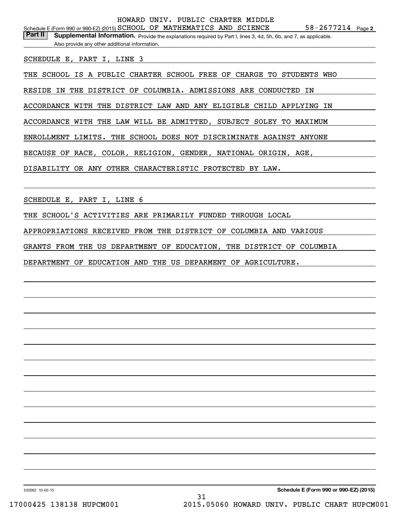Part II | Supplemental Information. Provide the explanations required by Part I, lines 3, 4d, 5h, 6b, and 7, as applicable. Also provide any other additional information.

SCHEDULE E, PART I, LINE 3

THE SCHOOL IS A PUBLIC CHARTER SCHOOL FREE OF CHARGE TO STUDENTS WHO

RESIDE IN THE DISTRICT OF COLUMBIA. ADMISSIONS ARE CONDUCTED IN

ACCORDANCE WITH THE DISTRICT LAW AND ANY ELIGIBLE CHILD APPLYING IN

ACCORDANCE WITH THE LAW WILL BE ADMITTED, SUBJECT SOLEY TO MAXIMUM

ENROLLMENT LIMITS. THE SCHOOL DOES NOT DISCRIMINATE AGAINST ANYONE

BECAUSE OF RACE, COLOR, RELIGION, GENDER, NATIONAL ORIGIN, AGE,

DISABILITY OR ANY OTHER CHARACTERISTIC PROTECTED BY LAW.

SCHEDULE E, PART I, LINE 6

THE SCHOOL'S ACTIVITIES ARE PRIMARILY FUNDED THROUGH LOCAL

APPROPRIATIONS RECEIVED FROM THE DISTRICT OF COLUMBIA AND VARIOUS

GRANTS FROM THE US DEPARTMENT OF EDUCATION, THE DISTRICT OF COLUMBIA

DEPARTMENT OF EDUCATION AND THE US DEPARMENT OF AGRICULTURE.

532062 10-02-15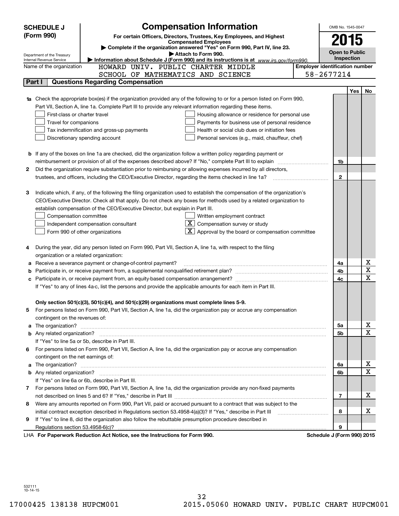|        | <b>SCHEDULE J</b>                                                                                                                                                                                        | <b>Compensation Information</b>                                                                                           |  | OMB No. 1545-0047                     |     |             |  |
|--------|----------------------------------------------------------------------------------------------------------------------------------------------------------------------------------------------------------|---------------------------------------------------------------------------------------------------------------------------|--|---------------------------------------|-----|-------------|--|
|        | (Form 990)                                                                                                                                                                                               | For certain Officers, Directors, Trustees, Key Employees, and Highest                                                     |  | 2015                                  |     |             |  |
|        | <b>Compensated Employees</b>                                                                                                                                                                             |                                                                                                                           |  |                                       |     |             |  |
|        | Complete if the organization answered "Yes" on Form 990, Part IV, line 23.<br><b>Open to Public</b><br>Attach to Form 990.<br>Department of the Treasury                                                 |                                                                                                                           |  |                                       |     |             |  |
|        | Internal Revenue Service                                                                                                                                                                                 | Information about Schedule J (Form 990) and its instructions is at www.irs.gov/form990.                                   |  | Inspection                            |     |             |  |
|        | Name of the organization                                                                                                                                                                                 | HOWARD UNIV. PUBLIC CHARTER MIDDLE                                                                                        |  | <b>Employer identification number</b> |     |             |  |
|        |                                                                                                                                                                                                          | SCHOOL OF MATHEMATICS AND SCIENCE                                                                                         |  | 58-2677214                            |     |             |  |
|        | Part I                                                                                                                                                                                                   | <b>Questions Regarding Compensation</b>                                                                                   |  |                                       |     |             |  |
|        |                                                                                                                                                                                                          |                                                                                                                           |  |                                       | Yes | No          |  |
|        |                                                                                                                                                                                                          | Check the appropriate box(es) if the organization provided any of the following to or for a person listed on Form 990,    |  |                                       |     |             |  |
|        |                                                                                                                                                                                                          | Part VII, Section A, line 1a. Complete Part III to provide any relevant information regarding these items.                |  |                                       |     |             |  |
|        | First-class or charter travel                                                                                                                                                                            | Housing allowance or residence for personal use                                                                           |  |                                       |     |             |  |
|        | Travel for companions                                                                                                                                                                                    | Payments for business use of personal residence                                                                           |  |                                       |     |             |  |
|        |                                                                                                                                                                                                          | Tax indemnification and gross-up payments<br>Health or social club dues or initiation fees                                |  |                                       |     |             |  |
|        |                                                                                                                                                                                                          | Discretionary spending account<br>Personal services (e.g., maid, chauffeur, chef)                                         |  |                                       |     |             |  |
|        |                                                                                                                                                                                                          |                                                                                                                           |  |                                       |     |             |  |
|        |                                                                                                                                                                                                          | <b>b</b> If any of the boxes on line 1a are checked, did the organization follow a written policy regarding payment or    |  |                                       |     |             |  |
|        |                                                                                                                                                                                                          | reimbursement or provision of all of the expenses described above? If "No," complete Part III to explain                  |  | 1b                                    |     |             |  |
| 2      |                                                                                                                                                                                                          | Did the organization require substantiation prior to reimbursing or allowing expenses incurred by all directors,          |  |                                       |     |             |  |
|        |                                                                                                                                                                                                          | trustees, and officers, including the CEO/Executive Director, regarding the items checked in line 1a?                     |  | $\mathbf{2}$                          |     |             |  |
|        |                                                                                                                                                                                                          |                                                                                                                           |  |                                       |     |             |  |
| З      |                                                                                                                                                                                                          | Indicate which, if any, of the following the filing organization used to establish the compensation of the organization's |  |                                       |     |             |  |
|        |                                                                                                                                                                                                          | CEO/Executive Director. Check all that apply. Do not check any boxes for methods used by a related organization to        |  |                                       |     |             |  |
|        |                                                                                                                                                                                                          | establish compensation of the CEO/Executive Director, but explain in Part III.                                            |  |                                       |     |             |  |
|        | Compensation committee                                                                                                                                                                                   | Written employment contract                                                                                               |  |                                       |     |             |  |
|        |                                                                                                                                                                                                          | $X$ Compensation survey or study<br>Independent compensation consultant                                                   |  |                                       |     |             |  |
|        |                                                                                                                                                                                                          | $\boxed{\textbf{X}}$ Approval by the board or compensation committee<br>Form 990 of other organizations                   |  |                                       |     |             |  |
|        |                                                                                                                                                                                                          |                                                                                                                           |  |                                       |     |             |  |
| 4      |                                                                                                                                                                                                          | During the year, did any person listed on Form 990, Part VII, Section A, line 1a, with respect to the filing              |  |                                       |     |             |  |
|        | organization or a related organization:                                                                                                                                                                  | Receive a severance payment or change-of-control payment?                                                                 |  | 4a                                    |     | х           |  |
| а<br>b |                                                                                                                                                                                                          |                                                                                                                           |  | 4b                                    |     | X           |  |
|        |                                                                                                                                                                                                          |                                                                                                                           |  | 4c                                    |     | X           |  |
|        | Participate in, or receive payment from, an equity-based compensation arrangement?<br>c<br>If "Yes" to any of lines 4a-c, list the persons and provide the applicable amounts for each item in Part III. |                                                                                                                           |  |                                       |     |             |  |
|        |                                                                                                                                                                                                          |                                                                                                                           |  |                                       |     |             |  |
|        |                                                                                                                                                                                                          | Only section 501(c)(3), 501(c)(4), and 501(c)(29) organizations must complete lines 5-9.                                  |  |                                       |     |             |  |
|        |                                                                                                                                                                                                          | For persons listed on Form 990, Part VII, Section A, line 1a, did the organization pay or accrue any compensation         |  |                                       |     |             |  |
|        | contingent on the revenues of:                                                                                                                                                                           |                                                                                                                           |  |                                       |     |             |  |
| a      |                                                                                                                                                                                                          |                                                                                                                           |  | 5a                                    |     | x           |  |
|        |                                                                                                                                                                                                          |                                                                                                                           |  | 5b                                    |     | X           |  |
|        |                                                                                                                                                                                                          | If "Yes" to line 5a or 5b, describe in Part III.                                                                          |  |                                       |     |             |  |
| 6.     |                                                                                                                                                                                                          | For persons listed on Form 990, Part VII, Section A, line 1a, did the organization pay or accrue any compensation         |  |                                       |     |             |  |
|        | contingent on the net earnings of:                                                                                                                                                                       |                                                                                                                           |  |                                       |     |             |  |
| a      |                                                                                                                                                                                                          |                                                                                                                           |  |                                       |     | x           |  |
|        |                                                                                                                                                                                                          |                                                                                                                           |  | 6b                                    |     | $\mathbf X$ |  |
|        |                                                                                                                                                                                                          | If "Yes" on line 6a or 6b, describe in Part III.                                                                          |  |                                       |     |             |  |
|        |                                                                                                                                                                                                          | 7 For persons listed on Form 990, Part VII, Section A, line 1a, did the organization provide any non-fixed payments       |  |                                       |     |             |  |
|        |                                                                                                                                                                                                          |                                                                                                                           |  | 7                                     |     | х           |  |
| 8      |                                                                                                                                                                                                          | Were any amounts reported on Form 990, Part VII, paid or accrued pursuant to a contract that was subject to the           |  |                                       |     |             |  |
|        |                                                                                                                                                                                                          | initial contract exception described in Regulations section 53.4958-4(a)(3)? If "Yes," describe in Part III               |  | 8                                     |     | х           |  |
| 9      |                                                                                                                                                                                                          | If "Yes" to line 8, did the organization also follow the rebuttable presumption procedure described in                    |  |                                       |     |             |  |
|        | Regulations section 53.4958-6(c)?                                                                                                                                                                        |                                                                                                                           |  | 9                                     |     |             |  |
|        |                                                                                                                                                                                                          | LHA For Paperwork Reduction Act Notice, see the Instructions for Form 990.                                                |  | Schedule J (Form 990) 2015            |     |             |  |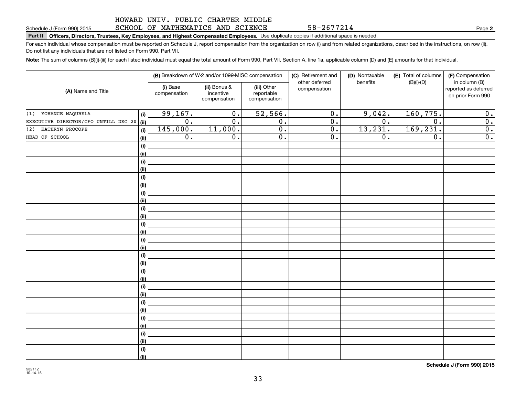### SCHOOL OF MATHEMATICS AND SCIENCE

# **Part II Officers, Directors, Trustees, Key Employees, and Highest Compensated Employees.**  Schedule J (Form 990) 2015 Page Use duplicate copies if additional space is needed.

For each individual whose compensation must be reported on Schedule J, report compensation from the organization on row (i) and from related organizations, described in the instructions, on row (ii). Do not list any individuals that are not listed on Form 990, Part VII.

**Note:**  The sum of columns (B)(i)-(iii) for each listed individual must equal the total amount of Form 990, Part VII, Section A, line 1a, applicable column (D) and (E) amounts for that individual.

| (A) Name and Title                   |             |                          | (B) Breakdown of W-2 and/or 1099-MISC compensation |                                           | (C) Retirement and<br>(D) Nontaxable |                  | (E) Total of columns | (F) Compensation<br>in column (B)         |  |
|--------------------------------------|-------------|--------------------------|----------------------------------------------------|-------------------------------------------|--------------------------------------|------------------|----------------------|-------------------------------------------|--|
|                                      |             | (i) Base<br>compensation | (ii) Bonus &<br>incentive<br>compensation          | (iii) Other<br>reportable<br>compensation | other deferred<br>compensation       | benefits         | $(B)(i)-(D)$         | reported as deferred<br>on prior Form 990 |  |
| YOHANCE MAQUBELA<br>(1)              | (i)         | 99,167.                  | $\overline{0}$ .                                   | 52,566.                                   | $\overline{0}$ .                     | 9,042.           | 160, 775.            | 0.                                        |  |
| EXECUTIVE DIRECTOR/CFO UNTILL DEC 20 | (ii)        | $\overline{0}$ .         | $\overline{0}$ .                                   | $\overline{0}$ .                          | $\overline{0}$ .                     | $\overline{0}$ . | $\overline{0}$ .     | $\overline{0}$ .                          |  |
| KATHRYN PROCOPE<br>(2)               | (i)         | 145,000.                 | 11,000.                                            | $\overline{0}$ .                          | $\overline{0}$ .                     | 13,231.          | 169,231.             | $\overline{0}$ .                          |  |
| HEAD OF SCHOOL                       | (ii)        | $\overline{0}$ .         | $\overline{0}$ .                                   | $\overline{0}$ .                          | $\overline{0}$ .                     | $\overline{0}$ . | $\overline{0}$ .     | $\overline{0}$ .                          |  |
|                                      | (i)         |                          |                                                    |                                           |                                      |                  |                      |                                           |  |
|                                      | (ii)        |                          |                                                    |                                           |                                      |                  |                      |                                           |  |
|                                      | (i)         |                          |                                                    |                                           |                                      |                  |                      |                                           |  |
|                                      | (ii)        |                          |                                                    |                                           |                                      |                  |                      |                                           |  |
|                                      | (i)         |                          |                                                    |                                           |                                      |                  |                      |                                           |  |
|                                      | (ii)        |                          |                                                    |                                           |                                      |                  |                      |                                           |  |
|                                      | (i)         |                          |                                                    |                                           |                                      |                  |                      |                                           |  |
|                                      | (ii)        |                          |                                                    |                                           |                                      |                  |                      |                                           |  |
|                                      | (i)         |                          |                                                    |                                           |                                      |                  |                      |                                           |  |
|                                      | (ii)        |                          |                                                    |                                           |                                      |                  |                      |                                           |  |
|                                      | (i)         |                          |                                                    |                                           |                                      |                  |                      |                                           |  |
|                                      | (ii)<br>(i) |                          |                                                    |                                           |                                      |                  |                      |                                           |  |
|                                      | (ii)        |                          |                                                    |                                           |                                      |                  |                      |                                           |  |
|                                      | (i)         |                          |                                                    |                                           |                                      |                  |                      |                                           |  |
|                                      | (ii)        |                          |                                                    |                                           |                                      |                  |                      |                                           |  |
|                                      | (i)         |                          |                                                    |                                           |                                      |                  |                      |                                           |  |
|                                      | (ii)        |                          |                                                    |                                           |                                      |                  |                      |                                           |  |
|                                      | (i)         |                          |                                                    |                                           |                                      |                  |                      |                                           |  |
|                                      | (ii)        |                          |                                                    |                                           |                                      |                  |                      |                                           |  |
|                                      | (i)         |                          |                                                    |                                           |                                      |                  |                      |                                           |  |
|                                      | (ii)        |                          |                                                    |                                           |                                      |                  |                      |                                           |  |
|                                      | (i)         |                          |                                                    |                                           |                                      |                  |                      |                                           |  |
|                                      | (ii)        |                          |                                                    |                                           |                                      |                  |                      |                                           |  |
|                                      | (i)         |                          |                                                    |                                           |                                      |                  |                      |                                           |  |
|                                      | (ii)        |                          |                                                    |                                           |                                      |                  |                      |                                           |  |
|                                      | (i)         |                          |                                                    |                                           |                                      |                  |                      |                                           |  |
|                                      | (ii)        |                          |                                                    |                                           |                                      |                  |                      |                                           |  |

**Schedule J (Form 990) 2015**

**2**

58-2677214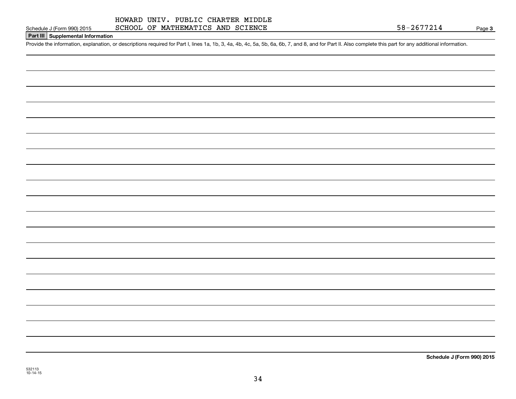### HOWARD UNIV. PUBLIC CHARTER MIDDLE SCHOOL OF MATHEMATICS AND SCIENCE

## **Part III Supplemental Information**

Schedule J (Form 990) 2015 SCHOOL OF MATHEMATICS AND SCIENCE<br>Part III Supplemental Information<br>Provide the information, explanation, or descriptions required for Part I, lines 1a, 1b, 3, 4a, 4b, 4c, 5a, 5b, 6a, 6b, 7, and

**Schedule J (Form 990) 2015**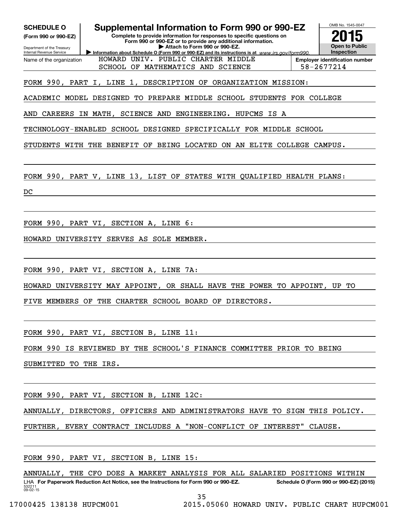| Supplemental Information to Form 990 or 990-EZ<br><b>SCHEDULE O</b><br>Complete to provide information for responses to specific questions on<br>(Form 990 or 990-EZ)<br>Form 990 or 990-EZ or to provide any additional information.<br>Attach to Form 990 or 990-EZ.<br>Department of the Treasury<br>Information about Schedule O (Form 990 or 990-EZ) and its instructions is at www.irs.gov/form990.<br>Internal Revenue Service<br>HOWARD UNIV. PUBLIC CHARTER MIDDLE<br>Name of the organization<br>SCHOOL OF MATHEMATICS AND SCIENCE | OMB No. 1545-0047<br>Open to Public<br><b>Inspection</b><br><b>Employer identification number</b><br>58-2677214 |
|----------------------------------------------------------------------------------------------------------------------------------------------------------------------------------------------------------------------------------------------------------------------------------------------------------------------------------------------------------------------------------------------------------------------------------------------------------------------------------------------------------------------------------------------|-----------------------------------------------------------------------------------------------------------------|
| FORM 990, PART I, LINE 1, DESCRIPTION OF ORGANIZATION MISSION:                                                                                                                                                                                                                                                                                                                                                                                                                                                                               |                                                                                                                 |
| ACADEMIC MODEL DESIGNED<br>TO PREPARE MIDDLE SCHOOL STUDENTS FOR COLLEGE                                                                                                                                                                                                                                                                                                                                                                                                                                                                     |                                                                                                                 |
| IN MATH,<br>AND<br>CAREERS<br>SCIENCE AND<br>ENGINEERING. HUPCMS IS<br>A                                                                                                                                                                                                                                                                                                                                                                                                                                                                     |                                                                                                                 |
| SCHOOL DESIGNED<br>TECHNOLOGY-ENABLED<br>SPECIFICALLY FOR MIDDLE SCHOOL                                                                                                                                                                                                                                                                                                                                                                                                                                                                      |                                                                                                                 |
| STUDENTS WITH<br><b>THE</b><br>BENEFIT<br>OF BEING LOCATED<br>ON AN ELITE COLLEGE CAMPUS.                                                                                                                                                                                                                                                                                                                                                                                                                                                    |                                                                                                                 |
| FORM 990, PART V, LINE 13, LIST OF<br>STATES WITH QUALIFIED HEALTH PLANS:<br>DC                                                                                                                                                                                                                                                                                                                                                                                                                                                              |                                                                                                                 |
|                                                                                                                                                                                                                                                                                                                                                                                                                                                                                                                                              |                                                                                                                 |
| FORM 990, PART VI, SECTION A, LINE 6:<br>UNIVERSITY SERVES AS SOLE MEMBER.<br>HOWARD                                                                                                                                                                                                                                                                                                                                                                                                                                                         |                                                                                                                 |
| FORM 990, PART VI, SECTION A, LINE 7A:                                                                                                                                                                                                                                                                                                                                                                                                                                                                                                       |                                                                                                                 |
| UNIVERSITY MAY APPOINT, OR SHALL HAVE THE POWER TO APPOINT, UP<br>HOWARD                                                                                                                                                                                                                                                                                                                                                                                                                                                                     | TО                                                                                                              |
| THE CHARTER SCHOOL BOARD OF DIRECTORS.<br>FIVE<br>MEMBERS<br>OF                                                                                                                                                                                                                                                                                                                                                                                                                                                                              |                                                                                                                 |
| FORM 990, PART VI, SECTION B, LINE 11:                                                                                                                                                                                                                                                                                                                                                                                                                                                                                                       |                                                                                                                 |
| FORM 990 IS REVIEWED BY THE SCHOOL'S FINANCE COMMITTEE PRIOR TO BEING                                                                                                                                                                                                                                                                                                                                                                                                                                                                        |                                                                                                                 |
| SUBMITTED TO THE IRS.                                                                                                                                                                                                                                                                                                                                                                                                                                                                                                                        |                                                                                                                 |
| FORM 990, PART VI, SECTION B, LINE 12C:                                                                                                                                                                                                                                                                                                                                                                                                                                                                                                      |                                                                                                                 |
| ANNUALLY, DIRECTORS, OFFICERS AND ADMINISTRATORS HAVE TO SIGN THIS POLICY.                                                                                                                                                                                                                                                                                                                                                                                                                                                                   |                                                                                                                 |
| FURTHER, EVERY CONTRACT INCLUDES A "NON-CONFLICT OF INTEREST" CLAUSE.                                                                                                                                                                                                                                                                                                                                                                                                                                                                        |                                                                                                                 |
| FORM 990, PART VI, SECTION B, LINE 15:                                                                                                                                                                                                                                                                                                                                                                                                                                                                                                       |                                                                                                                 |
| ANNUALLY, THE CFO DOES A MARKET ANALYSIS FOR ALL SALARIED POSITIONS WITHIN<br>LHA For Paperwork Reduction Act Notice, see the Instructions for Form 990 or 990-EZ.<br>532211<br>09-02-15                                                                                                                                                                                                                                                                                                                                                     | Schedule O (Form 990 or 990-EZ) (2015)                                                                          |

35

17000425 138138 HUPCM001 2015.05060 HOWARD UNIV. PUBLIC CHART HUPCM001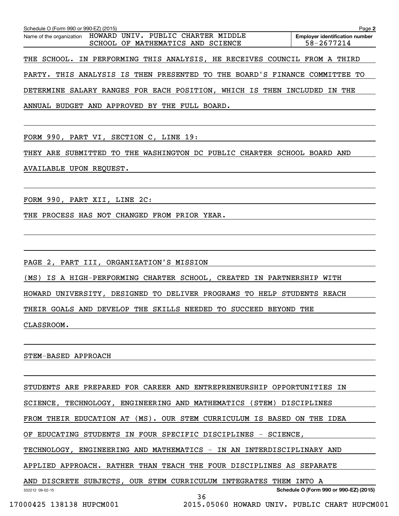| Schedule O (Form 990 or 990-EZ) (2015)                                                           | Page 2                                              |
|--------------------------------------------------------------------------------------------------|-----------------------------------------------------|
| Name of the organization HOWARD UNIV. PUBLIC CHARTER MIDDLE<br>SCHOOL OF MATHEMATICS AND SCIENCE | <b>Employer identification number</b><br>58-2677214 |
| THE SCHOOL. IN PERFORMING THIS ANALYSIS, HE RECEIVES COUNCIL FROM A THIRD                        |                                                     |
| PARTY. THIS ANALYSIS IS THEN PRESENTED TO THE BOARD'S FINANCE COMMITTEE TO                       |                                                     |
| DETERMINE SALARY RANGES FOR EACH POSITION, WHICH IS THEN INCLUDED IN THE                         |                                                     |
| ANNUAL BUDGET AND APPROVED BY THE FULL BOARD.                                                    |                                                     |

FORM 990, PART VI, SECTION C, LINE 19:

THEY ARE SUBMITTED TO THE WASHINGTON DC PUBLIC CHARTER SCHOOL BOARD AND AVAILABLE UPON REQUEST.

FORM 990, PART XII, LINE 2C:

THE PROCESS HAS NOT CHANGED FROM PRIOR YEAR.

PAGE 2, PART III, ORGANIZATION'S MISSION

(MS) IS A HIGH-PERFORMING CHARTER SCHOOL, CREATED IN PARTNERSHIP WITH

HOWARD UNIVERSITY, DESIGNED TO DELIVER PROGRAMS TO HELP STUDENTS REACH

THEIR GOALS AND DEVELOP THE SKILLS NEEDED TO SUCCEED BEYOND THE

CLASSROOM.

STEM-BASED APPROACH

532212 09-02-15 **Schedule O (Form 990 or 990-EZ) (2015)** STUDENTS ARE PREPARED FOR CAREER AND ENTREPRENEURSHIP OPPORTUNITIES IN SCIENCE, TECHNOLOGY, ENGINEERING AND MATHEMATICS (STEM) DISCIPLINES FROM THEIR EDUCATION AT (MS). OUR STEM CURRICULUM IS BASED ON THE IDEA OF EDUCATING STUDENTS IN FOUR SPECIFIC DISCIPLINES - SCIENCE, TECHNOLOGY, ENGINEERING AND MATHEMATICS - IN AN INTERDISCIPLINARY AND APPLIED APPROACH. RATHER THAN TEACH THE FOUR DISCIPLINES AS SEPARATE AND DISCRETE SUBJECTS, OUR STEM CURRICULUM INTEGRATES THEM INTO A 36

17000425 138138 HUPCM001 2015.05060 HOWARD UNIV. PUBLIC CHART HUPCM001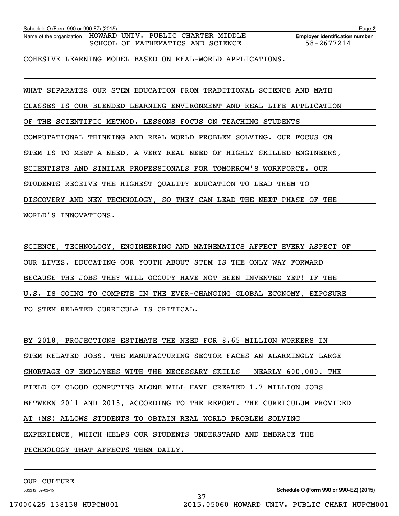| Schedule O (Form 990 or 990-EZ) (2015) |                                                                                                                           | Page 2                                              |
|----------------------------------------|---------------------------------------------------------------------------------------------------------------------------|-----------------------------------------------------|
|                                        | Name of the organization HOWARD UNIV. PUBLIC CHARTER MIDDLE<br>MATHEMATICS AND SCIENCE<br>SCHOOL<br>OF                    | <b>Employer identification number</b><br>58-2677214 |
|                                        | COHESIVE LEARNING MODEL BASED ON REAL-WORLD APPLICATIONS.                                                                 |                                                     |
| SEPARATES OUR<br>WHAT                  | EDUCATION FROM TRADITIONAL<br>STEM<br>SCIENCE                                                                             | <b>MATH</b><br>AND                                  |
| CLASSES<br>THE<br>OF                   | IS OUR BLENDED LEARNING ENVIRONMENT AND REAL LIFE APPLICATION<br>SCIENTIFIC METHOD. LESSONS FOCUS ON TEACHING<br>STUDENTS |                                                     |
|                                        | COMPUTATIONAL THINKING AND REAL WORLD PROBLEM SOLVING.                                                                    | OUR FOCUS ON                                        |
|                                        | STEM IS TO MEET A NEED, A VERY REAL NEED OF HIGHLY-SKILLED                                                                | ENGINEERS.                                          |
| SCIENTISTS<br>AND                      | SIMILAR PROFESSIONALS FOR TOMORROW'S<br>WORKFORCE.                                                                        | 0UR                                                 |

STUDENTS RECEIVE THE HIGHEST QUALITY EDUCATION TO LEAD THEM TO

DISCOVERY AND NEW TECHNOLOGY, SO THEY CAN LEAD THE NEXT PHASE OF THE

WORLD'S INNOVATIONS.

SCIENCE, TECHNOLOGY, ENGINEERING AND MATHEMATICS AFFECT EVERY ASPECT OF OUR LIVES. EDUCATING OUR YOUTH ABOUT STEM IS THE ONLY WAY FORWARD BECAUSE THE JOBS THEY WILL OCCUPY HAVE NOT BEEN INVENTED YET! IF THE U.S. IS GOING TO COMPETE IN THE EVER-CHANGING GLOBAL ECONOMY, EXPOSURE TO STEM RELATED CURRICULA IS CRITICAL.

BY 2018, PROJECTIONS ESTIMATE THE NEED FOR 8.65 MILLION WORKERS IN STEM-RELATED JOBS. THE MANUFACTURING SECTOR FACES AN ALARMINGLY LARGE SHORTAGE OF EMPLOYEES WITH THE NECESSARY SKILLS - NEARLY 600,000. THE FIELD OF CLOUD COMPUTING ALONE WILL HAVE CREATED 1.7 MILLION JOBS BETWEEN 2011 AND 2015, ACCORDING TO THE REPORT. THE CURRICULUM PROVIDED AT (MS) ALLOWS STUDENTS TO OBTAIN REAL WORLD PROBLEM SOLVING EXPERIENCE, WHICH HELPS OUR STUDENTS UNDERSTAND AND EMBRACE THE TECHNOLOGY THAT AFFECTS THEM DAILY.

37

OUR CULTURE

532212 09-02-15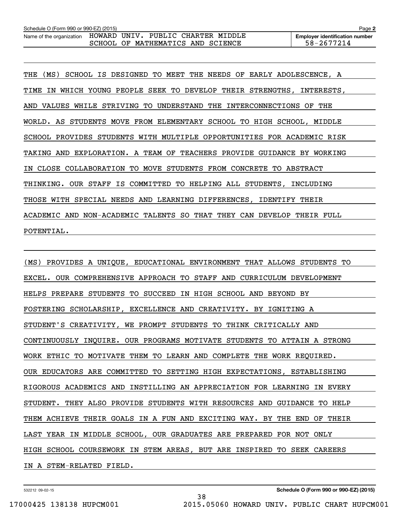| Schedule O (Form 990 or 990-EZ) (2015)                      |  |                                   |  | Page 2                                |
|-------------------------------------------------------------|--|-----------------------------------|--|---------------------------------------|
| Name of the organization HOWARD UNIV. PUBLIC CHARTER MIDDLE |  |                                   |  | <b>Employer identification number</b> |
|                                                             |  | SCHOOL OF MATHEMATICS AND SCIENCE |  | 58-2677214                            |

THE (MS) SCHOOL IS DESIGNED TO MEET THE NEEDS OF EARLY ADOLESCENCE, A TIME IN WHICH YOUNG PEOPLE SEEK TO DEVELOP THEIR STRENGTHS, INTERESTS, AND VALUES WHILE STRIVING TO UNDERSTAND THE INTERCONNECTIONS OF THE WORLD. AS STUDENTS MOVE FROM ELEMENTARY SCHOOL TO HIGH SCHOOL, MIDDLE SCHOOL PROVIDES STUDENTS WITH MULTIPLE OPPORTUNITIES FOR ACADEMIC RISK TAKING AND EXPLORATION. A TEAM OF TEACHERS PROVIDE GUIDANCE BY WORKING IN CLOSE COLLABORATION TO MOVE STUDENTS FROM CONCRETE TO ABSTRACT THINKING. OUR STAFF IS COMMITTED TO HELPING ALL STUDENTS, INCLUDING THOSE WITH SPECIAL NEEDS AND LEARNING DIFFERENCES, IDENTIFY THEIR ACADEMIC AND NON-ACADEMIC TALENTS SO THAT THEY CAN DEVELOP THEIR FULL POTENTIAL.

(MS) PROVIDES A UNIQUE, EDUCATIONAL ENVIRONMENT THAT ALLOWS STUDENTS TO EXCEL. OUR COMPREHENSIVE APPROACH TO STAFF AND CURRICULUM DEVELOPMENT HELPS PREPARE STUDENTS TO SUCCEED IN HIGH SCHOOL AND BEYOND BY FOSTERING SCHOLARSHIP, EXCELLENCE AND CREATIVITY. BY IGNITING A STUDENT'S CREATIVITY, WE PROMPT STUDENTS TO THINK CRITICALLY AND CONTINUOUSLY INQUIRE. OUR PROGRAMS MOTIVATE STUDENTS TO ATTAIN A STRONG WORK ETHIC TO MOTIVATE THEM TO LEARN AND COMPLETE THE WORK REQUIRED. OUR EDUCATORS ARE COMMITTED TO SETTING HIGH EXPECTATIONS, ESTABLISHING RIGOROUS ACADEMICS AND INSTILLING AN APPRECIATION FOR LEARNING IN EVERY STUDENT. THEY ALSO PROVIDE STUDENTS WITH RESOURCES AND GUIDANCE TO HELP THEM ACHIEVE THEIR GOALS IN A FUN AND EXCITING WAY. BY THE END OF THEIR LAST YEAR IN MIDDLE SCHOOL, OUR GRADUATES ARE PREPARED FOR NOT ONLY HIGH SCHOOL COURSEWORK IN STEM AREAS, BUT ARE INSPIRED TO SEEK CAREERS IN A STEM-RELATED FIELD.

38

532212 09-02-15